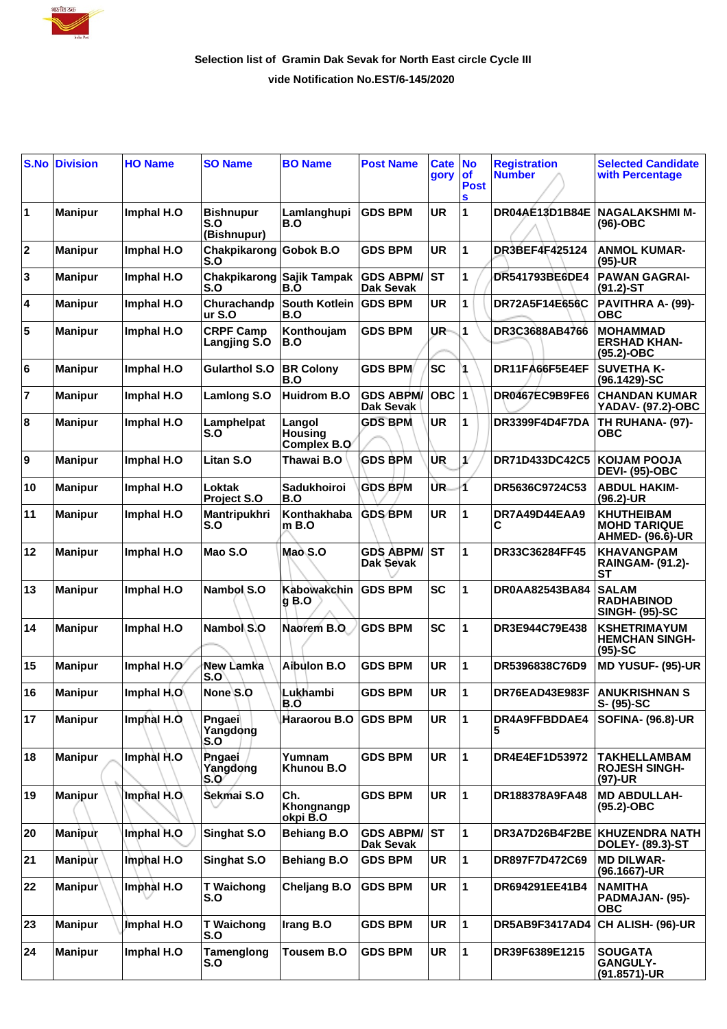

## **Selection list of Gramin Dak Sevak for North East circle Cycle III vide Notification No.EST/6-145/2020**

| S.No        | <b>Division</b> | <b>HO Name</b> | <b>SO Name</b>                         | <b>BO Name</b>                          | <b>Post Name</b>                     | <b>Cate</b><br>gory | <b>No</b><br><b>of</b><br><b>Post</b><br>S | <b>Registration</b><br><b>Number</b> | <b>Selected Candidate</b><br>with Percentage                        |
|-------------|-----------------|----------------|----------------------------------------|-----------------------------------------|--------------------------------------|---------------------|--------------------------------------------|--------------------------------------|---------------------------------------------------------------------|
| 1           | <b>Manipur</b>  | Imphal H.O     | <b>Bishnupur</b><br>S.O<br>(Bishnupur) | Lamlanghupi<br>B.O                      | <b>GDS BPM</b>                       | <b>UR</b>           | 1                                          | DR04AE13D1B84E                       | NAGALAKSHMI M-<br>(96)-OBC                                          |
| $\mathbf 2$ | <b>Manipur</b>  | Imphal H.O     | Chakpikarong<br>S.O                    | Gobok B.O                               | <b>GDS BPM</b>                       | <b>UR</b>           | 1                                          | <b>DR3BEF4F425124</b>                | <b>ANMOL KUMAR-</b><br>(95)-UR                                      |
| 3           | <b>Manipur</b>  | Imphal H.O     | Chakpikarong<br>S.O                    | Sajik Tampak<br>B.O                     | <b>GDS ABPM/</b><br><b>Dak Sevak</b> | <b>ST</b>           | 1                                          | DR541793BE6DE4                       | <b>PAWAN GAGRAI-</b><br>$(91.2)$ -ST                                |
| 4           | <b>Manipur</b>  | Imphal H.O     | Churachandp<br>ur S.O                  | <b>South Kotlein</b><br>B.O             | <b>GDS BPM</b>                       | UR                  | 1                                          | DR72A5F14E656C                       | PAVITHRA A- (99)-<br><b>OBC</b>                                     |
| 5           | <b>Manipur</b>  | Imphal H.O     | <b>CRPF Camp</b><br>Langjing S.O       | Konthoujam<br>B.O                       | <b>GDS BPM</b>                       | UR                  | 1                                          | DR3C3688AB4766                       | <b>MOHAMMAD</b><br><b>ERSHAD KHAN-</b><br>(95.2)-OBC                |
| 6           | <b>Manipur</b>  | Imphal H.O     | <b>Gularthol S.O</b>                   | <b>BR Colony</b><br>B.O                 | <b>GDS BPM</b>                       | <b>SC</b>           |                                            | DR11FA66F5E4EF                       | <b>SUVETHA K-</b><br>(96.1429)-SC                                   |
| 7           | <b>Manipur</b>  | Imphal H.O     | Lamlong S.O                            | <b>Huidrom B.O</b>                      | <b>GDS ABPM/</b><br>Dak Sevak        | <b>OBC</b>          | 1                                          | DR0467EC9B9FE6                       | <b>CHANDAN KUMAR</b><br>YADAV- (97.2)-OBC                           |
| 8           | <b>Manipur</b>  | Imphal H.O     | Lamphelpat<br>S.O                      | Langol<br><b>Housing</b><br>Complex B.O | <b>GDS BPM</b>                       | <b>UR</b>           | 1                                          | DR3399F4D4F7DA                       | TH RUHANA- (97)-<br><b>OBC</b>                                      |
| 9           | <b>Manipur</b>  | Imphal H.O     | Litan S.O                              | Thawai B.O                              | <b>GDS BPM</b>                       | IUR.                | 1/                                         | DR71D433DC42C5                       | <b>KOIJAM POOJA</b><br><b>DEVI- (95)-OBC</b>                        |
| 10          | <b>Manipur</b>  | Imphal H.O     | Loktak<br><b>Project S.O</b>           | <b>Sadukhoiroi</b><br>B.O               | <b>GDS BPM</b>                       | UR.                 | 1                                          | DR5636C9724C53                       | <b>ABDUL HAKIM-</b><br>(96.2)-UR                                    |
| 11          | <b>Manipur</b>  | Imphal H.O     | Mantripukhri<br>S.O                    | Konthakhaba<br>m B.O                    | <b>GDS BPM</b>                       | <b>UR</b>           | 1                                          | DR7A49D44EAA9<br>С                   | <b>KHUTHEIBAM</b><br><b>MOHD TARIQUE</b><br><b>AHMED- (96.6)-UR</b> |
| 12          | <b>Manipur</b>  | Imphal H.O     | Mao S.O                                | Mao S.O                                 | <b>GDS ABPM/</b><br>Dak Sevak        | <b>ST</b>           | 1                                          | DR33C36284FF45                       | <b>KHAVANGPAM</b><br><b>RAINGAM- (91.2)-</b><br><b>ST</b>           |
| 13          | <b>Manipur</b>  | Imphal H.O     | Nambol S.O                             | Kabowakchin<br><b>g B.O</b>             | <b>GDS BPM</b>                       | <b>SC</b>           | 1                                          | <b>DR0AA82543BA84</b>                | <b>SALAM</b><br><b>RADHABINOD</b><br><b>SINGH- (95)-SC</b>          |
| 14          | <b>Manipur</b>  | Imphal H.O     | Nambol S.O                             | Naorem B.O                              | <b>GDS BPM</b>                       | <b>SC</b>           | 1                                          | DR3E944C79E438                       | <b>KSHETRIMAYUM</b><br><b>HEMCHAN SINGH-</b><br>$(95)-SC$           |
| 15          | <b>Manipur</b>  | Imphal H.O     | New Lamka<br>S.O                       | Aibulon B.O                             | <b>GDS BPM</b>                       | <b>UR</b>           | 1                                          | DR5396838C76D9                       | <b>MD YUSUF- (95)-UR</b>                                            |
| 16          | <b>Manipur</b>  | Imphal H.O     | None S.O                               | Lukhambi<br>B.O                         | <b>GDS BPM</b>                       | UR                  | 1                                          | DR76EAD43E983F                       | <b>ANUKRISHNAN S</b><br>S- (95)-SC                                  |
| 17          | <b>Manipur</b>  | Imphal H.O.    | Pngaei<br>Yangdong<br>S.O              | Haraorou B.O                            | <b>GDS BPM</b>                       | <b>UR</b>           | 1                                          | DR4A9FFBDDAE4<br>5                   | <b>SOFINA- (96.8)-UR</b>                                            |
| 18          | <b>Manipur</b>  | Imphal H.O     | <b>P</b> ngaei<br>Yangdong<br>S.O      | Yumnam<br>Khunou B.O                    | <b>GDS BPM</b>                       | <b>UR</b>           | 1                                          | DR4E4EF1D53972                       | <b>TAKHELLAMBAM</b><br><b>ROJESH SINGH-</b><br>$(97)-UR$            |
| 19          | <b>Manipur</b>  | Imphal H.O.    | Sekmai S.O                             | Ch.<br>Khongnangp<br>okpi B.O           | <b>GDS BPM</b>                       | <b>UR</b>           | 1                                          | DR188378A9FA48                       | <b>MD ABDULLAH-</b><br>$(95.2)$ -OBC                                |
| 20          | Manipur         | Imphal H.O     | Singhat S.O                            | <b>Behiang B.O</b>                      | <b>GDS ABPM/</b><br>Dak Sevak        | <b>ST</b>           | 1                                          |                                      | DR3A7D26B4F2BE KHUZENDRA NATH<br><b>DOLEY- (89.3)-ST</b>            |
| 21          | <b>Manipur</b>  | Imphal H.O     | Singhat S.O                            | <b>Behiang B.O</b>                      | <b>GDS BPM</b>                       | UR                  | 1                                          | DR897F7D472C69                       | <b>MD DILWAR-</b><br>(96.1667)-UR                                   |
| 22          | <b>Manipur</b>  | Imphal H.O     | <b>T Waichong</b><br>S.O               | <b>Cheljang B.O</b>                     | <b>GDS BPM</b>                       | <b>UR</b>           | 1                                          | DR694291EE41B4                       | <b>NAMITHA</b><br>PADMAJAN- (95)-<br><b>OBC</b>                     |
| 23          | <b>Manipur</b>  | Imphal H.O     | <b>T</b> Waichong<br>S.O               | Irang B.O                               | <b>GDS BPM</b>                       | <b>UR</b>           | 1                                          | <b>DR5AB9F3417AD4</b>                | CH ALISH- (96)-UR                                                   |
| 24          | <b>Manipur</b>  | Imphal H.O     | Tamenglong<br>S.O                      | Tousem B.O                              | <b>GDS BPM</b>                       | <b>UR</b>           | 1                                          | DR39F6389E1215                       | <b>SOUGATA</b><br><b>GANGULY-</b><br>(91.8571)-UR                   |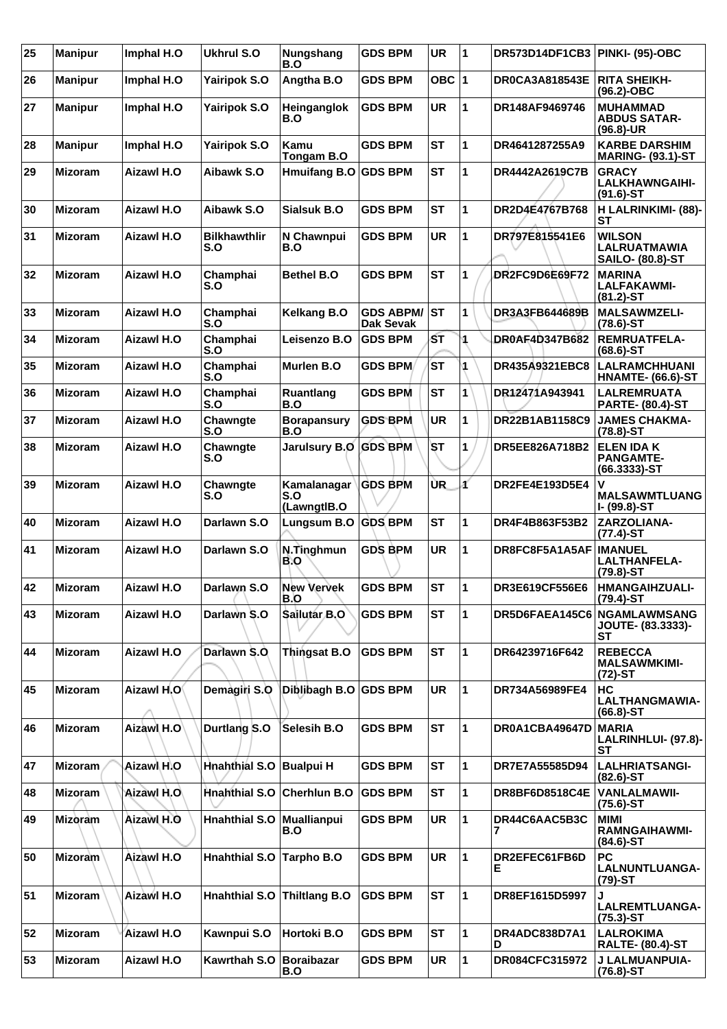| 25 | <b>Manipur</b> | Imphal H.O        | <b>Ukhrul S.O</b>           | Nungshang<br>B.O                  | <b>GDS BPM</b>                          | <b>UR</b> | $\overline{\mathbf{1}}$ | DR573D14DF1CB3 PINKI- (95)-OBC |                                                                 |
|----|----------------|-------------------|-----------------------------|-----------------------------------|-----------------------------------------|-----------|-------------------------|--------------------------------|-----------------------------------------------------------------|
| 26 | <b>Manipur</b> | Imphal H.O        | <b>Yairipok S.O</b>         | Angtha B.O                        | <b>GDS BPM</b>                          | OBC $ 1$  |                         | <b>DR0CA3A818543E</b>          | <b>RITA SHEIKH-</b><br>(96.2)-OBC                               |
| 27 | <b>Manipur</b> | Imphal H.O        | <b>Yairipok S.O</b>         | Heinganglok<br>B.O                | <b>GDS BPM</b>                          | <b>UR</b> | 1                       | DR148AF9469746                 | <b>MUHAMMAD</b><br><b>ABDUS SATAR-</b><br>$(96.8)$ -UR          |
| 28 | <b>Manipur</b> | Imphal H.O        | <b>Yairipok S.O</b>         | Kamu<br>Tongam B.O                | <b>GDS BPM</b>                          | <b>ST</b> | 1                       | DR4641287255A9                 | <b>KARBE DARSHIM</b><br><b>MARING- (93.1)-ST</b>                |
| 29 | <b>Mizoram</b> | Aizawl H.O        | Aibawk S.O                  | Hmuifang B.O GDS BPM              |                                         | <b>ST</b> | 1                       | DR4442A2619C7B                 | <b>GRACY</b><br><b>LALKHAWNGAIHI-</b><br>$(91.6)$ -ST           |
| 30 | <b>Mizoram</b> | Aizawl H.O        | Aibawk S.O                  | Sialsuk B.O                       | <b>GDS BPM</b>                          | <b>ST</b> | 1                       | DR2D4E4767B768                 | H LALRINKIMI- (88)-<br>SТ                                       |
| 31 | <b>Mizoram</b> | Aizawl H.O        | <b>Bilkhawthlir</b><br>S.O  | N Chawnpui<br>B.O                 | <b>GDS BPM</b>                          | <b>UR</b> | 1                       | DR797E815541E6                 | <b>WILSON</b><br><b>LALRUATMAWIA</b><br><b>SAILO- (80.8)-ST</b> |
| 32 | <b>Mizoram</b> | <b>Aizawl H.O</b> | Champhai<br>S.O             | <b>Bethel B.O</b>                 | <b>GDS BPM</b>                          | <b>ST</b> | 1                       | DR2FC9D6E69F72                 | <b>MARINA</b><br><b>LALFAKAWMI-</b><br>$(81.2) - ST$            |
| 33 | <b>Mizoram</b> | Aizawl H.O        | Champhai<br>S.O             | <b>Kelkang B.O</b>                | <b>GDS ABPM/ ST</b><br><b>Dak Sevak</b> |           | 1                       | DR3A3FB644689B                 | <b>MALSAWMZELI-</b><br>$(78.6)$ -ST                             |
| 34 | <b>Mizoram</b> | Aizawl H.O        | Champhai<br>S.O             | <b>Leisenzo B.O</b>               | <b>GDS BPM</b>                          | SТ        | 1                       | DR0AF4D347B682                 | <b>REMRUATFELA-</b><br>$(68.6) - ST$                            |
| 35 | <b>Mizoram</b> | Aizawl H.O        | Champhai<br>S.O             | Murlen B.O                        | <b>GDS BPM</b>                          | <b>ST</b> | 1                       | DR435A9321EBC8                 | <b>LALRAMCHHUANI</b><br><b>HNAMTE- (66.6)-ST</b>                |
| 36 | <b>Mizoram</b> | <b>Aizawl H.O</b> | Champhai<br>S.O             | <b>Ruantlang</b><br>B.O           | <b>GDS BPM</b>                          | <b>ST</b> | 1                       | DR12471A943941                 | <b>LALREMRUATA</b><br><b>PARTE- (80.4)-ST</b>                   |
| 37 | <b>Mizoram</b> | Aizawl H.O        | Chawngte<br>S.O             | <b>Borapansury</b><br>B.O         | <b>GDS BPM</b>                          | <b>UR</b> | 1                       | DR22B1AB1158C9                 | <b>JAMES CHAKMA-</b><br>$(78.8) - ST$                           |
| 38 | <b>Mizoram</b> | Aizawl H.O        | Chawngte<br>S.O             | Jarulsury B.O GDS BPM             |                                         | <b>ST</b> | 1                       | DR5EE826A718B2                 | <b>ELEN IDA K</b><br><b>PANGAMTE-</b><br>$(66.3333) - ST$       |
| 39 | <b>Mizoram</b> | Aizawl H.O        | Chawngte<br>S.O             | Kamalanagar<br>S.O<br>(LawngtIB.O | <b>GDS BPM</b>                          | ÙR.       | ď                       | DR2FE4E193D5E4                 | v<br><b>MALSAWMTLUANG</b><br>I- (99.8)-ST                       |
| 40 | <b>Mizoram</b> | Aizawl H.O        | Darlawn S.O                 | Lungsum B.O                       | <b>GDS BPM</b>                          | <b>ST</b> | 1                       | DR4F4B863F53B2                 | ZARZOLIANA-<br>$(77.4)$ -ST                                     |
|    |                |                   |                             |                                   |                                         |           |                         |                                |                                                                 |
| 41 | <b>Mizoram</b> | Aizawl H.O        | Darlawn S.O                 | N.Tinghmun<br>B.O                 | <b>GDS BPM</b>                          | <b>UR</b> | 1                       | DR8FC8F5A1A5AF                 | <b>IMANUEL</b><br><b>LALTHANFELA-</b><br>$(79.8) - ST$          |
| 42 | <b>Mizoram</b> | Aizawl H.O        | Darlawn S.O                 | <b>New Vervek</b><br>B.O          | <b>GDS BPM</b>                          | <b>ST</b> | 1                       | <b>DR3E619CF556E6</b>          | <b>HMANGAIHZUALI-</b><br>(79.4)-ST                              |
| 43 | <b>Mizoram</b> | Aizawl H.O        | Darlawn S.O                 | Sailutar B.O                      | <b>GDS BPM</b>                          | <b>ST</b> | 1                       | DR5D6FAEA145C6                 | NGAMLAWMSANG<br>JOUTE- (83.3333)-<br><b>ST</b>                  |
| 44 | <b>Mizoram</b> | <b>Aizawl H.O</b> | Darlawn S.O.                | <b>Thingsat B.O</b>               | <b>GDS BPM</b>                          | <b>ST</b> | 1                       | DR64239716F642                 | <b>REBECCA</b><br><b>MALSAWMKIMI-</b><br>$(72)$ -ST             |
| 45 | <b>Mizoram</b> | Aizawl H.O        | Demagiri S.O                | Diblibagh B.O GDS BPM             |                                         | <b>UR</b> | 1                       | DR734A56989FE4                 | <b>HC</b><br>LALTHANGMAWIA-<br>$(66.8)$ -ST                     |
| 46 | <b>Mizoram</b> | Aizawl H.O        | Durtlang S.O                | Selesih B.O                       | <b>GDS BPM</b>                          | <b>ST</b> | 1                       | DR0A1CBA49647D                 | <b>MARIA</b><br>SТ                                              |
| 47 | <b>Mizoram</b> | Aizawi H.O        | Hnahthial S.O               | <b>Bualpui H</b>                  | <b>GDS BPM</b>                          | <b>ST</b> | 1                       | DR7E7A55585D94                 | LALRINHLUI- (97.8)-<br><b>LALHRIATSANGI-</b><br>$(82.6)$ -ST    |
| 48 | <b>Mizoram</b> | Aizawl H.O.       | Hnahthial S.O Cherhlun B.O  |                                   | <b>GDS BPM</b>                          | <b>ST</b> | 1                       | DR8BF6D8518C4E                 | <b>VANLALMAWII-</b><br>$(75.6)$ -ST                             |
| 49 | <b>Mizoram</b> | Aizawl H.O        | <b>Hnahthial S.O</b>        | Muallianpui<br>B.O                | <b>GDS BPM</b>                          | <b>UR</b> | 1                       | DR44C6AAC5B3C<br>7             | <b>MIMI</b><br><b>RAMNGAIHAWMI-</b><br>$(84.6)$ -ST             |
| 50 | <b>Mizoram</b> | Aizawl H.O        | Hnahthial S.O Tarpho B.O    |                                   | <b>GDS BPM</b>                          | <b>UR</b> | 1                       | DR2EFEC61FB6D<br>Е             | <b>PC</b><br><b>LALNUNTLUANGA-</b><br>$(79)-ST$                 |
| 51 | <b>Mizoram</b> | Aizawl H.O        | Hnahthial S.O Thiltlang B.O |                                   | <b>GDS BPM</b>                          | <b>ST</b> | 1                       | DR8EF1615D5997                 | LALREMTLUANGA-<br>$(75.3)$ -ST                                  |
| 52 | <b>Mizoram</b> | Aizawl H.O        | Kawnpui S.O                 | Hortoki B.O                       | <b>GDS BPM</b>                          | <b>ST</b> | 1                       | DR4ADC838D7A1<br>D             | <b>LALROKIMA</b><br><b>RALTE- (80.4)-ST</b>                     |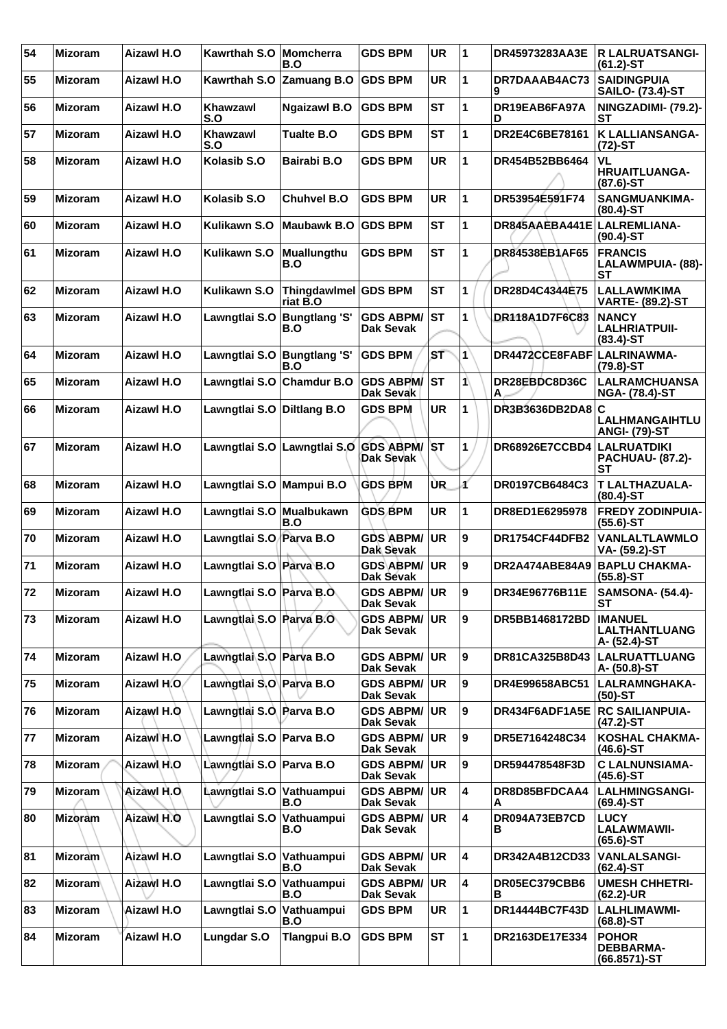| 54 | <b>Mizoram</b> | Aizawl H.O        | Kawrthah S.O   Momcherra   | B.O                              | <b>GDS BPM</b>                          | <b>UR</b> | 1           | DR45973283AA3E                 | <b>R LALRUATSANGI-</b><br>$(61.2)$ -ST                 |
|----|----------------|-------------------|----------------------------|----------------------------------|-----------------------------------------|-----------|-------------|--------------------------------|--------------------------------------------------------|
| 55 | <b>Mizoram</b> | Aizawl H.O        | Kawrthah S.O               | <b>Zamuang B.O</b>               | <b>GDS BPM</b>                          | UR        | 1           | DR7DAAAB4AC73<br>9             | <b>SAIDINGPUIA</b><br><b>SAILO- (73.4)-ST</b>          |
| 56 | <b>Mizoram</b> | Aizawl H.O        | Khawzawl<br>S.O            | <b>Ngaizawl B.O</b>              | <b>GDS BPM</b>                          | <b>ST</b> | 1           | DR19EAB6FA97A<br>D             | NINGZADIMI- (79.2)-<br>SТ                              |
| 57 | <b>Mizoram</b> | <b>Aizawl H.O</b> | Khawzawl<br>S.O            | <b>Tualte B.O</b>                | <b>GDS BPM</b>                          | <b>ST</b> | 1           | DR2E4C6BE78161                 | <b>K LALLIANSANGA-</b><br>$(72)-ST$                    |
| 58 | <b>Mizoram</b> | Aizawl H.O        | Kolasib S.O                | Bairabi B.O                      | <b>GDS BPM</b>                          | <b>UR</b> | 1           | DR454B52BB6464                 | VL<br><b>HRUAITLUANGA-</b><br> (87.6)-ST               |
| 59 | <b>Mizoram</b> | <b>Aizawl H.O</b> | Kolasib S.O                | <b>Chuhvel B.O</b>               | <b>GDS BPM</b>                          | <b>UR</b> | 1           | DR53954E591F74                 | <b>SANGMUANKIMA-</b><br>$(80.4)$ -ST                   |
| 60 | <b>Mizoram</b> | <b>Aizawl H.O</b> | Kulikawn S.O               | <b>Maubawk B.O</b>               | <b>GDS BPM</b>                          | <b>ST</b> | 1           | DR845AAEBA441E                 | LALREMLIANA-<br>$(90.4)$ -ST                           |
| 61 | <b>Mizoram</b> | Aizawl H.O        | <b>Kulikawn S.O</b>        | <b>Muallungthu</b><br>B.O        | <b>GDS BPM</b>                          | <b>ST</b> | 1           | <b>DR84538EB1AF65</b>          | <b>FRANCIS</b><br>LALAWMPUIA- (88)-<br>SТ              |
| 62 | <b>Mizoram</b> | <b>Aizawl H.O</b> | Kulikawn S.O               | Thingdawlmel GDS BPM<br>riat B.O |                                         | <b>ST</b> | 1           | DR28D4C4344E75                 | <b>LALLAWMKIMA</b><br><b>VARTE- (89.2)-ST</b>          |
| 63 | <b>Mizoram</b> | Aizawl H.O        | Lawngtlai S.O              | <b>Bungtlang 'S'</b><br>B.O      | <b>GDS ABPM/</b><br><b>Dak Sevak</b>    | ST        | 1           | DR118A1D7F6C83                 | <b>NANCY</b><br><b>LALHRIATPUII-</b><br>$(83.4)$ -ST   |
| 64 | <b>Mizoram</b> | <b>Aizawl H.O</b> | Lawngtlai S.O              | <b>Bungtlang 'S'</b><br>B.O      | <b>GDS BPM</b>                          | ST        | 1           | DR4472CCE8FABF                 | LALRINAWMA-<br>$(79.8) - ST$                           |
| 65 | <b>Mizoram</b> | <b>Aizawl H.O</b> | Lawngtlai S.O Chamdur B.O  |                                  | <b>GDS ABPM/</b><br>Dak Sevak           | <b>ST</b> | 1           | DR28EBDC8D36C<br>А             | <b>LALRAMCHUANSA</b><br><b>NGA- (78.4)-ST</b>          |
| 66 | <b>Mizoram</b> | Aizawl H.O        | Lawngtlai S.O Diltlang B.O |                                  | <b>GDS BPM</b>                          | <b>UR</b> | 1           | DR3B3636DB2DA8                 | ١c<br><b>LALHMANGAIHTLU</b><br><b>ANGI- (79)-ST</b>    |
| 67 | <b>Mizoram</b> | Aizawl H.O        |                            | Lawngtlai S.O Lawngtlai S.O      | <b>GDS ABPM/ST</b><br><b>Dak Sevak</b>  |           | 1           | DR68926E7CCBD4   LALRUATDIKI   | <b>PACHUAU- (87.2)-</b><br>SТ                          |
| 68 | <b>Mizoram</b> | <b>Aizawl H.O</b> | Lawngtlai S.O Mampui B.O   |                                  | <b>GDS BPM</b>                          | <b>UR</b> | ď           | DR0197CB6484C3                 | <b>T LALTHAZUALA-</b><br>$(80.4)$ -ST                  |
| 69 | <b>Mizoram</b> | <b>Aizawl H.O</b> | Lawngtlai S.O              | <b>Mualbukawn</b><br>B.O         | <b>GDS BPM</b>                          | <b>UR</b> | 1           | DR8ED1E6295978                 | <b>FREDY ZODINPUIA-</b><br>$(55.6)$ -ST                |
| 70 | <b>Mizoram</b> | Aizawl H.O        | Lawngtlai S.O. Parva B.O   |                                  | <b>GDS ABPM/</b><br>Dak Sevak           | <b>UR</b> | 9           | DR1754CF44DFB2                 | VANLALTLAWMLO<br>VA- (59.2)-ST                         |
| 71 | <b>Mizoram</b> | <b>Aizawl H.O</b> | Lawngtlai S.O Parva B.O    |                                  | <b>GDS ABPM/</b><br>Dak Sevak           | <b>UR</b> | 9           | DR2A474ABE84A9 BAPLU CHAKMA-   | $(55.8) - ST$                                          |
| 72 | <b>Mizoram</b> | <b>Aizawl H.O</b> | Lawngtlai S.O Parva B.O    |                                  | GDS ABPM/ UR<br><b>Dak Sevak</b>        |           | 9           | DR34E96776B11E                 | <b>SAMSONA- (54.4)-</b><br>SТ                          |
| 73 | <b>Mizoram</b> | <b>Aizawl H.O</b> | Lawngtlai S.O Parva B.O    |                                  | <b>GDS ABPM/ UR</b><br>Dak Sevak        |           | 9           | DR5BB1468172BD                 | <b>IMANUEL</b><br><b>LALTHANTLUANG</b><br>A- (52.4)-ST |
| 74 | <b>Mizoram</b> | Aizawl H.O        | Lawngtlai S.O Parva B.O    |                                  | <b>GDS ABPM/ UR</b><br>Dak Sevak        |           | 9           | DR81CA325B8D43                 | <b>LALRUATTLUANG</b><br>A- (50.8)-ST                   |
| 75 | <b>Mizoram</b> | Aizawl H.O.       | Lawngtlai S.O Parva B.O    |                                  | <b>GDS ABPM/</b><br><b>Dak Sevak</b>    | UR.       | 9           | DR4E99658ABC51                 | LALRAMNGHAKA-<br>$(50)-ST$                             |
| 76 | <b>Mizoram</b> | Aizawl H.O        | Lawngtlai S.O. Parva B.O   |                                  | <b>GDS ABPM/ UR</b><br><b>Dak Sevak</b> |           | 9           | DR434F6ADF1A5E RC SAILIANPUIA- | (47.2)-ST                                              |
| 77 | <b>Mizoram</b> | Aizawl H.O        | Lawngtlai S.O Parva B.O    |                                  | <b>GDS ABPM/ UR</b><br><b>Dak Sevak</b> |           | 9           | DR5E7164248C34                 | <b>KOSHAL CHAKMA-</b><br>(46.6)-ST                     |
| 78 | <b>Mizoram</b> | Aizawl H.O        | Lawngtlai S.O Parva B.O    |                                  | <b>GDS ABPM/</b><br><b>Dak Sevak</b>    | UR.       | 9           | DR594478548F3D                 | <b>C LALNUNSIAMA-</b><br>$(45.6)$ -ST                  |
| 79 | <b>Mizoram</b> | Aizawl H.O.       | Lawngtlai S.O Vathuampui   | B.O                              | <b>GDS ABPM/ UR</b><br><b>Dak Sevak</b> |           | 4           | DR8D85BFDCAA4<br>A             | <b>LALHMINGSANGI-</b><br>$(69.4)$ -ST                  |
| 80 | <b>Mizoram</b> | Aizawl H.O        | Lawngtlai S.O              | Vathuampui<br>B.O                | <b>GDS ABPM/ UR</b><br>Dak Sevak        |           | 4           | DR094A73EB7CD<br>в             | <b>LUCY</b><br><b>LALAWMAWII-</b><br>$(65.6)$ -ST      |
| 81 | <b>Mizoram</b> | Aizawl H.O        | Lawngtlai S.O              | Vathuampui<br>B.O                | <b>GDS ABPM/ UR</b><br><b>Dak Sevak</b> |           | 4           | DR342A4B12CD33                 | <b>VANLALSANGI-</b><br>$(62.4)$ -ST                    |
| 82 | <b>Mizoram</b> | Aizawl H.O        | Lawngtlai S.O              | Vathuampui<br>B.O                | <b>GDS ABPM/ UR</b><br>Dak Sevak        |           | 4           | DR05EC379CBB6<br>в             | <b>UMESH CHHETRI-</b><br>$(62.2)$ -UR                  |
| 83 | <b>Mizoram</b> | Aizawl H.O        | Lawngtlai S.O Vathuampui   | B.O                              | <b>GDS BPM</b>                          | <b>UR</b> | 1           | DR14444BC7F43D                 | <b>LALHLIMAWMI-</b><br>$(68.8)$ -ST                    |
| 84 | <b>Mizoram</b> | Aizawl H.O        | <b>Lungdar S.O</b>         | <b>Tlangpui B.O</b>              | <b>GDS BPM</b>                          | <b>ST</b> | $\mathbf 1$ | DR2163DE17E334                 | <b>POHOR</b><br><b>DEBBARMA-</b><br>(66.8571)-ST       |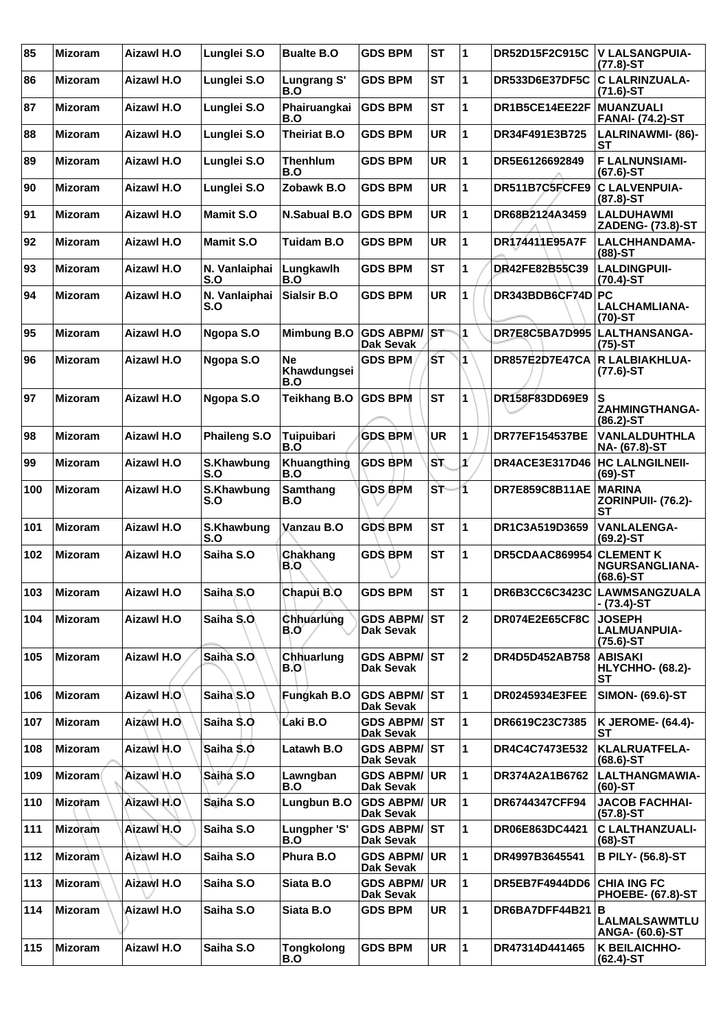| 85  | <b>Mizoram</b> | Aizawl H.O        | Lunglei S.O          | <b>Bualte B.O</b>               | <b>GDS BPM</b>                          | <b>ST</b> | 1              | DR52D15F2C915C                   | V LALSANGPUIA-<br>$(77.8)$ -ST                          |
|-----|----------------|-------------------|----------------------|---------------------------------|-----------------------------------------|-----------|----------------|----------------------------------|---------------------------------------------------------|
| 86  | <b>Mizoram</b> | Aizawl H.O        | Lunglei S.O          | Lungrang S'<br>B.O              | <b>GDS BPM</b>                          | <b>ST</b> | 1              | <b>DR533D6E37DF5C</b>            | <b>C LALRINZUALA-</b><br>$(71.6)$ -ST                   |
| 87  | <b>Mizoram</b> | Aizawl H.O        | Lunglei S.O          | Phairuangkai<br>B.O             | <b>GDS BPM</b>                          | <b>ST</b> | 1              | DR1B5CE14EE22F                   | <b>MUANZUALI</b><br><b>FANAI- (74.2)-ST</b>             |
| 88  | <b>Mizoram</b> | Aizawl H.O        | Lunglei S.O          | <b>Theiriat B.O</b>             | <b>GDS BPM</b>                          | <b>UR</b> | 1              | DR34F491E3B725                   | <b>LALRINAWMI- (86)-</b><br>ST                          |
| 89  | <b>Mizoram</b> | Aizawl H.O        | Lunglei S.O          | <b>Thenhlum</b><br>B.O          | <b>GDS BPM</b>                          | <b>UR</b> | 1              | DR5E6126692849                   | <b>FLALNUNSIAMI-</b><br>$(67.6)$ -ST                    |
| 90  | <b>Mizoram</b> | <b>Aizawl H.O</b> | Lunglei S.O          | Zobawk B.O                      | <b>GDS BPM</b>                          | <b>UR</b> | 1              | DR511B7C5FCFE9                   | <b>C LALVENPUIA-</b><br>$(87.8) - ST$                   |
| 91  | <b>Mizoram</b> | Aizawl H.O        | <b>Mamit S.O</b>     | N.Sabual B.O                    | <b>GDS BPM</b>                          | <b>UR</b> | 1              | DR68B2124A3459                   | <b>LALDUHAWMI</b><br>ZADENG- (73.8)-ST                  |
| 92  | <b>Mizoram</b> | Aizawl H.O        | <b>Mamit S.O</b>     | <b>Tuidam B.O</b>               | <b>GDS BPM</b>                          | <b>UR</b> | 1              | DR174411E95A7F                   | LALCHHANDAMA-<br>$(88)$ -ST                             |
| 93  | <b>Mizoram</b> | Aizawl H.O        | N. Vanlaiphai<br>S.O | Lungkawlh<br>B.O                | <b>GDS BPM</b>                          | <b>ST</b> | 1              | DR42FE82B55C39                   | <b>LALDINGPUII-</b><br>$(70.4)$ -ST                     |
| 94  | <b>Mizoram</b> | Aizawl H.O        | N. Vanlaiphai<br>S.O | <b>Sialsir B.O</b>              | <b>GDS BPM</b>                          | <b>UR</b> | 1              | DR343BDB6CF74D PC                | <b>LALCHAMLIANA-</b><br>$(70)-ST$                       |
| 95  | <b>Mizoram</b> | <b>Aizawl H.O</b> | Ngopa S.O            | Mimbung B.O                     | <b>GDS ABPM/</b><br>Dak Sevak           | <b>ST</b> | 1              | DR7E8C5BA7D995                   | <b>LALTHANSANGA-</b><br>$(75)-ST$                       |
| 96  | <b>Mizoram</b> | Aizawl H.O        | Ngopa S.O            | <b>Ne</b><br>Khawdungsei<br>B.O | <b>GDS BPM</b>                          | ŚТ        | 1              | <b>DR857E2D7E47CA</b>            | <b>R LALBIAKHLUA-</b><br>$(77.6)$ -ST                   |
| 97  | <b>Mizoram</b> | Aizawl H.O        | Ngopa S.O            | <b>Teikhang B.O</b>             | <b>GDS BPM</b>                          | <b>ST</b> | 1              | DR158F83DD69E9                   | S<br><b>ZAHMINGTHANGA-</b><br>$(86.2)$ -ST              |
| 98  | <b>Mizoram</b> | Aizawl H.O        | Phaileng S.O         | Tuipuibari<br>B.O               | <b>GDS BPM</b>                          | <b>UR</b> | 1              | <b>DR77EF154537BE</b>            | <b>VANLALDUHTHLA</b><br>NA- (67.8)-ST                   |
| 99  | <b>Mizoram</b> | <b>Aizawl H.O</b> | S.Khawbung<br>S.O    | Khuangthing<br>B.O              | <b>GDS BPM</b>                          | ۱S۲.      | ¥              | DR4ACE3E317D46   HC LALNGILNEII- | $(69)$ -ST                                              |
| 100 | <b>Mizoram</b> | Aizawl H.O        | S.Khawbung<br>S.O    | Samthang<br>B.O                 | <b>GDS BPM</b>                          | ST        | 1              | DR7E859C8B11AE                   | <b>MARINA</b><br><b>ZORINPUII- (76.2)-</b><br><b>ST</b> |
| 101 | <b>Mizoram</b> | Aizawl H.O        | S.Khawbung<br>S.O    | Vanzau B.O                      | <b>GDS BPM</b>                          | <b>ST</b> | 1              | DR1C3A519D3659                   | <b>VANLALENGA-</b><br>$(69.2)$ -ST                      |
| 102 | <b>Mizoram</b> | Aizawl H.O        | Saiha S.O            | <b>Chakhang</b><br>B.O          | <b>GDS BPM</b>                          | <b>ST</b> | 1              | DR5CDAAC869954                   | <b>CLEMENT K</b><br>NGURSANGLIANA-<br>$(68.6) - ST$     |
| 103 | <b>Mizoram</b> | <b>Aizawl H.O</b> | Saiha S.O            | Chapui B.O                      | <b>GDS BPM</b>                          | <b>ST</b> | 1              | DR6B3CC6C3423C                   | <b>LAWMSANGZUALA</b><br>- (73.4)-ST                     |
| 104 | <b>Mizoram</b> | Aizawl H.O        | Saiha S.O            | Chhuarlung<br>B.O               | <b>GDS ABPM/ST</b><br>Dak Sevak         |           | $\overline{2}$ | DR074E2E65CF8C                   | <b>JOSEPH</b><br><b>LALMUANPUIA-</b><br>$(75.6)$ -ST    |
| 105 | <b>Mizoram</b> | <b>Aizawl H.O</b> | Saiha S.O            | Chhuarlung<br>B.O               | <b>GDS ABPM/ ST</b><br>Dak Sevak        |           | $\mathbf{2}$   | DR4D5D452AB758                   | <b>ABISAKI</b><br><b>HLYCHHO- (68.2)-</b><br>SТ         |
| 106 | <b>Mizoram</b> | Aizawl H.O        | Saiha S.O            | Fungkah B.O                     | <b>GDS ABPM/ ST</b><br><b>Dak Sevak</b> |           | 1              | DR0245934E3FEE                   | <b>SIMON- (69.6)-ST</b>                                 |
| 107 | <b>Mizoram</b> | Aizawl H.O        | Saiha S.O            | Laki B.O                        | <b>GDS ABPM/ ST</b><br>Dak Sevak        |           | 1              | DR6619C23C7385                   | <b>K JEROME- (64.4)-</b><br>SТ                          |
| 108 | <b>Mizoram</b> | Aizawl H.O        | Saiha S.O            | Latawh B.O                      | <b>GDS ABPM/ ST</b><br><b>Dak Sevak</b> |           | 1              | DR4C4C7473E532                   | <b>KLALRUATFELA-</b><br>$(68.6)$ -ST                    |
| 109 | <b>Mizoram</b> | Aizawl H.O        | Saiha S.O            | Lawngban<br>B.O                 | <b>GDS ABPM/</b><br><b>Dak Sevak</b>    | <b>UR</b> | 1              | DR374A2A1B6762                   | <b>LALTHANGMAWIA-</b><br>(60)-ST                        |
| 110 | <b>Mizoram</b> | Aizawl H.O        | Saiha S.O            | Lungbun B.O                     | <b>GDS ABPM/ UR</b><br>Dak Sevak        |           | 1              | DR6744347CFF94                   | <b>JACOB FACHHAI-</b><br>$(57.8)$ -ST                   |
| 111 | <b>Mizoram</b> | Aizawl H.O        | Saiha S.O            | Lungpher 'S'<br>B.O             | <b>GDS ABPM/ST</b><br>Dak Sevak         |           | 1              | DR06E863DC4421                   | <b>C LALTHANZUALI-</b><br>$(68)$ -ST                    |
| 112 | <b>Mizoram</b> | Aizawl H.O        | Saiha S.O            | Phura B.O                       | <b>GDS ABPM/ UR</b><br><b>Dak Sevak</b> |           | 1              | DR4997B3645541                   | <b>B PILY- (56.8)-ST</b>                                |
| 113 | <b>Mizoram</b> | Aizawl H.O        | Saiha S.O            | Siata B.O                       | <b>GDS ABPM/ UR</b><br>Dak Sevak        |           | 1              | DR5EB7F4944DD6                   | <b>CHIA ING FC</b><br><b>PHOEBE- (67.8)-ST</b>          |
| 114 | <b>Mizoram</b> | Aizawl H.O        | Saiha S.O            | Siata B.O                       | <b>GDS BPM</b>                          | UR        | 1              | DR6BA7DFF44B21                   | ΙB<br>LALMALSAWMTLU<br>ANGA- (60.6)-ST                  |
| 115 | <b>Mizoram</b> | Aizawl H.O        | Saiha S.O            | <b>Tongkolong</b><br>B.O        | <b>GDS BPM</b>                          | UR        | 1              | DR47314D441465                   | K BEILAICHHO-<br>(62.4)-ST                              |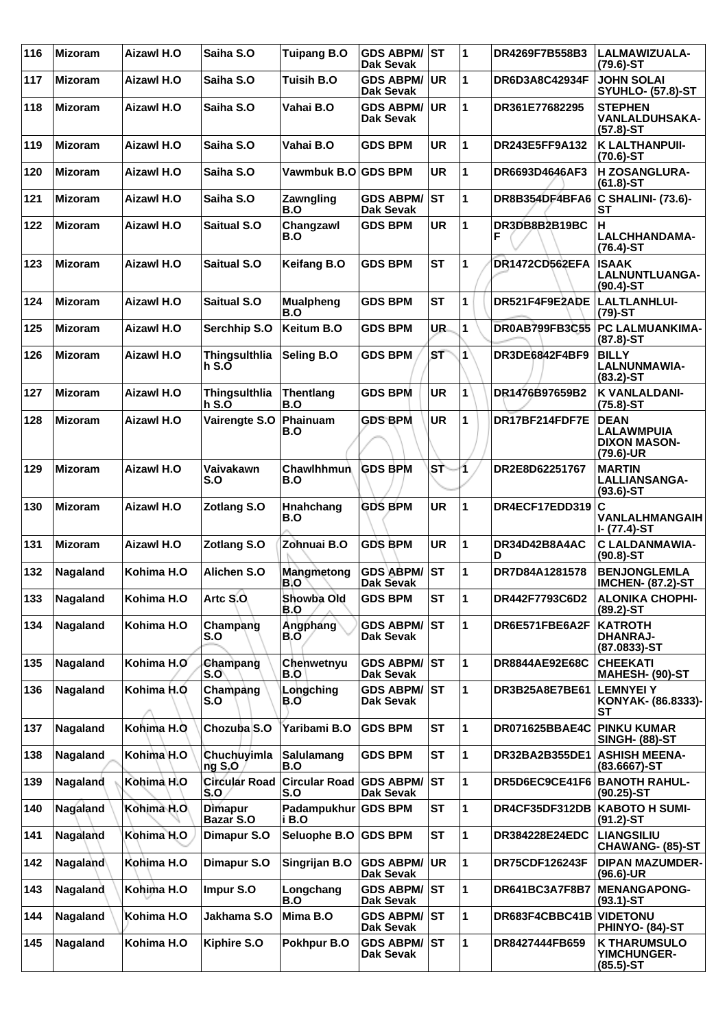| 116 | <b>Mizoram</b> | Aizawl H.O        | Saiha S.O                        | <b>Tuipang B.O</b>          | <b>GDS ABPM/ST</b><br><b>Dak Sevak</b> |           | 1  | DR4269F7B558B3          | LALMAWIZUALA-<br>$(79.6)$ -ST                                        |
|-----|----------------|-------------------|----------------------------------|-----------------------------|----------------------------------------|-----------|----|-------------------------|----------------------------------------------------------------------|
| 117 | <b>Mizoram</b> | Aizawl H.O        | Saiha S.O                        | Tuisih B.O                  | <b>GDS ABPM/</b><br><b>Dak Sevak</b>   | <b>UR</b> | 1  | <b>DR6D3A8C42934F</b>   | <b>JOHN SOLAI</b><br><b>SYUHLO- (57.8)-ST</b>                        |
| 118 | <b>Mizoram</b> | Aizawl H.O        | Saiha S.O                        | Vahai B.O                   | <b>GDS ABPM/</b><br><b>Dak Sevak</b>   | UR.       | 1  | DR361E77682295          | <b>STEPHEN</b><br><b>VANLALDUHSAKA-</b><br>$(57.8) - ST$             |
| 119 | <b>Mizoram</b> | <b>Aizawl H.O</b> | Saiha S.O                        | Vahai B.O                   | <b>GDS BPM</b>                         | <b>UR</b> | 1  | DR243E5FF9A132          | <b>K LALTHANPUII-</b><br>$(70.6)$ -ST                                |
| 120 | <b>Mizoram</b> | Aizawl H.O        | Saiha S.O                        | Vawmbuk B.O GDS BPM         |                                        | UR        | 1  | DR6693D4646AF3          | <b>H ZOSANGLURA-</b><br>$(61.8) - ST$                                |
| 121 | <b>Mizoram</b> | Aizawl H.O        | Saiha S.O                        | Zawngling<br>B.O            | <b>GDS ABPM/</b><br><b>Dak Sevak</b>   | <b>ST</b> | 1  | DR8B354DF4BFA6          | <b>C SHALINI- (73.6)-</b><br><b>ST</b>                               |
| 122 | <b>Mizoram</b> | Aizawl H.O        | <b>Saitual S.O</b>               | Changzawl<br>B.O            | <b>GDS BPM</b>                         | <b>UR</b> | 1  | DR3DB8B2B19BC<br>F      | H<br>LALCHHANDAMA-<br>$(76.4)$ -ST                                   |
| 123 | <b>Mizoram</b> | Aizawl H.O        | <b>Saitual S.O</b>               | <b>Keifang B.O</b>          | <b>GDS BPM</b>                         | <b>ST</b> | 1  | DR1472CD562EFA          | <b>ISAAK</b><br>LALNUNTLUANGA-<br>$(90.4)$ -ST                       |
| 124 | <b>Mizoram</b> | Aizawl H.O        | <b>Saitual S.O</b>               | <b>Mualpheng</b><br>B.O     | <b>GDS BPM</b>                         | <b>ST</b> | 1  | DR521F4F9E2ADE          | LALTLANHLUI-<br>$(79)-ST$                                            |
| 125 | <b>Mizoram</b> | Aizawl H.O        | Serchhip S.O                     | Keitum B.O                  | <b>GDS BPM</b>                         | UR.       | 1  | DR0AB799FB3C55          | <b>PC LALMUANKIMA-</b><br>$(87.8) - ST$                              |
| 126 | <b>Mizoram</b> | Aizawl H.O        | <b>Thingsulthlia</b><br>$h S.$ O | Seling B.O                  | <b>GDS BPM</b>                         | ST        | 1  | <b>DR3DE6842F4BF9</b>   | <b>BILLY</b><br>LALNUNMAWIA-<br>$(83.2)$ -ST                         |
| 127 | <b>Mizoram</b> | Aizawl H.O        | <b>Thingsulthlia</b><br>$h S.$ O | <b>Thentlang</b><br>B.O     | <b>GDS BPM</b>                         | <b>UR</b> | 1  | DR1476B97659B2          | <b>K VANLALDANI-</b><br>$(75.8)$ -ST                                 |
| 128 | <b>Mizoram</b> | Aizawl H.O        | Vairengte S.O                    | Phainuam<br>B.O             | <b>GDS BPM</b>                         | <b>UR</b> | 1  | DR17BF214FDF7E          | <b>DEAN</b><br><b>LALAWMPUIA</b><br><b>DIXON MASON-</b><br>(79.6)-UR |
| 129 | <b>Mizoram</b> | Aizawl H.O        | Vaivakawn<br>S.O                 | Chawlhhmun<br>B.O           | <b>GDS BPM</b>                         | SŤ        | 1  | DR2E8D62251767          | <b>MARTIN</b><br>LALLIANSANGA-<br>$(93.6)$ -ST                       |
| 130 | <b>Mizoram</b> | Aizawl H.O        | <b>Zotlang S.O</b>               | Hnahchang<br>B.O            | <b>GDS BPM</b>                         | <b>UR</b> | 1  | DR4ECF17EDD319          | ١c<br>VANLALHMANGAIH<br>I- (77.4)-ST                                 |
| 131 | <b>Mizoram</b> | Aizawl H.O        | <b>Zotlang S.O</b>               | Zohnuai B.O                 | <b>GDS BPM</b>                         | <b>UR</b> | 1  | DR34D42B8A4AC<br>D      | <b>C LALDANMAWIA-</b><br>$(90.8) - ST$                               |
| 132 | Nagaland       | Kohima H.O        | Alichen S.O                      | Mangmetong<br>B.O           | <b>GDS ABPM/</b><br><b>Dak Sevak</b>   | ∣sт       | 1  | DR7D84A1281578          | <b>BENJONGLEMLA</b><br><b>IMCHEN- (87.2)-ST</b>                      |
| 133 | Nagaland       | Kohima H.O        | Artc S.O.                        | Showba Old<br>B.O           | <b>GDS BPM</b>                         | <b>ST</b> | ∣1 | DR442F7793C6D2          | <b>ALONIKA CHOPHI-</b><br>$(89.2) - ST$                              |
| 134 | Nagaland       | Kohima H.O        | Champang<br>S.O                  | Angphang<br>B.O             | <b>GDS ABPM/</b><br>Dak Sevak          | <b>ST</b> | 1  | DR6E571FBE6A2F          | <b>KATROTH</b><br><b>DHANRAJ-</b><br>(87.0833)-ST                    |
| 135 | Nagaland       | Kohima H.O        | Champang<br>S.O                  | Chenwetnyu<br>B.O           | <b>GDS ABPM/ ST</b><br>Dak Sevak       |           | 1  | <b>DR8844AE92E68C</b>   | <b>CHEEKATI</b><br>MAHESH- (90)-ST                                   |
| 136 | Nagaland       | Kohima H.O        | Champang<br>S.O                  | Longching<br>B.O            | <b>GDS ABPM/</b><br>Dak Sevak          | <b>ST</b> | 1  | DR3B25A8E7BE61          | <b>LEMNYEI Y</b><br>KONYAK- (86.8333)-<br>SТ                         |
| 137 | Nagaland       | Kohima H.Q        | Chozuba S.O                      | Yaribami B.O                | <b>GDS BPM</b>                         | <b>ST</b> | 1  | DR071625BBAE4C          | <b>PINKU KUMAR</b><br><b>SINGH- (88)-ST</b>                          |
| 138 | Nagaland       | Kohima H.O        | Chuchuyimla<br>ngS,0             | <b>Salulamang</b><br>B.O    | <b>GDS BPM</b>                         | <b>ST</b> | 1  | DR32BA2B355DE1          | <b>ASHISH MEENA-</b><br>(83.6667)-ST                                 |
| 139 | Nagaland       | Kohima H.O        | <b>Circular Road</b><br>S.O      | <b>Circular Road</b><br>S.O | <b>GDS ABPM/</b><br>Dak Sevak          | <b>ST</b> | 1  | DR5D6EC9CE41F6          | <b>BANOTH RAHUL-</b><br>(90.25)-ST                                   |
| 140 | Nagaland       | Kohima H.O        | <b>Dimapur</b><br>Bazar S.O      | Padampukhur<br>i B.O        | <b>GDS BPM</b>                         | ST        | 1  | DR4CF35DF312DB          | <b>KABOTO H SUMI-</b><br>(91.2)-ST                                   |
| 141 | Nagaland       | Kohima H.O        | Dimapur S.O                      | Seluophe B.O                | <b>GDS BPM</b>                         | <b>ST</b> | 1  | DR384228E24EDC          | <b>LIANGSILIU</b><br>CHAWANG- (85)-ST                                |
| 142 | Nagaland       | Kohima H.O        | Dimapur S.O                      | Singrijan B.O               | <b>GDS ABPM/</b><br>Dak Sevak          | <b>UR</b> | 1  | DR75CDF126243F          | <b>DIPAN MAZUMDER-</b><br>$(96.6)$ -UR                               |
| 143 | Nagaland       | Kohima H.O        | Impur S.O                        | Longchang<br>B.O            | <b>GDS ABPM/ST</b><br>Dak Sevak        |           | 1  | DR641BC3A7F8B7          | <b>MENANGAPONG-</b><br>$(93.1)$ -ST                                  |
| 144 | Nagaland       | Kohima H.O        | Jakhama S.O                      | Mima B.O                    | <b>GDS ABPM/ST</b><br>Dak Sevak        |           | 1  | DR683F4CBBC41B VIDETONU | PHINYO- (84)-ST                                                      |
| 145 | Nagaland       | Kohima H.O        | Kiphire S.O                      | Pokhpur B.O                 | <b>GDS ABPM/ ST</b><br>Dak Sevak       |           | 1  | DR8427444FB659          | <b>K THARUMSULO</b><br><b>YIMCHUNGER-</b><br>$(85.5)$ -ST            |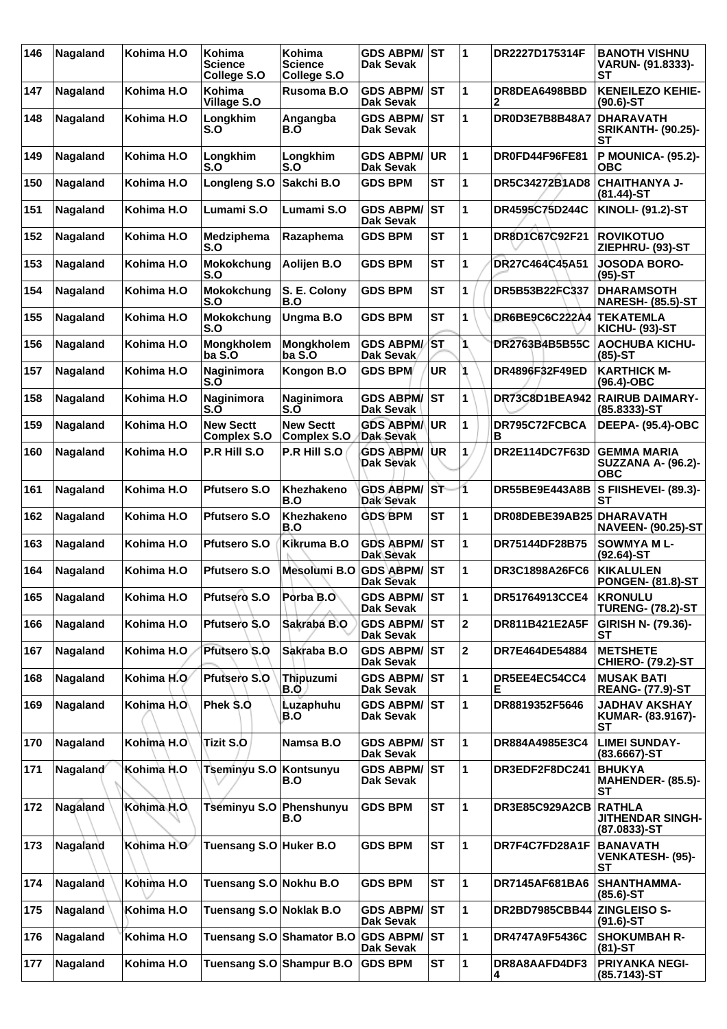| 146 | Nagaland | Kohima H.O | Kohima<br>Science<br>College S.O       | Kohima<br>Science<br>College S.O       | <b>GDS ABPM/ ST</b><br>Dak Sevak        |           | 1            | DR2227D175314F              | <b>BANOTH VISHNU</b><br>VARUN- (91.8333)-<br><b>ST</b>        |
|-----|----------|------------|----------------------------------------|----------------------------------------|-----------------------------------------|-----------|--------------|-----------------------------|---------------------------------------------------------------|
| 147 | Nagaland | Kohima H.O | <b>Kohima</b><br>Village S.O           | Rusoma B.O                             | <b>GDS ABPM/</b><br><b>Dak Sevak</b>    | <b>ST</b> | 1            | DR8DEA6498BBD<br>2          | <b>KENEILEZO KEHIE-</b><br>$(90.6)$ -ST                       |
| 148 | Nagaland | Kohima H.O | Longkhim<br>S.O                        | Angangba<br>B.O                        | <b>GDS ABPM/</b><br>Dak Sevak           | <b>ST</b> | 1            | DR0D3E7B8B48A7              | <b>DHARAVATH</b><br><b>SRIKANTH- (90.25)-</b><br>SТ           |
| 149 | Nagaland | Kohima H.O | Longkhim<br>S.O                        | Longkhim<br>S.O                        | GDS ABPM/<br><b>Dak Sevak</b>           | <b>UR</b> | 1            | DR0FD44F96FE81              | <b>P MOUNICA- (95.2)-</b><br>овс                              |
| 150 | Nagaland | Kohima H.O | Longleng S.O                           | Sakchi B.O                             | <b>GDS BPM</b>                          | <b>ST</b> | 1            | DR5C34272B1AD8              | <b>CHAITHANYA J-</b><br>$(81.44)$ -ST                         |
| 151 | Nagaland | Kohima H.O | Lumami S.O                             | Lumami S.O                             | <b>GDS ABPM/</b><br><b>Dak Sevak</b>    | ∣sт       | 1            | DR4595C75D244C              | <b>KINOLI- (91.2)-ST</b>                                      |
| 152 | Nagaland | Kohima H.O | <b>Medziphema</b><br>S.O               | Razaphema                              | <b>GDS BPM</b>                          | <b>ST</b> | 1            | DR8D1C67C92F21              | <b>ROVIKOTUO</b><br>ZIEPHRU- (93)-ST                          |
| 153 | Nagaland | Kohima H.O | Mokokchung<br>S.O                      | Aolijen B.O                            | <b>GDS BPM</b>                          | <b>ST</b> | 1            | DR27C464C45A51              | <b>JOSODA BORO-</b><br>$(95)-ST$                              |
| 154 | Nagaland | Kohima H.O | Mokokchung<br>S.O                      | S. E. Colony<br>B.O                    | <b>GDS BPM</b>                          | <b>ST</b> | 1            | DR5B53B22FC337              | <b>DHARAMSOTH</b><br><b>NARESH- (85.5)-ST</b>                 |
| 155 | Nagaland | Kohima H.O | <b>Mokokchung</b><br>S.O               | Ungma B.O                              | <b>GDS BPM</b>                          | <b>ST</b> | 1            | DR6BE9C6C222A4              | <b>TEKATEMLA</b><br><b>KICHU- (93)-ST</b>                     |
| 156 | Nagaland | Kohima H.O | Mongkholem<br>ba S.O                   | Mongkholem<br>ba S.O                   | <b>GDS ABPM/ST</b><br>Dak Sevak         |           | 1            | DR2763B4B5B55C              | <b>AOCHUBA KICHU-</b><br>(85)-ST                              |
| 157 | Nagaland | Kohima H.O | Naginimora<br>S.O                      | Kongon B.O                             | <b>GDS BPM</b>                          | <b>UR</b> |              | DR4896F32F49ED              | <b>KARTHICK M-</b><br>(96.4)-OBC                              |
| 158 | Nagaland | Kohima H.O | Naginimora<br>S.O                      | Naginimora<br>S.O                      | <b>GDS ABPM/ ST</b><br>Dak Sevak        |           | 1            | <b>DR73C8D1BEA942</b>       | <b>RAIRUB DAIMARY-</b><br>$(85.8333) - ST$                    |
| 159 | Nagaland | Kohima H.O | <b>New Sectt</b><br><b>Complex S.O</b> | <b>New Sectt</b><br><b>Complex S.O</b> | <b>GDS ABPMA</b><br>Dak Sevak           | <b>UR</b> | 1            | DR795C72FCBCA<br>в          | <b>DEEPA- (95.4)-OBC</b>                                      |
| 160 | Nagaland | Kohima H.O | P.R Hill S.O                           | P.R Hill S.O                           | GDS ABPM/ UR<br>Dak Sevak               |           | 1            | DR2E114DC7F63D              | <b>GEMMA MARIA</b><br><b>SUZZANA A- (96.2)-</b><br><b>OBC</b> |
| 161 | Nagaland | Kohima H.O | <b>Pfutsero S.O</b>                    | Khezhakeno<br>B.O                      | GDS ABPM/ST<br><b>Dak Sevak</b>         |           | 1            | DR55BE9E443A8B              | S FIISHEVEI- (89.3)-<br>SТ                                    |
| 162 | Nagaland | Kohima H.O | <b>Pfutsero S.O</b>                    | Khezhakeno<br>B.O                      | <b>GDS BPM</b>                          | <b>ST</b> | 1            | DR08DEBE39AB25              | <b>DHARAVATH</b><br><b>NAVEEN- (90.25)-ST</b>                 |
| 163 | Nagaland | Kohima H.O | <b>Pfutsero S.O</b>                    | Kikruma B.O                            | <b>GDS ABPM/</b><br>Dak Sevak           | <b>ST</b> | 1            | DR75144DF28B75              | <b>SOWMYA ML-</b><br>$(92.64)$ -ST                            |
| 164 | Nagaland | Kohima H.O | <b>Pfutsero S.O</b>                    | Mesolumi B.O                           | <b>GDS ABPM/ ST</b><br><b>Dak Sevak</b> |           | 1            | DR3C1898A26FC6              | <b>KIKALULEN</b><br><b>PONGEN- (81.8)-ST</b>                  |
| 165 | Nagaland | Kohima H.O | Pfutsero S.O                           | Porba B.O                              | <b>GDS ABPM/ST</b><br>Dak Sevak         |           | ∣1           | DR51764913CCE4              | <b>KRONULU</b><br><b>TURENG- (78.2)-ST</b>                    |
| 166 | Nagaland | Kohima H.O | Pfutsero S.O                           | Sakraba B.O                            | <b>GDS ABPM/ST</b><br><b>Dak Sevak</b>  |           | $\mathbf{2}$ | DR811B421E2A5F              | GIRISH N- (79.36)-<br>SТ                                      |
| 167 | Nagaland | Kohima H.O | <b>Pfutsero S.O</b>                    | Sakraba B.O                            | <b>GDS ABPM/ ST</b><br>Dak Sevak        |           | $\mathbf{2}$ | DR7E464DE54884              | <b>METSHETE</b><br><b>CHIERO- (79.2)-ST</b>                   |
| 168 | Nagaland | Kohima H.O | Pfutsero S.O                           | Thipuzumi<br>B.O                       | <b>GDS ABPM/ ST</b><br>Dak Sevak        |           | 1            | DR5EE4EC54CC4<br>Е          | <b>MUSAK BATI</b><br><b>REANG- (77.9)-ST</b>                  |
| 169 | Nagaland | Kohima H.O | Phek \$.0                              | <b>Luzaphuhu</b><br>B.O                | <b>GDS ABPM/</b><br><b>Dak Sevak</b>    | lst       | 1            | DR8819352F5646              | <b>JADHAV AKSHAY</b><br>KUMAR- (83.9167)-<br><b>ST</b>        |
| 170 | Nagaland | Kohima H.O | Tizit S.O                              | Namsa B.O                              | <b>GDS ABPM/ ST</b><br>Dak Sevak        |           | 1            | DR884A4985E3C4              | <b>LIMEI SUNDAY-</b><br>(83.6667)-ST                          |
| 171 | Nagaland | Kohima H.O | Tseminyu S.O                           | Kontsunyu<br>B.O                       | <b>GDS ABPM/ ST</b><br>Dak Sevak        |           | 1            | DR3EDF2F8DC241              | <b>BHUKYA</b><br><b>MAHENDER- (85.5)-</b><br>SТ               |
| 172 | Nagaland | Kohima H.O | Tseminyu S.O Phenshunyu                | B.O                                    | <b>GDS BPM</b>                          | <b>ST</b> | 1            | DR3E85C929A2CB              | <b>RATHLA</b><br><b>JITHENDAR SINGH-</b><br>$(87.0833)$ -ST   |
| 173 | Nagaland | Kohima H.O | Tuensang S.O Huker B.O                 |                                        | <b>GDS BPM</b>                          | <b>ST</b> | 1            | DR7F4C7FD28A1F              | <b>BANAVATH</b><br><b>VENKATESH- (95)-</b><br>SТ              |
| 174 | Nagaland | Kohima H.O | Tuensang S.O Nokhu B.O                 |                                        | <b>GDS BPM</b>                          | <b>ST</b> | 1            | DR7145AF681BA6              | SHANTHAMMA-<br>(85.6)-ST                                      |
| 175 | Nagaland | Kohima H.O | Tuensang S.O Noklak B.O                |                                        | <b>GDS ABPM/ST</b><br><b>Dak Sevak</b>  |           | 1            | DR2BD7985CBB44 ZINGLEISO S- | $(91.6)$ -ST                                                  |
| 176 | Nagaland | Kohima H.O |                                        | Tuensang S.O Shamator B.O              | <b>GDS ABPM/</b><br>Dak Sevak           | lst       | 1            | DR4747A9F5436C              | <b>SHOKUMBAH R-</b><br>$(81)-ST$                              |
| 177 | Nagaland | Kohima H.O | Tuensang S.O Shampur B.O               |                                        | <b>GDS BPM</b>                          | ST        | 1            | DR8A8AAFD4DF3<br>4          | <b>PRIYANKA NEGI-</b><br>(85.7143)-ST                         |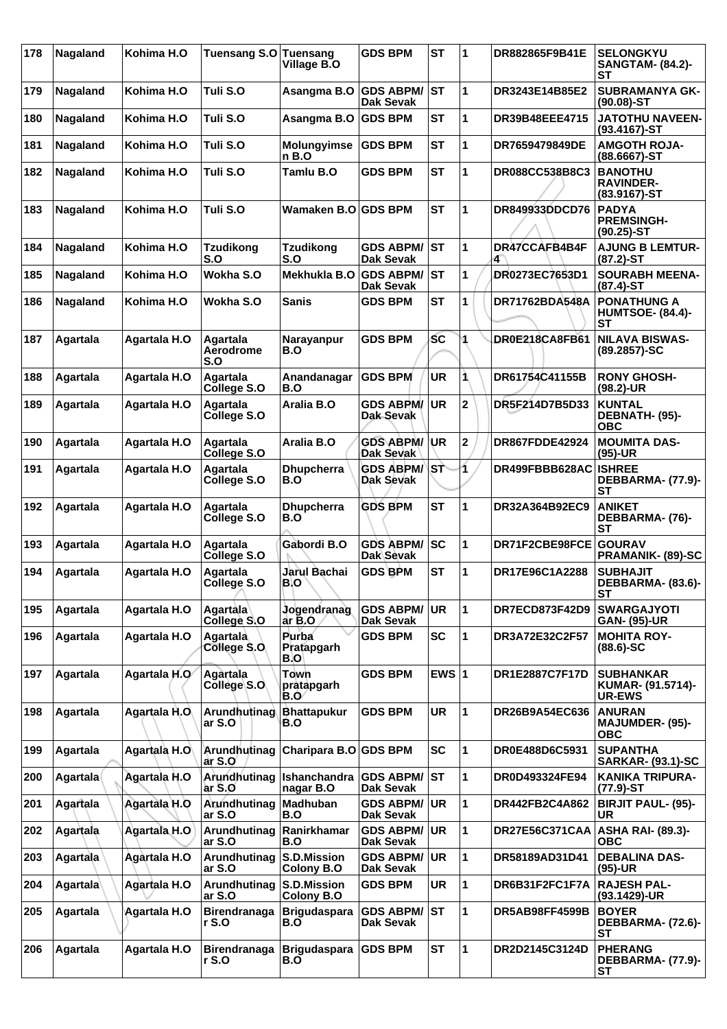| 178 | Nagaland        | Kohima H.O          | <b>Tuensang S.O</b>          | <b>Tuensang</b><br>Village B.O   | <b>GDS BPM</b>                       | <b>ST</b>  | 1                       | <b>DR882865F9B41E</b> | <b>SELONGKYU</b><br><b>SANGTAM- (84.2)-</b><br>SТ          |
|-----|-----------------|---------------------|------------------------------|----------------------------------|--------------------------------------|------------|-------------------------|-----------------------|------------------------------------------------------------|
| 179 | Nagaland        | Kohima H.O          | Tuli S.O                     | Asangma B.O                      | <b>GDS ABPM/</b><br>Dak Sevak        | <b>ST</b>  | 1                       | DR3243E14B85E2        | <b>SUBRAMANYA GK-</b><br>$(90.08)$ -ST                     |
| 180 | Nagaland        | Kohima H.O          | Tuli S.O                     | Asangma B.O                      | <b>GDS BPM</b>                       | <b>ST</b>  | 1                       | <b>DR39B48EEE4715</b> | <b>JATOTHU NAVEEN-</b><br>$(93.4167)$ -ST                  |
| 181 | Nagaland        | Kohima H.O          | Tuli S.O                     | <b>Molungyimse</b><br>n B.O      | <b>GDS BPM</b>                       | SТ         | 1                       | DR7659479849DE        | <b>AMGOTH ROJA-</b><br>$(88.6667) - ST$                    |
| 182 | Nagaland        | Kohima H.O          | Tuli S.O                     | Tamlu B.O                        | <b>GDS BPM</b>                       | <b>ST</b>  | 1                       | DR088CC538B8C3        | <b>BANOTHU</b><br><b>RAVINDER-</b><br>$(83.9167)$ -ST      |
| 183 | Nagaland        | Kohima H.O          | Tuli S.O                     | Wamaken B.O GDS BPM              |                                      | <b>ST</b>  | 1                       | DR849933DDCD76        | <b>PADYA</b><br><b>PREMSINGH-</b><br>$(90.25)$ -ST         |
| 184 | Nagaland        | Kohima H.O          | <b>Tzudikong</b><br>S.O      | Tzudikong<br>S.O                 | <b>GDS ABPM/</b><br><b>Dak Sevak</b> | ST         | 1                       | DR47CCAFB4B4F<br>4    | <b>AJUNG B LEMTUR-</b><br>$(87.2)$ -ST                     |
| 185 | Nagaland        | Kohima H.O          | Wokha S.O                    | Mekhukla B.O                     | <b>GDS ABPM/</b><br>Dak Sevak        | <b>IST</b> | 1                       | DR0273EC7653D1        | <b>SOURABH MEENA-</b><br>$(87.4)$ -ST                      |
| 186 | Nagaland        | Kohima H.O          | Wokha S.O                    | <b>Sanis</b>                     | <b>GDS BPM</b>                       | <b>ST</b>  | 1                       | DR71762BDA548A        | <b>PONATHUNG A</b><br><b>HUMTSOE- (84.4)-</b><br><b>ST</b> |
| 187 | Agartala        | Agartala H.O        | Agartala<br>Aerodrome<br>S.O | Narayanpur<br>B.O                | <b>GDS BPM</b>                       | SC         |                         | DR0E218CA8FB61        | <b>NILAVA BISWAS-</b><br>(89.2857)-SC                      |
| 188 | Agartala        | Agartala H.O        | Agartala<br>College S.O      | Anandanagar<br>B.O               | <b>GDS BPM</b>                       | <b>UR</b>  | 1                       | DR61754C41155B        | <b>RONY GHOSH-</b><br>$(98.2)$ -UR                         |
| 189 | Agartala        | Agartala H.O        | Agartala<br>College S.O      | Aralia B.O                       | <b>GDS ABPM/</b><br>Dak Sevak        | <b>UR</b>  | $\overline{\mathbf{2}}$ | DR5F214D7B5D33        | <b>KUNTAL</b><br>DEBNATH- (95)-<br><b>OBC</b>              |
| 190 | Agartala        | Agartala H.O        | Agartala<br>College S.O      | Aralia B.O                       | <b>GDS ABPM/</b><br>Dak Sevak        | ∣UR        | $\mathbf 2$             | <b>DR867FDDE42924</b> | <b>MOUMITA DAS-</b><br>$(95)-UR$                           |
| 191 | Agartala        | Agartala H.O        | Agartala<br>College S.O      | <b>Dhupcherra</b><br>B.O         | <b>GDS ABPM/</b><br>Dak Sevak        | lsт        | 1.                      | DR499FBBB628AC        | <b>ISHREE</b><br>DEBBARMA- (77.9)-<br>SТ                   |
| 192 | Agartala        | Agartala H.O        | Agartala<br>College S.O      | <b>Dhupcherra</b><br>B.O         | <b>GDS BPM</b>                       | <b>ST</b>  | 1                       | DR32A364B92EC9        | <b>ANIKET</b><br>DEBBARMA- (76)-<br><b>ST</b>              |
| 193 | Agartala        | Agartala H.O        | Agartala<br>College S.O      | Gabordi B.O                      | <b>GDS ABPM/</b><br><b>Dak Sevak</b> | <b>SC</b>  | 1                       | DR71F2CBE98FCE        | <b>GOURAV</b><br>PRAMANIK- (89)-SC                         |
| 194 | Agartala        | Agartala H.O        | Agartala<br>College S.O      | Jarul Bachai<br>B.O              | <b>GDS BPM</b>                       | <b>ST</b>  | 1                       | DR17E96C1A2288        | <b>SUBHAJIT</b><br>DEBBARMA- (83.6)-<br>ST                 |
| 195 | Agartala        | <b>Agartala H.O</b> | Agartala<br>College S.O      | Jogendranag<br>ar B.O            | <b>GDS ABPM/</b><br>Dak Sevak        | <b>UR</b>  | 1                       | DR7ECD873F42D9        | <b>SWARGAJYOTI</b><br><b>GAN- (95)-UR</b>                  |
| 196 | Agartala        | <b>Agartala H.O</b> | Agartala<br>College S.O      | Purba<br>Pratapgarh<br>B.O       | <b>GDS BPM</b>                       | <b>SC</b>  | 1                       | DR3A72E32C2F57        | <b>MOHITA ROY-</b><br>$(88.6) - SC$                        |
| 197 | Agartala        | Agartala H.O        | Agartala<br>College S.O      | <b>Town</b><br>pratapgarh<br>B.O | <b>GDS BPM</b>                       | EWS $ 1$   |                         | DR1E2887C7F17D        | <b>SUBHANKAR</b><br>KUMAR- (91.5714)-<br><b>UR-EWS</b>     |
| 198 | Agartala        | Agartala H.O        | Arundhutinag<br>ar S.O       | <b>Bhattapukur</b><br>B.O        | <b>GDS BPM</b>                       | <b>UR</b>  | 1                       | DR26B9A54EC636        | <b>ANURAN</b><br>MAJUMDER- (95)-<br><b>OBC</b>             |
| 199 | Agartala        | Agartala H.O        | Arundhutinag<br>ar S.O       | <b>Charipara B.O</b>             | <b>GDS BPM</b>                       | SC         | 1                       | DR0E488D6C5931        | <b>SUPANTHA</b><br><b>SARKAR- (93.1)-SC</b>                |
| 200 | Agartala        | <b>Agartala H.O</b> | Arundhutinag<br>ar S.O       | Ishanchandra<br>nagar B.O        | <b>GDS ABPM/</b><br><b>Dak Sevak</b> | <b>ST</b>  | 1                       | DR0D493324FE94        | <b>KANIKA TRIPURA-</b><br>$(77.9)$ -ST                     |
| 201 | Agartala        | Agartala H.O        | Arundhutinag<br>ar S.O       | Madhuban<br>B.O                  | <b>GDS ABPM/</b><br>Dak Sevak        | UR         | 1                       | DR442FB2C4A862        | <b>BIRJIT PAUL- (95)-</b><br>UR                            |
| 202 | Agartala        | Agartala H.O        | Arundhutinag<br>ar S.O       | Ranirkhamar<br>B.O               | <b>GDS ABPM/</b><br>Dak Sevak        | <b>UR</b>  | 1                       | <b>DR27E56C371CAA</b> | <b>ASHA RAI- (89.3)-</b><br><b>OBC</b>                     |
| 203 | <b>Agartala</b> | Agartala H.O        | Arundhutinag<br>ar S.O       | S.D.Mission<br><b>Colony B.O</b> | <b>GDS ABPM/</b><br>Dak Sevak        | <b>UR</b>  | 1                       | DR58189AD31D41        | <b>DEBALINA DAS-</b><br>$(95)-UR$                          |
| 204 | Agartala        | Agartala H.O        | Arundhutinag<br>ar S.O       | <b>S.D.Mission</b><br>Colony B.O | <b>GDS BPM</b>                       | UR         | 1                       | DR6B31F2FC1F7A        | <b>RAJESH PAL-</b><br>(93.1429)-UR                         |
| 205 | Agartala        | Agartala H.O        | <b>Birendranaga</b><br>r S.O | <b>Brigudaspara</b><br>B.O       | <b>GDS ABPM/</b><br>Dak Sevak        | <b>ST</b>  | 1                       | DR5AB98FF4599B        | <b>BOYER</b><br>DEBBARMA- (72.6)-<br><b>ST</b>             |
| 206 | Agartala        | <b>Agartala H.O</b> | <b>Birendranaga</b><br>r S.O | <b>Brigudaspara</b><br>B.O       | <b>GDS BPM</b>                       | <b>ST</b>  | $\mathbf{1}$            | DR2D2145C3124D        | <b>PHERANG</b><br>DEBBARMA- (77.9)-<br><b>ST</b>           |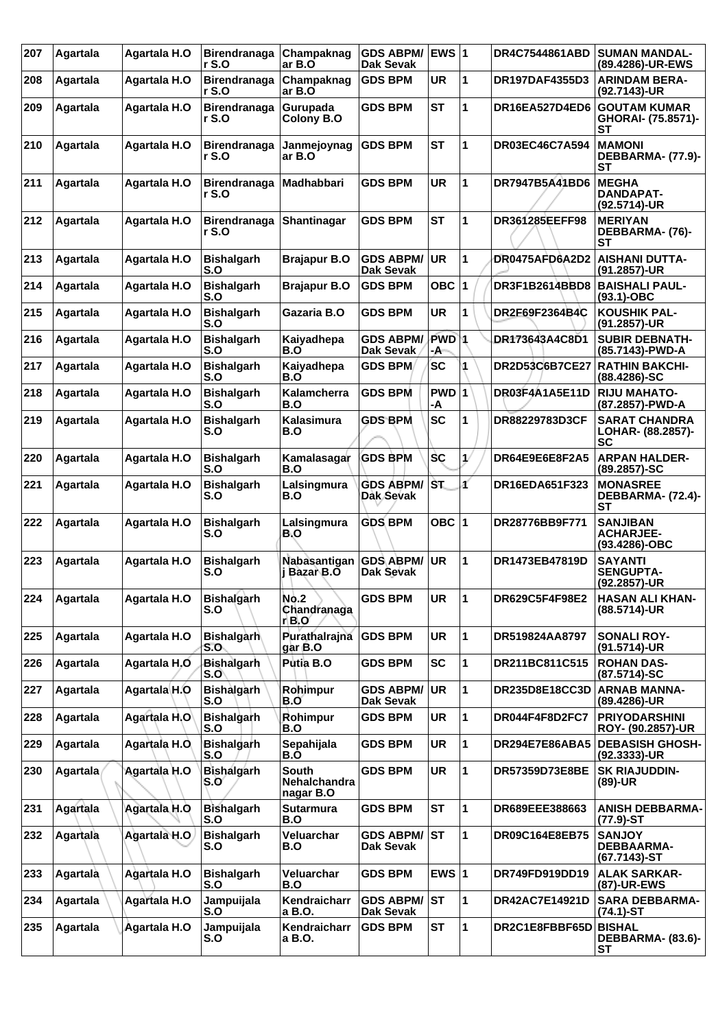| 207 | Agartala | Agartala H.O            | <b>Birendranaga</b><br>r S.O | Champaknag<br>ar B.O                      | <b>GDS ABPM/</b><br><b>Dak Sevak</b> | EWS $ 1$               |              | DR4C7544861ABD        | <b>SUMAN MANDAL-</b><br>(89.4286)-UR-EWS               |
|-----|----------|-------------------------|------------------------------|-------------------------------------------|--------------------------------------|------------------------|--------------|-----------------------|--------------------------------------------------------|
| 208 | Agartala | Agartala H.O            | <b>Birendranaga</b><br>r S.O | Champaknag<br>ar B.O                      | <b>GDS BPM</b>                       | UR                     | 1            | <b>DR197DAF4355D3</b> | <b>ARINDAM BERA-</b><br>(92.7143)-UR                   |
| 209 | Agartala | <b>Agartala H.O</b>     | <b>Birendranaga</b><br>r S.O | Gurupada<br><b>Colony B.O</b>             | <b>GDS BPM</b>                       | <b>ST</b>              | 1            | DR16EA527D4ED6        | <b>GOUTAM KUMAR</b><br>GHORAI- (75.8571)-<br><b>ST</b> |
| 210 | Agartala | <b>Agartala H.O</b>     | <b>Birendranaga</b><br>r S.O | Janmejoynag<br>ar B.O                     | <b>GDS BPM</b>                       | <b>ST</b>              | 1            | <b>DR03EC46C7A594</b> | <b>MAMONI</b><br>DEBBARMA- (77.9)-<br><b>ST</b>        |
| 211 | Agartala | Agartala H.O            | <b>Birendranaga</b><br>r S.O | Madhabbari                                | GDS BPM                              | UR                     | 1            | DR7947B5A41BD6        | <b>MEGHA</b><br>DANDAPAT-<br>(92.5714)-UR              |
| 212 | Agartala | Agartala H.O            | <b>Birendranaga</b><br>r S.O | Shantinagar                               | <b>GDS BPM</b>                       | <b>ST</b>              | 1            | <b>DR361285EEFF98</b> | <b>MERIYAN</b><br>DEBBARMA- (76)-<br><b>ST</b>         |
| 213 | Agartala | Agartala H.O            | <b>Bishalgarh</b><br>S.O     | <b>Brajapur B.O</b>                       | <b>GDS ABPM/</b><br><b>Dak Sevak</b> | <b>UR</b>              | 1            | DR0475AFD6A2D2        | AISHANI DUTTA-<br>(91.2857)-UR                         |
| 214 | Agartala | Agartala H.O            | <b>Bishalgarh</b><br>S.O     | <b>Brajapur B.O</b>                       | <b>GDS BPM</b>                       | OBC $ 1$               |              | DR3F1B2614BBD8        | <b>BAISHALI PAUL-</b><br>$(93.1) - OBC$                |
| 215 | Agartala | Agartala H.O            | <b>Bishalgarh</b><br>S.O     | Gazaria B.O                               | GDS BPM                              | <b>UR</b>              | 1            | DR2F69F2364B4C        | <b>KOUSHIK PAL-</b><br>(91.2857)-UR                    |
| 216 | Agartala | Agartala H.O            | <b>Bishalgarh</b><br>S.O     | Kaiyadhepa<br>B.O                         | <b>GDS ABPM/</b><br>Dak Sevak        | PWD <sup>1</sup><br>-A |              | DR173643A4C8D1        | <b>SUBIR DEBNATH-</b><br>(85.7143)-PWD-A               |
| 217 | Agartala | Agartala H.O            | <b>Bishalgarh</b><br>S.O     | Kaiyadhepa<br>B.O                         | <b>GDS BPM</b>                       | <b>SC</b>              | 1            | <b>DR2D53C6B7CE27</b> | <b>RATHIN BAKCHI-</b><br>$(88.4286) - SC$              |
| 218 | Agartala | <b>Agartala H.O</b>     | <b>Bishalgarh</b><br>S.O     | Kalamcherra<br>B.O                        | <b>GDS BPM</b>                       | $PWD$ 1<br>-A          |              | DR03F4A1A5E11D        | <b>RIJU MAHATO-</b><br>(87.2857)-PWD-A                 |
| 219 | Agartala | Agartala H.O            | <b>Bishalgarh</b><br>S.O     | Kalasimura<br>B.O                         | <b>GDS BPM</b>                       | <b>SC</b>              | 1            | <b>DR88229783D3CF</b> | <b>SARAT CHANDRA</b><br>LOHAR- (88.2857)-<br>SС        |
| 220 | Agartala | Agartala H.O            | <b>Bishalgarh</b><br>S.O     | Kamalasagar<br>B.O                        | <b>GDS BPM</b>                       | <b>SC</b>              | ₩            | DR64E9E6E8F2A5        | <b>ARPAN HALDER-</b><br>$(89.2857)$ -SC                |
| 221 | Agartala | Agartala H.O            | <b>Bishalgarh</b><br>S.O     | Lalsingmura<br>B.O                        | <b>GDS ABPM/</b><br>Dak Sevak        | ŠT.                    | ď            | DR16EDA651F323        | <b>MONASREE</b><br>DEBBARMA- (72.4)-<br><b>ST</b>      |
| 222 | Agartala | Agartala H.O            | <b>Bishalgarh</b><br>S.O     | Lalsingmura<br>B.O                        | <b>GDS BPM</b>                       | OBC $ 1$               |              | DR28776BB9F771        | <b>SANJIBAN</b><br><b>ACHARJEE-</b><br>(93.4286)-OBC   |
| 223 | Agartala | Agartala H.O            | <b>Bishalgarh</b><br>S.O     | Nabasantigan<br>j Bazar B.O               | <b>GDS ABPM/</b><br>Dak Sevak        | <b>UR</b>              | 1            | DR1473EB47819D        | <b>SAYANTI</b><br><b>SENGUPTA-</b><br>(92.2857)-UR     |
| 224 | Agartala | Agartala H.O            | <b>Bishalgarh</b><br>S.O     | <b>No.2</b><br>Chandranaga<br>r B.O       | <b>GDS BPM</b>                       | UR                     | $\vert$ 1    | DR629C5F4F98E2        | <b>HASAN ALI KHAN-</b><br>(88.5714)-UR                 |
| 225 | Agartala | <b>Agartala H.O</b>     | <b>Bishalgarh</b><br>S.O     | Purathalrajna<br>gar B.O                  | <b>GDS BPM</b>                       | <b>UR</b>              | $\mathbf{1}$ | DR519824AA8797        | <b>SONALI ROY-</b><br>(91.5714)-UR                     |
| 226 | Agartala | Agartala H.O            | <b>Bishalgarh</b><br>S.O     | Putia B.O                                 | <b>GDS BPM</b>                       | SC                     | 1            | DR211BC811C515        | <b>ROHAN DAS-</b><br>(87.5714)-SC                      |
| 227 | Agartala | Agartala <sub>H.O</sub> | <b>Bishalgarh</b><br>S.O     | Rohimpur<br>B.O                           | <b>GDS ABPM/</b><br>Dak Sevak        | <b>UR</b>              | $\mathbf{1}$ | DR235D8E18CC3D        | <b>ARNAB MANNA-</b><br>(89.4286)-UR                    |
| 228 | Agartala | Agartala H.O            | <b>Bishalgarh</b><br>S.O     | Rohimpur<br>B.O                           | <b>GDS BPM</b>                       | UR                     | $\mathbf{1}$ | DR044F4F8D2FC7        | <b>PRIYODARSHINI</b><br><b>ROY- (90.2857)-UR</b>       |
| 229 | Agartala | Agartala H.O            | <b>Bishalgarh</b><br>S.O     | Sepahijala<br>B.O                         | <b>GDS BPM</b>                       | UR                     | 1            | DR294E7E86ABA5        | <b>DEBASISH GHOSH-</b><br>$(92.3333)$ -UR              |
| 230 | Agartala | Agartala H.O            | Bishalgarh<br>S.O            | South<br><b>Nehalchandra</b><br>nagar B.O | <b>GDS BPM</b>                       | <b>UR</b>              | 1            | DR57359D73E8BE        | <b>SK RIAJUDDIN-</b><br>(89)-UR                        |
| 231 | Agartala | <b>Agartala H.O</b>     | <b>Bishalgarh</b><br>S.O     | <b>Sutarmura</b><br>B.O                   | <b>GDS BPM</b>                       | <b>ST</b>              | 1            | DR689EEE388663        | <b>ANISH DEBBARMA-</b><br>$(77.9)$ -ST                 |
| 232 | Agartala | Agartala H.O            | <b>Bishalgarh</b><br>S.O     | Veluarchar<br>B.O                         | <b>GDS ABPM/</b><br>Dak Sevak        | lst                    | $\mathbf{1}$ | DR09C164E8EB75        | <b>SANJOY</b><br><b>DEBBAARMA-</b><br>(67.7143)-ST     |
| 233 | Agartala | Agartala H.O            | <b>Bishalgarh</b><br>S.O     | <b>Veluarchar</b><br>B.O                  | <b>GDS BPM</b>                       | EWS $ 1$               |              | DR749FD919DD19        | <b>ALAK SARKAR-</b><br>(87)-UR-EWS                     |
| 234 | Agartala | <b>Agartala H.O</b>     | Jampuijala<br>S.O            | Kendraicharr<br>a B.O.                    | <b>GDS ABPM/</b><br>Dak Sevak        | <b>ST</b>              | 1            | DR42AC7E14921D        | <b>SARA DEBBARMA-</b><br>$(74.1)$ -ST                  |
| 235 | Agartala | Agartala H.O            | Jampuijala<br>S.O            | Kendraicharr<br>a B.O.                    | <b>GDS BPM</b>                       | ST                     | 1            | DR2C1E8FBBF65D BISHAL | DEBBARMA- (83.6)-<br><b>ST</b>                         |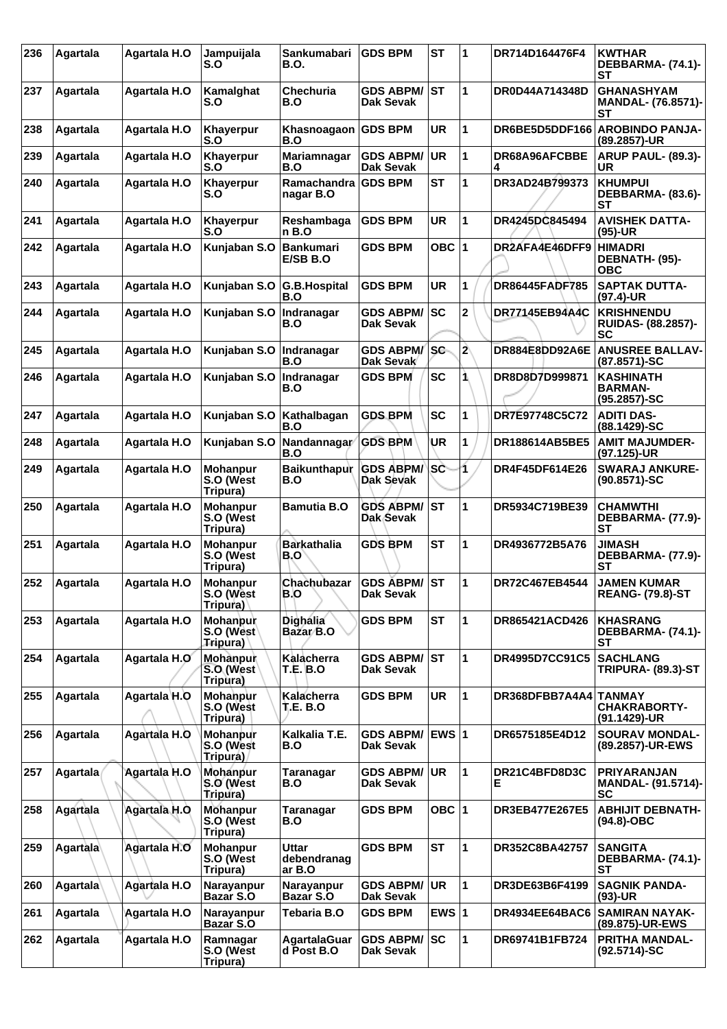| 236 | Agartala        | Agartala H.O        | Jampuijala<br>S.O                        | Sankumabari<br>B.O.               | <b>GDS BPM</b>                       | <b>ST</b> | 1                       | DR714D164476F4             | <b>KWTHAR</b><br>DEBBARMA- (74.1)-<br><b>ST</b>       |
|-----|-----------------|---------------------|------------------------------------------|-----------------------------------|--------------------------------------|-----------|-------------------------|----------------------------|-------------------------------------------------------|
| 237 | Agartala        | Agartala H.O        | Kamalghat<br>S.O                         | Chechuria<br>B.O                  | <b>GDS ABPM/</b><br>Dak Sevak        | lst       | 1                       | DR0D44A714348D             | <b>GHANASHYAM</b><br><b>MANDAL- (76.8571)-</b><br>SТ  |
| 238 | Agartala        | Agartala H.O        | Khayerpur<br>S.O                         | Khasnoagaon<br>B.O                | <b>GDS BPM</b>                       | <b>UR</b> | 1                       | DR6BE5D5DDF166             | <b>AROBINDO PANJA-</b><br>(89.2857)-UR                |
| 239 | Agartala        | Agartala H.O        | <b>Khayerpur</b><br>S.O                  | Mariamnagar<br>B.O                | <b>GDS ABPM/</b><br><b>Dak Sevak</b> | <b>UR</b> | 1                       | DR68A96AFCBBE<br>4         | <b>ARUP PAUL- (89.3)-</b><br>UR                       |
| 240 | Agartala        | Agartala H.O        | <b>Khayerpur</b><br>S.O                  | Ramachandra<br>nagar B.O          | <b>GDS BPM</b>                       | <b>ST</b> | 1                       | DR3AD24B799373             | <b>KHUMPUI</b><br>DEBBARMA- (83.6)-<br><b>ST</b>      |
| 241 | Agartala        | Agartala H.O        | <b>Khayerpur</b><br>S.O                  | Reshambaga<br>n B.O               | <b>GDS BPM</b>                       | UR        | 1                       | DR4245DC845494             | <b>AVISHEK DATTA-</b><br>$(95)-UR$                    |
| 242 | Agartala        | Agartala H.O        | Kunjaban S.O                             | Bankumari<br>E/SB B.O             | <b>GDS BPM</b>                       | OBC $ 1$  |                         | DR2AFA4E46DFF9             | <b>HIMADRI</b><br>DEBNATH- (95)-<br>ОВС               |
| 243 | Agartala        | Agartala H.O        | Kunjaban S.O G.B. Hospital               | B.O                               | GDS BPM                              | UR        | 1                       | DR86445FADF785             | <b>SAPTAK DUTTA-</b><br>(97.4)-UR                     |
| 244 | Agartala        | Agartala H.O        | Kunjaban S.O                             | Indranagar<br>B.O                 | <b>GDS ABPM/</b><br>Dak Sevak        | <b>SC</b> | 2                       | <b>DR77145EB94A4C</b>      | <b>KRISHNENDU</b><br><b>RUIDAS- (88.2857)-</b><br>SC  |
| 245 | Agartala        | <b>Agartala H.O</b> | Kunjaban S.O                             | Indranagar<br>B.O                 | <b>GDS ABPM/</b><br>Dak Sevak        | <b>SC</b> | $\overline{\mathbf{2}}$ | DR884E8DD92A6E             | <b>ANUSREE BALLAV-</b><br>(87.8571)-SC                |
| 246 | Agartala        | Agartala H.O        | Kunjaban S.O                             | Indranagar<br>B.O                 | <b>GDS BPM</b>                       | <b>SC</b> | 1                       | DR8D8D7D999871             | <b>KASHINATH</b><br><b>BARMAN-</b><br>(95.2857)-SC    |
| 247 | Agartala        | Agartala H.O        | Kunjaban S.O                             | Kathalbagan<br>B.O                | <b>GDS BPM</b>                       | <b>SC</b> | 1                       | DR7E97748C5C72             | <b>ADITI DAS-</b><br>(88.1429)-SC                     |
| 248 | Agartala        | <b>Agartala H.O</b> | Kunjaban S.O                             | Nandannagar<br>B.O                | <b>GDS BPM</b>                       | UR        | 1                       | DR188614AB5BE5             | <b>AMIT MAJUMDER-</b><br>(97.125)-UR                  |
| 249 | Agartala        | Agartala H.O        | <b>Mohanpur</b><br>S.O (West<br>Tripura) | Baikunthapur<br>B.O               | <b>GDS ABPM/</b><br>Dak Sevak        | <b>SC</b> | 1.                      | DR4F45DF614E26             | <b>SWARAJ ANKURE-</b><br>$(90.8571) - SC$             |
| 250 | Agartala        | Agartala H.O        | <b>Mohanpur</b><br>S.O (West<br>Tripura) | <b>Bamutia B.O</b>                | <b>GDS ABPM/</b><br>Dak Sevak        | <b>ST</b> | 1                       | DR5934C719BE39             | <b>CHAMWTHI</b><br>DEBBARMA- (77.9)-<br><b>ST</b>     |
| 251 | Agartala        | Agartala H.O        | <b>Mohanpur</b><br>S.O (West<br>Tripura) | <b>Barkathalia</b><br>B.O         | <b>GDS BPM</b>                       | <b>ST</b> | 1                       | DR4936772B5A76             | JIMASH<br><b>DEBBARMA- (77.9)-</b><br>SТ              |
| 252 | Agartala        | Agartala H.O        | <b>Mohanpur</b><br>S.O (West<br>Tripura) | Chachubazar<br>B.O                | <b>GDS ÅBPM/</b><br>Dak Sevak        | lst       | 1                       | DR72C467EB4544             | <b>JAMEN KUMAR</b><br><b>REANG- (79.8)-ST</b>         |
| 253 | Agartala        | Agartala H.O        | <b>Mohanpur</b><br>S.O (West<br>Tripura) | <b>Dighália</b><br>Bazar B.O      | <b>GDS BPM</b>                       | <b>ST</b> | 1                       | DR865421ACD426             | <b>KHASRANG</b><br>DEBBARMA- (74.1)-<br>SТ            |
| 254 | <b>Agartala</b> | Agartala H.O        | Mohanpur<br>S.O (West<br>Tripura)        | Kalacherra<br><b>T.E. B.O</b>     | GDS ABPM/ ST<br>Dak Sevak            |           | 1                       | DR4995D7CC91C5             | <b>SACHLANG</b><br><b>TRIPURA- (89.3)-ST</b>          |
| 255 | Agartala        | Agartala H.O        | Mohanpur<br>S.O (West<br>Tripura)        | Kalacherra<br><b>T.E. B.O</b>     | <b>GDS BPM</b>                       | <b>UR</b> | $\mathbf 1$             | DR368DFBB7A4A4 TANMAY      | <b>CHAKRABORTY-</b><br>(91.1429)-UR                   |
| 256 | Agartala        | Agartala H.O        | Mohanpur<br>S.O (West<br>Tripura)        | Kalkalia T.E.<br>B.O              | <b>GDS ABPM/</b><br>Dak Sevak        | EWS $ 1$  |                         | DR6575185E4D12             | <b>SOURAV MONDAL-</b><br>(89.2857)-UR-EWS             |
| 257 | Agartala        | Agartala H.O        | Mohanpur<br>S.O (West<br>Tripura)        | Taranagar<br>B.O                  | <b>GDS ABPM/</b><br>Dak Sevak        | <b>UR</b> | 1                       | <b>DR21C4BFD8D3C</b><br>E. | <b>PRIYARANJAN</b><br><b>MANDAL- (91.5714)-</b><br>SC |
| 258 | Agartala        | Agartala H.O        | <b>Mohanpur</b><br>S.O (West<br>Tripura) | Taranagar<br>B.O                  | <b>GDS BPM</b>                       | OBC $ 1$  |                         | <b>DR3EB477E267E5</b>      | <b>ABHIJIT DEBNATH-</b><br>(94.8)-OBC                 |
| 259 | Agartala        | Agartala H.O        | <b>Mohanpur</b><br>S.O (West<br>Tripura) | Uttar<br>debendranag<br>ar B.O    | <b>GDS BPM</b>                       | <b>ST</b> | 1                       | DR352C8BA42757             | <b>SANGITA</b><br>DEBBARMA- (74.1)-<br>SТ             |
| 260 | Agartala        | <b>Agartala H.O</b> | Narayanpur<br><b>Bazar S.O</b>           | Narayanpur<br><b>Bazar S.O</b>    | <b>GDS ABPM/</b><br>Dak Sevak        | <b>UR</b> | $\mathbf{1}$            | DR3DE63B6F4199             | <b>SAGNIK PANDA-</b><br>$(93)-UR$                     |
| 261 | Agartala        | Agartala H.O        | Narayanpur<br>Bazar S.O                  | Tebaria B.O                       | <b>GDS BPM</b>                       | EWS $ 1$  |                         | DR4934EE64BAC6             | <b>SAMIRAN NAYAK-</b><br>(89.875)-UR-EWS              |
| 262 | Agartala        | <b>Agartala H.O</b> | Ramnagar<br>S.O (West<br>Tripura)        | <b>AgartalaGuar</b><br>d Post B.O | <b>GDS ABPM/</b><br>Dak Sevak        | <b>SC</b> | $\mathbf{1}$            | DR69741B1FB724             | <b>PRITHA MANDAL-</b><br>(92.5714)-SC                 |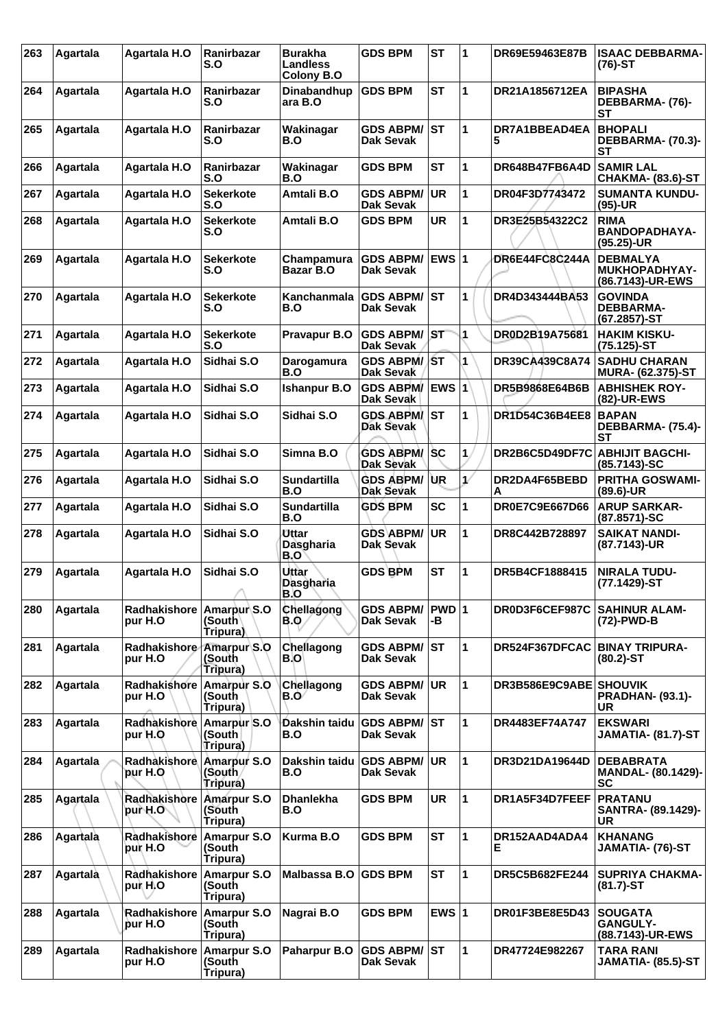| 263 | Agartala | Agartala H.O                        | Ranirbazar<br>S.O                        | Burakha<br>Landless<br><b>Colony B.O</b> | <b>GDS BPM</b>                          | <b>ST</b>    | 1            | DR69E59463E87B         | <b>ISAAC DEBBARMA-</b><br>$(76)-ST$                         |
|-----|----------|-------------------------------------|------------------------------------------|------------------------------------------|-----------------------------------------|--------------|--------------|------------------------|-------------------------------------------------------------|
| 264 | Agartala | <b>Agartala H.O</b>                 | <b>Ranirbazar</b><br>S.O                 | Dinabandhup<br>ara B.O                   | <b>GDS BPM</b>                          | <b>ST</b>    | 1            | DR21A1856712EA         | <b>BIPASHA</b><br>DEBBARMA- (76)-<br>SТ                     |
| 265 | Agartala | <b>Agartala H.O</b>                 | Ranirbazar<br>S.O                        | Wakinagar<br>B.O                         | <b>GDS ABPM/</b><br>Dak Sevak           | lst          | 1            | DR7A1BBEAD4EA<br>5     | <b>BHOPALI</b><br>DEBBARMA- (70.3)-<br><b>ST</b>            |
| 266 | Agartala | <b>Agartala H.O</b>                 | Ranirbazar<br>S.O                        | Wakinagar<br>B.O                         | <b>GDS BPM</b>                          | <b>ST</b>    | 1            | DR648B47FB6A4D         | <b>SAMIR LAL</b><br><b>CHAKMA- (83.6)-ST</b>                |
| 267 | Agartala | Agartala H.O                        | <b>Sekerkote</b><br>S.O                  | Amtali B.O                               | <b>GDS ABPM/</b><br><b>Dak Sevak</b>    | <b>UR</b>    | 1            | DR04F3D7743472         | <b>SUMANTA KUNDU-</b><br>$(95)-UR$                          |
| 268 | Agartala | Agartala H.O                        | <b>Sekerkote</b><br>S.O                  | Amtali B.O                               | <b>GDS BPM</b>                          | <b>UR</b>    | 1            | DR3E25B54322C2         | <b>RIMA</b><br>BANDOPADHAYA-<br>(95.25)-UR                  |
| 269 | Agartala | Agartala H.O                        | <b>Sekerkote</b><br>S.O                  | Champamura<br>Bazar B.O                  | <b>GDS ABPM/</b><br>Dak Sevak           | <b>EWS 1</b> |              | DR6E44FC8C244A         | <b>DEBMALYA</b><br><b>MUKHOPADHYAY-</b><br>(86.7143)-UR-EWS |
| 270 | Agartala | Agartala H.O                        | <b>Sekerkote</b><br>S.O                  | Kanchanmala<br>B.O                       | <b>GDS ABPM/</b><br><b>Dak Sevak</b>    | lst          | 1            | DR4D343444BA53         | <b>GOVINDA</b><br><b>DEBBARMA-</b><br>(67.2857)-ST          |
| 271 | Agartala | <b>Agartala H.O</b>                 | <b>Sekerkote</b><br>S.O                  | <b>Pravapur B.O</b>                      | <b>GDS ABPM/</b><br><b>Dak Sevak</b>    | <b>IST</b>   | 1            | DR0D2B19A75681         | <b>HAKIM KISKU-</b><br>(75.125)-ST                          |
| 272 | Agartala | Agartala H.O                        | Sidhai S.O                               | Darogamura<br>B.O                        | <b>GDS ABPM/ST</b><br>Dak Sevak         |              | 1            | DR39CA439C8A74         | <b>SADHU CHARAN</b><br><b>MURA- (62.375)-ST</b>             |
| 273 | Agartala | Agartala H.O                        | Sidhai S.O                               | <b>Ishanpur B.O</b>                      | <b>GDS ABPM/</b><br>Dak Sevak           |              |              | DR5B9868E64B6B         | <b>ABHISHEK ROY-</b><br>(82)-UR-EWS                         |
| 274 | Agartala | <b>Agartala H.O</b>                 | Sidhai S.O                               | Sidhai S.O                               | <b>GDS ABPM</b><br><b>Dak Sevak</b>     | IST.         | 1            | DR1D54C36B4EE8         | <b>BAPAN</b><br>DEBBARMA- (75.4)-<br><b>ST</b>              |
| 275 | Agartala | <b>Agartala H.O</b>                 | Sidhai S.O                               | Simna B.O                                | <b>GDS ABPM/ SC</b><br>Dak Sevak        |              | $\mathbf 1$  | DR2B6C5D49DF7C         | <b>ABHIJIT BAGCHI-</b><br>(85.7143)-SC                      |
| 276 | Agartala | Agartala H.O                        | Sidhai S.O                               | <b>Sundartilla</b><br>B.O                | <b>GDS ABPM/</b><br>Dak Sevak           | <b>UR</b>    | $\mathcal V$ | DR2DA4F65BEBD<br>Α     | <b>PRITHA GOSWAMI-</b><br>(89.6)-UR                         |
| 277 | Agartala | Agartala H.O                        | Sidhai S.O                               | <b>Sundartilla</b><br>B.O                | <b>GDS BPM</b>                          | <b>SC</b>    | 1            | DR0E7C9E667D66         | <b>ARUP SARKAR-</b><br>(87.8571)-SC                         |
| 278 | Agartala | Agartala H.O                        | Sidhai S.O                               | <b>Uttar</b><br>Dasgharia<br>B.O         | <b>GDS ABPM/</b><br>Dak Sevak           | <b>UR</b>    | 1            | DR8C442B728897         | <b>SAIKAT NANDI-</b><br>(87.7143)-UR                        |
| 279 | Agartala | Agartala H.O                        | Sidhai S.O<br>↗                          | Uttar<br>Dasgharia<br>B.O                | <b>GDS BPM</b>                          | <b>ST</b>    | 1            | DR5B4CF1888415         | <b>NIRALA TUDU-</b><br>(77.1429)-ST                         |
| 280 | Agartala | Radhakishore<br>pur H.O             | Amarpur S.O<br>(South∖<br>Tripura)       | Chellagong<br><b>B.O.</b>                | <b>GDS ABPM/</b><br><b>Dak Sevak</b>    | PWD 1<br>-В  |              | DR0D3F6CEF987C         | <b>SAHINUR ALAM-</b><br>(72)-PWD-B                          |
| 281 | Agartala | Radhakishore<br>pur H.O             | Amarpur S.O<br>(South<br>Tripura)        | Chellagong<br>B.O                        | <b>GDS ABPM/ST</b><br>Dak Sevak         |              | 1            | DR524F367DFCAC         | BINAY TRIPURA-<br>$(80.2)$ -ST                              |
| 282 | Agartala | Radhakishore<br>pur H.O             | Amarpur S.O<br>(South<br>Tripura)        | Chellagong<br>B.O                        | <b>GDS ABPM/</b><br>Dak Sevak           | <b>UR</b>    | 1            | DR3B586E9C9ABE SHOUVIK | <b>PRADHAN- (93.1)-</b><br><b>UR</b>                        |
| 283 | Agartala | Radhakishore Amarpur S.O<br>pur H.O | (South<br>(Tripura                       | Dakshin taidu<br>B.O                     | <b>GDS ABPM/ ST</b><br><b>Dak Sevak</b> |              | 1            | DR4483EF74A747         | <b>EKSWARI</b><br>JAMATIA- (81.7)-ST                        |
| 284 | Agartala | Radhakishore Amarpur S.O<br>pur H.O | (South)<br>Tripura)                      | Dakshin taidu<br>B.O                     | <b>GDS ABPM/</b><br>Dak Sevak           | <b>UR</b>    | 1            | DR3D21DA19644D         | <b>DEBABRATA</b><br><b>MANDAL- (80.1429)-</b><br><b>SC</b>  |
| 285 | Agartala | Radhakishore Amarpur S.O<br>pur H.O | (South<br>Tripura)                       | <b>Dhanlekha</b><br>B.O                  | <b>GDS BPM</b>                          | <b>UR</b>    | 1            | DR1A5F34D7FEEF         | PRATANU<br>SANTRA- (89.1429)-<br>UR                         |
| 286 | Agartala | Radhakishore<br>pur H.O             | <b>Amarpur S.O</b><br>(South<br>Tripura) | Kurma B.O                                | <b>GDS BPM</b>                          | <b>ST</b>    | 1            | DR152AAD4ADA4<br>Е     | <b>KHANANG</b><br>JAMATIA- (76)-ST                          |
| 287 | Agartala | Rådhakishore<br>pur H.O             | <b>Amarpur S.O</b><br>(South<br>Tripura) | Malbassa B.O                             | <b>GDS BPM</b>                          | <b>ST</b>    | 1            | DR5C5B682FE244         | <b>SUPRIYA CHAKMA-</b><br>$(81.7)$ -ST                      |
| 288 | Agartala | Radhakishore<br>pur H.O             | <b>Amarpur S.O</b><br>(South<br>Tripura) | Nagrai B.O                               | <b>GDS BPM</b>                          | EWS $ 1$     |              | DR01F3BE8E5D43         | <b>SOUGATA</b><br><b>GANGULY-</b><br>(88.7143)-UR-EWS       |
| 289 | Agartala | Radhakishore<br>pur H.O             | Amarpur S.O<br>(South<br>Tripura)        | Paharpur B.O                             | <b>GDS ABPM/ ST</b><br><b>Dak Sevak</b> |              | 1            | DR47724E982267         | <b>TARA RANI</b><br>JAMATIA- (85.5)-ST                      |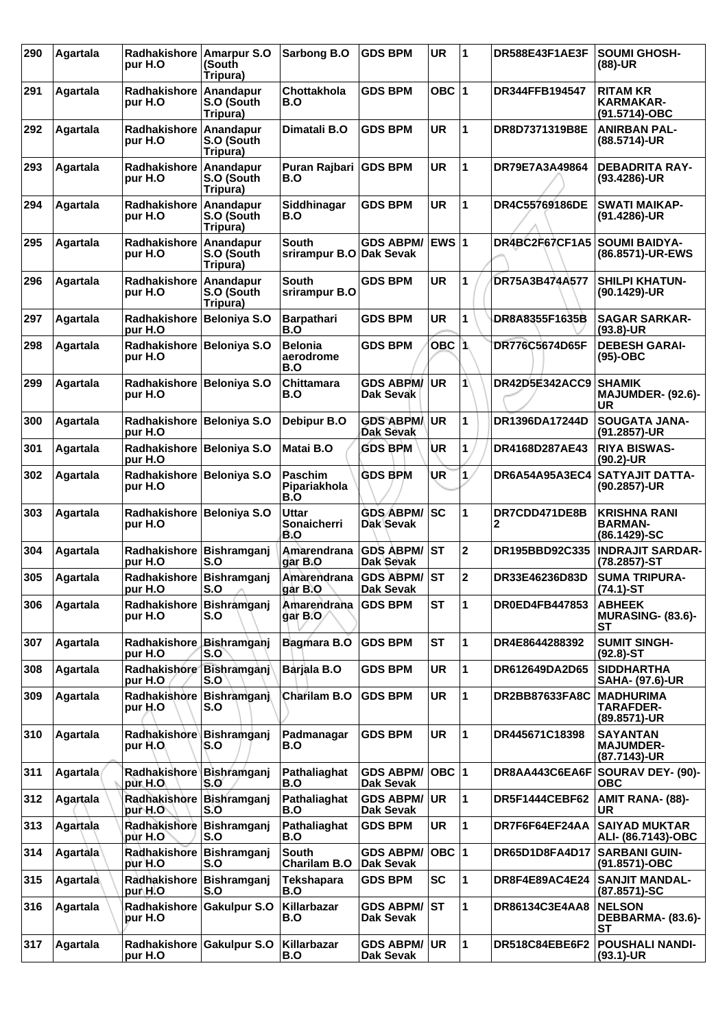| 290 | Agartala        | <b>Radhakishore</b><br>pur H.O       | Amarpur S.O<br>(South<br>Tripura)   | Sarbong B.O                             | <b>GDS BPM</b>                          | <b>UR</b>    | 1              | DR588E43F1AE3F        | <b>SOUMI GHOSH-</b><br>$(88)-UR$                       |
|-----|-----------------|--------------------------------------|-------------------------------------|-----------------------------------------|-----------------------------------------|--------------|----------------|-----------------------|--------------------------------------------------------|
| 291 | Agartala        | <b>Radhakishore</b><br>pur H.O       | Anandapur<br>S.O (South<br>Tripura) | Chottakhola<br>B.O                      | <b>GDS BPM</b>                          | OBC $ 1$     |                | DR344FFB194547        | <b>RITAM KR</b><br><b>KARMAKAR-</b><br>(91.5714)-OBC   |
| 292 | Agartala        | Radhakishore<br>pur H.O              | Anandapur<br>S.O (South<br>Tripura) | Dimatali B.O                            | <b>GDS BPM</b>                          | <b>UR</b>    | 1              | DR8D7371319B8E        | <b>ANIRBAN PAL-</b><br>(88.5714)-UR                    |
| 293 | Agartala        | Radhakishore Anandapur<br>pur H.O    | S.O (South<br>Tripura)              | Puran Rajbari GDS BPM<br>B.O            |                                         | <b>UR</b>    | 1              | DR79E7A3A49864        | <b>DEBADRITA RAY-</b><br>(93.4286)-UR                  |
| 294 | Agartala        | Radhakishore Anandapur<br>pur H.O    | S.O (South<br>Tripura)              | Siddhinagar<br>B.O                      | <b>GDS BPM</b>                          | <b>UR</b>    | 1              | DR4C55769186DE        | <b>SWATI MAIKAP-</b><br>(91.4286)-UR                   |
| 295 | Agartala        | Radhakishore<br>pur H.O              | Anandapur<br>S.O (South<br>Tripura) | <b>South</b><br>srirampur B.O Dak Sevak | <b>GDS ABPM/</b>                        | <b>EWS 1</b> |                | DR4BC2F67CF1A5        | <b>SOUMI BAIDYA-</b><br>(86.8571)-UR-EWS               |
| 296 | Agartala        | <b>Radhakishore</b><br>pur H.O       | Anandapur<br>S.O (South<br>Tripura) | South<br>srirampur B.O                  | GDS BPM                                 | <b>UR</b>    | 1              | DR75A3B474A577        | <b>SHILPI KHATUN-</b><br>(90.1429)-UR                  |
| 297 | Agartala        | Radhakishore Beloniya S.O<br>pur H.O |                                     | <b>Barpathari</b><br>B.O                | <b>GDS BPM</b>                          | <b>UR</b>    | 1              | DR8A8355F1635B        | <b>SAGAR SARKAR-</b><br>$(93.8)$ -UR                   |
| 298 | Agartala        | Radhakishore Beloniya S.O<br>pur H.O |                                     | <b>Belonia</b><br>aerodrome<br>B.O      | <b>GDS BPM</b>                          | <b>OBC 1</b> |                | DR776C5674D65F        | <b>DEBESH GARAI-</b><br>$(95)-OBC$                     |
| 299 | Agartala        | Radhakishore<br>pur H.O              | Beloniya S.O                        | Chittamara<br>B.O                       | <b>GDS ABPM/</b><br>Dak Sevak           | <b>UR</b>    | 1              | <b>DR42D5E342ACC9</b> | <b>SHAMIK</b><br><b>MAJUMDER- (92.6)-</b><br>UR        |
| 300 | Agartala        | Radhakishore Beloniya S.O<br>pur H.O |                                     | Debipur B.O                             | <b>GDS ABPM/</b><br>Dak Sevak           | <b>UR</b>    | 1              | DR1396DA17244D        | <b>SOUGATA JANA-</b><br>(91.2857)-UR                   |
| 301 | Agartala        | Radhakishore Beloniya S.O<br>pur H.O |                                     | Matai B.O                               | <b>GDS BPM</b>                          | UR           | 1              | DR4168D287AE43        | <b>RIYA BISWAS-</b><br>$(90.2)$ -UR                    |
| 302 | Agartala        | Radhakishore Beloniya S.O<br>pur H.O |                                     | <b>Paschim</b><br>Pipariakhola<br>B.O   | <b>GDS BPM</b>                          | UR           | $\mathbf{1}$   | DR6A54A95A3EC4        | <b>SATYAJIT DATTA-</b><br>(90.2857)-UR                 |
| 303 | Agartala        | Radhakishore Beloniya S.O<br>pur H.O |                                     | <b>Uttar</b><br>Sonaicherri<br>B.O      | <b>GDS ABPM/</b><br>Dak Sevak           | sc           | 1              | DR7CDD471DE8B<br>2    | <b>KRISHNA RANI</b><br><b>BARMAN-</b><br>(86.1429)-SC  |
| 304 | Agartala        | Radhakishore Bishramganj<br>pur H.O  | S.O                                 | Amarendrana<br>gar B.O                  | <b>GDS ABPM/</b><br>Dak Sevak           | <b>ST</b>    | $\overline{2}$ | DR195BBD92C335        | <b>INDRAJIT SARDAR-</b><br>(78.2857)-ST                |
| 305 | Agartala        | Radhakishore Bishramganj<br>pur H.O  | S.O                                 | Amarendrana<br>gar B.O                  | <b>GDS ABPM/ST</b><br><b>Dak Sevak</b>  |              | $\mathbf 2$    | DR33E46236D83D        | <b>SUMA TRIPURA-</b><br>$(74.1)$ -ST                   |
| 306 | Agartala        | Radhakishore Bishramganj<br>pur H.O  | S.O                                 | Amarendrana<br>gar B.O                  | <b>GDS BPM</b>                          | ST           | 1              | <b>DR0ED4FB447853</b> | <b>ABHEEK</b><br><b>MURASING- (83.6)-</b><br><b>ST</b> |
| 307 | Agartala        | Radhakishore<br>pur H.O              | Bishramganj<br>S.O                  | Bagmara B.O                             | <b>GDS BPM</b>                          | <b>ST</b>    | 1              | DR4E8644288392        | <b>SUMIT SINGH-</b><br>$(92.8) - ST$                   |
| 308 | Agartala        | Radhakishore Bishramganj<br>pur H.O  | S.O                                 | Barjala B.O                             | <b>GDS BPM</b>                          | UR           | 1              | DR612649DA2D65        | <b>SIDDHARTHA</b><br>SAHA- (97.6)-UR                   |
| 309 | Agartala        | Radhakishore Bishramganj<br>pur H.O  | S.O                                 | Charilam B.O                            | <b>GDS BPM</b>                          | UR           | 1              | <b>DR2BB87633FA8C</b> | <b>MADHURIMA</b><br><b>TARAFDER-</b><br>(89.8571)-UR   |
| 310 | Agartala        | Radhakishore Bishramganj<br>pur H.O  | S.O                                 | Padmanagar<br>B.O                       | <b>GDS BPM</b>                          | <b>UR</b>    | 1              | DR445671C18398        | <b>SAYANTAN</b><br><b>MAJUMDER-</b><br>(87.7143)-UR    |
| 311 | Agartala        | Radhakishore Bishramganj<br>pur H.O  | S.O                                 | Pathaliaghat<br>B.O                     | <b>GDS ABPM/</b><br>Dak Sevak           | OBC  1       |                | DR8AA443C6EA6F        | SOURAV DEY- (90)-<br><b>OBC</b>                        |
| 312 | Agartala        | Radhakishore Bishramganj<br>pur H.O  | S.O                                 | Pathaliaghat<br>B.O                     | <b>GDS ABPM/</b><br>Dak Sevak           | <b>UR</b>    | 1              | DR5F1444CEBF62        | AMIT RANA- (88)-<br>UR                                 |
| 313 | Agartala        | Radhakishore<br>pùr H.Oʻ             | Bishramganj<br>S.O                  | Pathaliaghat<br>B.O                     | <b>GDS BPM</b>                          | UR           | 1              | DR7F6F64EF24AA        | <b>SAIYAD MUKTAR</b><br>ALI- (86.7143)-OBC             |
| 314 | <b>Agartala</b> | Radhakishore<br>pur H.O              | Bishramganj<br>S.O                  | South<br><b>Charilam B.O</b>            | <b>GDS ABPM/</b><br>Dak Sevak           | OBC  1       |                | DR65D1D8FA4D17        | <b>SARBANI GUIN-</b><br>(91.8571)-OBC                  |
| 315 | Agartala        | Radhakishore Bishramganj<br>pur\H.O  | S.O                                 | <b>Tekshapara</b><br>B.O                | <b>GDS BPM</b>                          | <b>SC</b>    | 1              | DR8F4E89AC4E24        | <b>SANJIT MANDAL-</b><br>(87.8571)-SC                  |
| 316 | Agartala        | Radhakishore<br>pur H.O              | <b>Gakulpur S.O</b>                 | Killarbazar<br>B.O                      | <b>GDS ABPM/</b><br><b>Dak Sevak</b>    | lST.         | 1              | DR86134C3E4AA8        | <b>NELSON</b><br>DEBBARMA- (83.6)-<br><b>ST</b>        |
| 317 | Agartala        | Radhakishore Gakulpur S.O<br>pur H.O |                                     | Killarbazar<br>B.O                      | <b>GDS ABPM/ UR</b><br><b>Dak Sevak</b> |              | 1              | DR518C84EBE6F2        | POUSHALI NANDI-<br>$(93.1)$ -UR                        |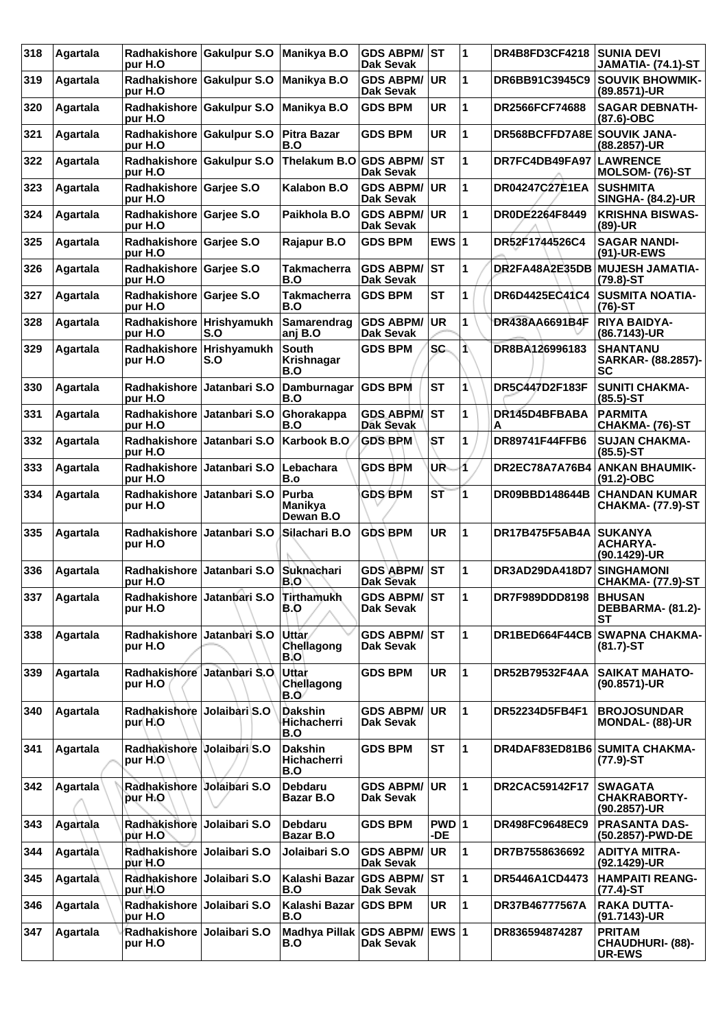| 318 | Agartala  | Radhakishore Gakulpur S.O<br>pur H.O    |               | Manikya B.O                          | <b>GDS ABPM/</b><br><b>Dak Sevak</b> | ST           | $\overline{\mathbf{1}}$ | DR4B8FD3CF4218              | <b>SUNIA DEVI</b><br><b>JAMATIA- (74.1)-ST</b>            |
|-----|-----------|-----------------------------------------|---------------|--------------------------------------|--------------------------------------|--------------|-------------------------|-----------------------------|-----------------------------------------------------------|
| 319 | Agartala  | Radhakishore Gakulpur S.O<br>pur H.O    |               | Manikya B.O                          | <b>GDS ABPM/</b><br><b>Dak Sevak</b> | UR           | 1                       | DR6BB91C3945C9              | <b>SOUVIK BHOWMIK-</b><br>(89.8571)-UR                    |
| 320 | Agartala  | Radhakishore Gakulpur S.O<br>pur H.O    |               | Manikya B.O                          | <b>GDS BPM</b>                       | <b>UR</b>    | 1                       | DR2566FCF74688              | <b>SAGAR DEBNATH-</b><br>(87.6)-OBC                       |
| 321 | Agartala  | Radhakishore Gakulpur S.O<br>pur H.O    |               | <b>Pitra Bazar</b><br>B.O            | <b>GDS BPM</b>                       | <b>UR</b>    | 1                       | DR568BCFFD7A8E SOUVIK JANA- | (88.2857)-UR                                              |
| 322 | Agartala  | Radhakishore Gakulpur S.O<br>pur H.O    |               | Thelakum B.O GDS ABPM/               | <b>Dak Sevak</b>                     | lst          | 1                       | DR7FC4DB49FA97              | <b>LAWRENCE</b><br>MOLSOM- (76)-ST                        |
| 323 | Agartala  | Radhakishore Garjee S.O<br>pur H.O      |               | Kalabon B.O                          | <b>GDS ABPM/</b><br><b>Dak Sevak</b> | <b>UR</b>    | 1                       | <b>DR04247C27E1EA</b>       | <b>SUSHMITA</b><br><b>SINGHA- (84.2)-UR</b>               |
| 324 | Agartala  | Radhakishore<br>pur H.O                 | Garjee S.O    | Paikhola B.O                         | <b>GDS ABPM/</b><br><b>Dak Sevak</b> | <b>UR</b>    | 1                       | DR0DE2264F8449              | <b>KRISHNA BISWAS-</b><br>$(89)-UR$                       |
| 325 | Agartala  | Radhakishore Garjee S.O<br>pur H.O      |               | Rajapur B.O                          | <b>GDS BPM</b>                       | EWS $ 1$     |                         | DR52F1744526C4              | <b>SAGAR NANDI-</b><br>(91)-UR-EWS                        |
| 326 | Agartala  | Radhakishore Garjee S.O<br>pur H.O      |               | <b>Takmacherra</b><br>B.O            | <b>GDS ABPM/</b><br>Dak Sevak        | <b>ST</b>    | 1                       | DR2FA48A2E35DB              | <b>MUJESH JAMATIA-</b><br>$(79.8) - ST$                   |
| 327 | Agartala  | Radhakishore Garjee S.O<br>pur H.O      |               | <b>Takmacherra</b><br>B.O            | <b>GDS BPM</b>                       | <b>ST</b>    | 1                       | DR6D4425EC41C4              | <b>SUSMITA NOATIA-</b><br>(76)-ST                         |
| 328 | Agartala  | Radhakishore Hrishyamukh<br>pur H.O     | S.O           | Samarendrag<br>anj B.O               | <b>GDS ABPM/</b><br><b>Dak Sevak</b> | <b>UR</b>    | 1                       | DR438AA6691B4F              | <b>RIYA BAIDYA-</b><br>(86.7143)-UR                       |
| 329 | Agartala  | Radhakishore Hrishyamukh<br>pur H.O     | S.O           | South<br>Krishnagar<br>B.O           | <b>GDS BPM</b>                       | SC.          | ⋀                       | DR8BA126996183              | <b>SHANTANU</b><br><b>SARKAR- (88.2857)-</b><br><b>SC</b> |
| 330 | Agartala  | <b>Radhakishore</b><br>pur H.O          | Jatanbari S.O | Damburnagar<br>B.O                   | <b>GDS BPM</b>                       | <b>ST</b>    | 1                       | DR5C447D2F183F              | <b>SUNITI CHAKMA-</b><br>$(85.5)$ -ST                     |
| 331 | Agartala  | <b>Radhakishore</b><br>pur H.O          | Jatanbari S.O | Ghorakappa<br>B.O                    | <b>GDS ABPM/</b><br>Dak Sevak        | <b>ST</b>    | 1                       | DR145D4BFBABA<br>Α          | <b>PARMITA</b><br>CHAKMA- (76)-ST                         |
| 332 | Agartala  | <b>Radhakishore</b><br>pur H.O          | Jatanbari S.O | Karbook B.O                          | <b>GDS BPM</b>                       | ST           | 1                       | DR89741F44FFB6              | <b>SUJAN CHAKMA-</b><br>$(85.5)$ -ST                      |
| 333 | Agartala  | Radhakishore<br>pur H.O                 | Jatanbari S.O | Lebachara<br>B.o                     | <b>GDS BPM</b>                       | UR           | 1                       | DR2EC78A7A76B4              | <b>ANKAN BHAUMIK-</b><br>$(91.2)$ -OBC                    |
| 334 | Agartala  | <b>Radhakishore</b><br>pur H.O          | Jatanbari S.O | Purba<br><b>Manikya</b><br>Dewan B.O | <b>GDS BPM</b>                       | ST           | 1                       | DR09BBD148644B              | <b>CHANDAN KUMAR</b><br><b>CHAKMA- (77.9)-ST</b>          |
| 335 | Agartala  | <b>Radhakishore</b><br>pur H.O          | Jatanbari S.O | Silachari B.O                        | <b>GDS BPM</b>                       | <b>UR</b>    | 1                       | <b>DR17B475F5AB4A</b>       | <b>SUKANYA</b><br>ACHARYA-<br>(90.1429)-UR                |
| 336 | Agartala  | Radhakishore<br>pur H.O                 | Jatanbari S.O | Suknachari<br>B.O                    | <b>GDS ABPM/</b><br><b>Dak Sevak</b> | ST           | 1                       | DR3AD29DA418D7              | <b>SINGHAMONI</b><br><b>CHAKMA- (77.9)-ST</b>             |
| 337 | ∣Agartala | Radhakishore Jatanbari S.O<br>pur H.O   |               | Tirthamukh<br>B.O                    | <b>GDS ABPM/ ST</b><br>Dak Sevak     |              | 11                      | DR7F989DDD8198              | <b>BHUSAN</b><br>DEBBARMA- (81.2)-<br>SТ                  |
| 338 | Agartala  | Radhakishore Jatanbari S.O<br>pur H.O   |               | <b>Uttar</b><br>Chellagong<br>B.O    | <b>GDS ABPM/ ST</b><br>Dak Sevak     |              | $\mathbf{1}$            |                             | DR1BED664F44CB SWAPNA CHAKMA-<br>$(81.7)$ -ST             |
| 339 | Agartala  | Radhakishore Jatanbari S.O<br>pur H.O   |               | Uttar<br>Chellagong<br>B.O           | <b>GDS BPM</b>                       | <b>UR</b>    | $\mathbf{1}$            | DR52B79532F4AA              | <b>SAIKAT MAHATO-</b><br>(90.8571)-UR                     |
| 340 | Agartala  | Radhakishore Jolaibari S.O<br>pur(H)O   |               | <b>Dakshin</b><br>Hichacherri<br>B.O | <b>GDS ABPM/</b><br><b>Dak Sevak</b> | <b>UR</b>    | $\mathbf{1}$            | DR52234D5FB4F1              | <b>BROJOSUNDAR</b><br><b>MONDAL- (88)-UR</b>              |
| 341 | Agartala  | Radhakishore Volaibari S.O<br>pur H.O   |               | <b>Dakshin</b><br>Hichacherri<br>B.O | <b>GDS BPM</b>                       | <b>ST</b>    | 1                       |                             | DR4DAF83ED81B6 SUMITA CHAKMA-<br>$(77.9)$ -ST             |
| 342 | Agartala  | Radhakishore Jolaibari S.O<br>pur H.O   |               | <b>Debdaru</b><br>Bazar B.O          | <b>GDS ABPM/</b><br>Dak Sevak        | UR           | 1                       | DR2CAC59142F17              | <b>SWAGATA</b><br><b>CHAKRABORTY-</b><br>(90.2857)-UR     |
| 343 | Agartala  | Radhakishore<br>pùr H.O                 | Jolaibari S.O | <b>Debdaru</b><br>Bazar B.O          | <b>GDS BPM</b>                       | PWD 1<br>-DE |                         | <b>DR498FC9648EC9</b>       | <b>PRASANTA DAS-</b><br>(50.2857)-PWD-DE                  |
| 344 | Agartala  | Radhakishore Jolaibari S.O<br>pur H.O   |               | Jolaibari S.O                        | <b>GDS ABPM/</b><br>Dak Sevak        | <b>UR</b>    | $\mathbf{1}$            | DR7B7558636692              | <b>ADITYA MITRA-</b><br>(92.1429)-UR                      |
| 345 | Agartala  | Radhakishore Jolaibari S.O<br>pur\H.O   |               | Kalashi Bazar<br>B.O                 | <b>GDS ABPM/</b><br>Dak Sevak        | IST.         | 1                       | DR5446A1CD4473              | <b>HAMPAITI REANG-</b><br>$(77.4)$ -ST                    |
| 346 | Agartala  | Radhakishore<br>pur H.O                 | Jolaibari S.O | Kalashi Bazar<br>B.O                 | <b>GDS BPM</b>                       | <b>UR</b>    | 1                       | DR37B46777567A              | <b>RAKA DUTTA-</b><br>(91.7143)-UR                        |
| 347 | Agartala  | Radhakishore   Jolaibari S.O<br>pur H.O |               | Madhya Pillak GDS ABPM/<br>B.O       | Dak Sevak                            | <b>EWS 1</b> |                         | DR836594874287              | <b>PRITAM</b><br><b>CHAUDHURI- (88)-</b><br><b>UR-EWS</b> |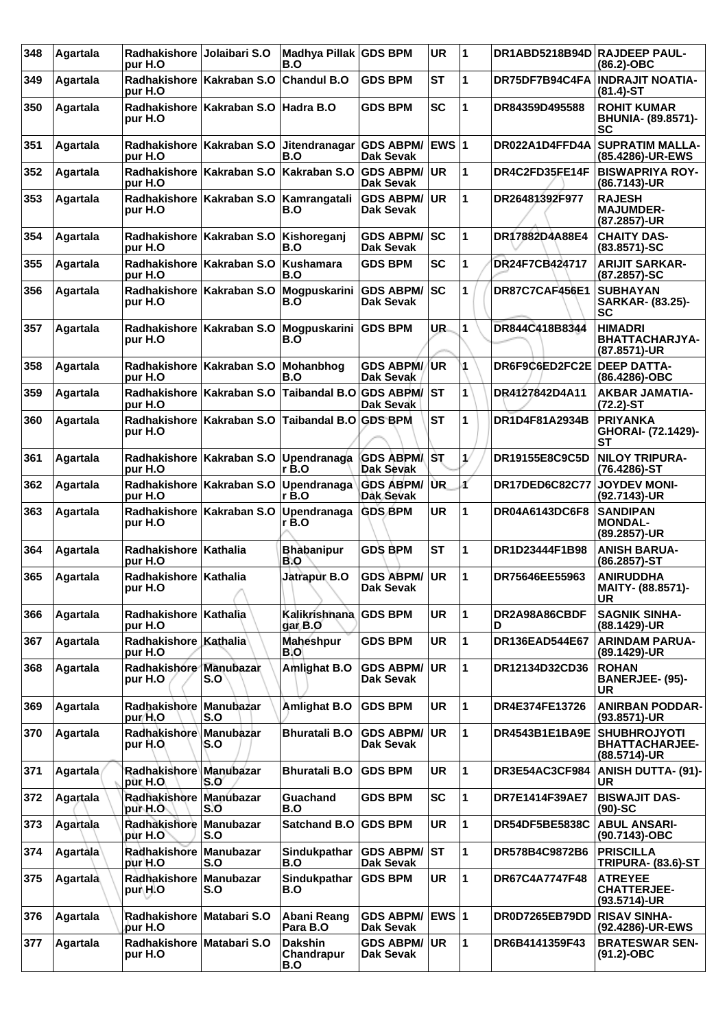| 348 | Agartala | Radhakishore Jolaibari S.O<br>pur H.O  |                                                      | Madhya Pillak GDS BPM<br>B.O        |                                      | <b>UR</b>    | 1            | DR1ABD5218B94D RAJDEEP PAUL- | $(86.2)$ -OBC                                                |
|-----|----------|----------------------------------------|------------------------------------------------------|-------------------------------------|--------------------------------------|--------------|--------------|------------------------------|--------------------------------------------------------------|
| 349 | Agartala | pur H.O                                | Radhakishore Kakraban S.O                            | <b>Chandul B.O</b>                  | <b>GDS BPM</b>                       | <b>ST</b>    | 1            | DR75DF7B94C4FA               | <b>INDRAJIT NOATIA-</b><br>$(81.4)$ -ST                      |
| 350 | Agartala | pur H.O                                | Radhakishore Kakraban S.O                            | Hadra B.O                           | GDS BPM                              | <b>SC</b>    | 1            | DR84359D495588               | <b>ROHIT KUMAR</b><br>BHUNIA- (89.8571)-<br><b>SC</b>        |
| 351 | Agartala | pur H.O                                | Radhakishore   Kakraban S.O                          | Jitendranagar<br>B.O                | <b>GDS ABPM/</b><br>Dak Sevak        | <b>EWS 1</b> |              | DR022A1D4FFD4A               | <b>SUPRATIM MALLA-</b><br>(85.4286)-UR-EWS                   |
| 352 | Agartala | pur H.O                                | Radhakishore Kakraban S.O                            | Kakraban S.O                        | <b>GDS ABPM/</b><br><b>Dak Sevak</b> | <b>UR</b>    | 1            | DR4C2FD35FE14F               | <b>BISWAPRIYA ROY-</b><br>(86.7143)-UR                       |
| 353 | Agartala | pur H.O                                | Radhakishore   Kakraban S.O   Kamrangatali           | B.O                                 | <b>GDS ABPM/</b><br><b>Dak Sevak</b> | <b>UR</b>    | 1            | DR26481392F977               | <b>RAJESH</b><br><b>MAJUMDER-</b><br>(87.2857)-UR            |
| 354 | Agartala | <b>Radhakishore</b><br>pur H.O         | Kakraban S.O                                         | Kishoreganj<br>B.O                  | <b>GDS ABPM/</b><br><b>Dak Sevak</b> | SC           | 1            | DR17882D4A88E4               | <b>CHAITY DAS-</b><br>$(83.8571)-SC$                         |
| 355 | Agartala | pur H.O                                | Radhakishore   Kakraban S.O                          | Kushamara<br>B.O                    | <b>GDS BPM</b>                       | <b>SC</b>    | 1            | DR24F7CB424717               | <b>ARIJIT SARKAR-</b><br>(87.2857)-SC                        |
| 356 | Agartala | Radhakishore   Kakraban S.O<br>pur H.O |                                                      | Mogpuskarini<br>B.O                 | <b>GDS ABPM/</b><br>Dak Sevak        | SC           | 1            | DR87C7CAF456E1               | <b>SUBHAYAN</b><br><b>SARKAR- (83.25)-</b><br><b>SC</b>      |
| 357 | Agartala | pur H.O                                | Radhakishore   Kakraban S.O   Mogpuskarini   GDS BPM | B.O                                 |                                      | UR.          | 1            | DR844C418B8344               | <b>HIMADRI</b><br>BHATTACHARJYA-<br>(87.8571)-UR             |
| 358 | Agartala | pur H.O                                | Radhakishore   Kakraban S.O                          | Mohanbhog<br>B.O                    | <b>GDS ABPM/</b><br>Dak Sevak        | <b>UR</b>    | 1            | DR6F9C6ED2FC2E               | <b>DEEP DATTA-</b><br>(86.4286)-OBC                          |
| 359 | Agartala | pur H.O                                | Radhakishore   Kakraban S.O                          | <b>Taibandal B.O</b>                | <b>GDS ABPM/</b><br>Dak Sevak        | <b>ST</b>    | 1            | DR4127842D4A11               | <b>AKBAR JAMATIA-</b><br>(72.2)-ST                           |
| 360 | Agartala | Radhakishore<br>pur H.O                | Kakraban S.O                                         | Taibandal B.O GDS BPM               |                                      | <b>ST</b>    | 1            | DR1D4F81A2934B               | <b>PRIYANKA</b><br>GHORAI- (72.1429)-<br><b>ST</b>           |
| 361 | Agartala | <b>Radhakishore</b><br>pur H.O         | Kakraban S.O                                         | Upendranaga<br>r B.O                | <b>GDS ABPM/ST</b><br>Dak Sevak      |              | 1/           | <b>DR19155E8C9C5D</b>        | <b>NILOY TRIPURA-</b><br>(76.4286)-ST                        |
| 362 | Agartala | pur H.O                                | Radhakishore Kakraban S.O                            | Upendranaga GDS ABPM/<br>$r$ B.O    | Dak Sevak                            | <b>UR</b>    | ď            | <b>DR17DED6C82C77</b>        | <b>JOYDEV MONI-</b><br>(92.7143)-UR                          |
| 363 | Agartala | pur H.O                                | Radhakishore   Kakraban S.O                          | Upendranaga<br>r B.O                | <b>GDS BPM</b>                       | <b>UR</b>    | 1            | <b>DR04A6143DC6F8</b>        | <b>SANDIPAN</b><br><b>MONDAL-</b><br>(89.2857)-UR            |
| 364 | Agartala | Radhakishore   Kathalia<br>pur H.O     |                                                      | <b>Bhabanipur</b><br>B.O            | <b>GDS BPM</b>                       | <b>ST</b>    | 1            | DR1D23444F1B98               | <b>ANISH BARUA-</b><br>(86.2857)-ST                          |
| 365 | Agartala | Radhakishore   Kathalia<br>pur H.O     |                                                      | Jatrapur B.O                        | <b>GDS ABPM/</b><br><b>Dak Sevak</b> | <b>UR</b>    | 1            | DR75646EE55963               | <b>ANIRUDDHA</b><br>MAITY- (88.8571)-<br><b>UR</b>           |
| 366 | Agartala | Radhakishore Kathalia<br>pur H.O       |                                                      | Kalikrishnana GDS BPM<br>dar B.O    |                                      | <b>UR</b>    | 1            | DR2A98A86CBDF<br>D           | <b>SAGNIK SINHA-</b><br>(88.1429)-UR                         |
| 367 | Agartala | Radhakishore   Kathalia<br>pur H.O     |                                                      | Maheshpur<br><b>B.O</b>             | <b>GDS BPM</b>                       | UR           | 1            | DR136EAD544E67               | <b>ARINDAM PARUA-</b><br>(89.1429)-UR                        |
| 368 | Agartala | Radhakishore Manubazar<br>pur H.O      | S.O                                                  | Amlighat B.O                        | <b>GDS ABPM/</b><br><b>Dak Sevak</b> | UR           | 1            | DR12134D32CD36               | <b>ROHAN</b><br><b>BANERJEE- (95)-</b><br>UR                 |
| 369 | Agartala | Radhakishore<br>pur/H.O                | Manubazar<br>S.O                                     | Amlighat B.O                        | <b>GDS BPM</b>                       | <b>UR</b>    | 1            | DR4E374FE13726               | <b>ANIRBAN PODDAR-</b><br>(93.8571)-UR                       |
| 370 | Agartala | Radhakishore Manubazar<br>pur H.O      | S.O                                                  | <b>Bhuratali B.O</b>                | <b>GDS ABPM/</b><br>Dak Sevak        | <b>UR</b>    | 1            | DR4543B1E1BA9E               | <b>SHUBHROJYOTI</b><br><b>BHATTACHARJEE-</b><br>(88.5714)-UR |
| 371 | Agartala | Radhakishore Manubazar<br>pùr H.O      | S.O                                                  | <b>Bhuratali B.O</b>                | <b>GDS BPM</b>                       | <b>UR</b>    | 1            | DR3E54AC3CF984               | <b>ANISH DUTTA- (91)-</b><br><b>UR</b>                       |
| 372 | Agartala | Radhakishore Manubazar<br>pur H.O      | S.O                                                  | Guachand<br>B.O                     | <b>GDS BPM</b>                       | <b>SC</b>    | 1            | DR7E1414F39AE7               | <b>BISWAJIT DAS-</b><br>$(90)$ -SC                           |
| 373 | Agartala | Radhakishore<br>pur H.O`               | Manubazar<br>S.O                                     | <b>Satchand B.O</b>                 | <b>GDS BPM</b>                       | <b>UR</b>    | 1            | DR54DF5BE5838C               | <b>ABUL ANSARI-</b><br>(90.7143)-OBC                         |
| 374 | Agartala | Radhakishore Manubazar<br>pur H.O      | S.O                                                  | Sindukpathar<br>B.O                 | <b>GDS ABPM/</b><br>Dak Sevak        | lst          | 1            | DR578B4C9872B6               | <b>PRISCILLA</b><br><b>TRIPURA- (83.6)-ST</b>                |
| 375 | Agartala | Radhakishore Manubazar<br>pur\H.O      | S.O                                                  | Sindukpathar<br>B.O                 | <b>GDS BPM</b>                       | <b>UR</b>    | 1            | DR67C4A7747F48               | <b>ATREYEE</b><br><b>CHATTERJEE-</b><br>$(93.5714)-UR$       |
| 376 | Agartala | Radhakishore Matabari S.O<br>pur H.O   |                                                      | Abani Reang<br>Para B.O             | <b>GDS ABPM/</b><br>Dak Sevak        | <b>EWS 1</b> |              | DR0D7265EB79DD               | <b>RISAV SINHA-</b><br>(92.4286)-UR-EWS                      |
| 377 | Agartala | Radhakishore Matabari S.O<br>pur H.O   |                                                      | <b>Dakshin</b><br>Chandrapur<br>B.O | <b>GDS ABPM/</b><br>Dak Sevak        | ∣UR.         | $\mathbf{1}$ | DR6B4141359F43               | <b>BRATESWAR SEN-</b><br>$(91.2) - OBC$                      |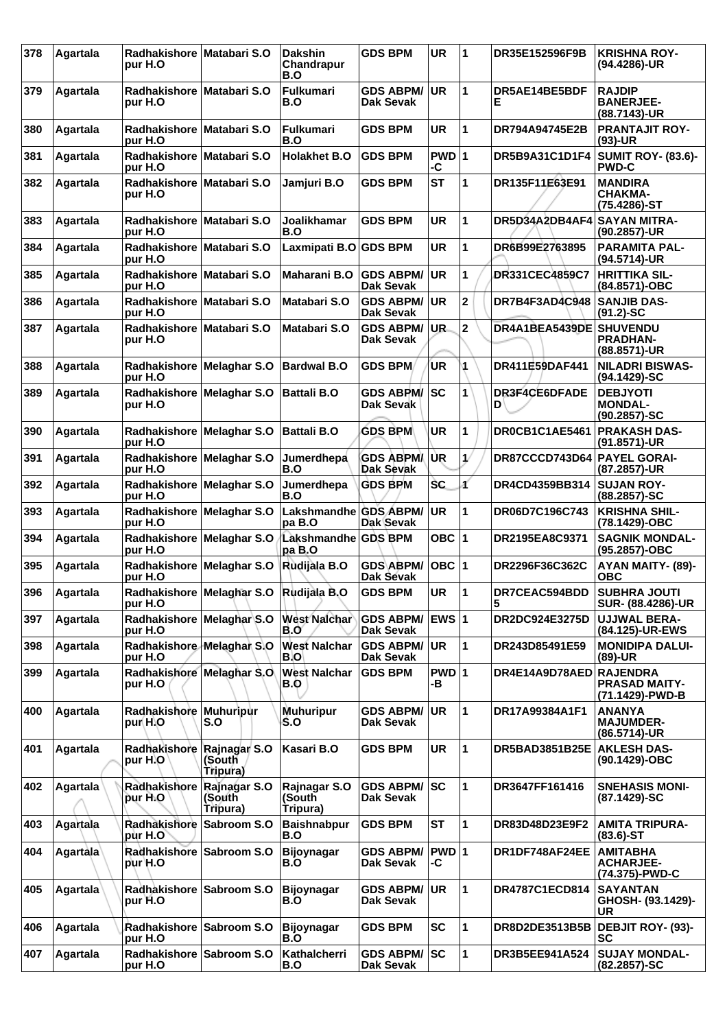| 378 | Agartala        | Radhakishore Matabari S.O<br>pur H.O  |                                        | <b>Dakshin</b><br>Chandrapur<br>B.O | <b>GDS BPM</b>                       | <b>UR</b>               | 1                       | DR35E152596F9B          | <b>KRISHNA ROY-</b><br>(94.4286)-UR                   |
|-----|-----------------|---------------------------------------|----------------------------------------|-------------------------------------|--------------------------------------|-------------------------|-------------------------|-------------------------|-------------------------------------------------------|
| 379 | Agartala        | Radhakishore Matabari S.O<br>pur H.O  |                                        | <b>Fulkumari</b><br>B.O             | <b>GDS ABPM/</b><br>Dak Sevak        | <b>UR</b>               | 1                       | DR5AE14BE5BDF<br>Е      | <b>RAJDIP</b><br><b>BANERJEE-</b><br>(88.7143)-UR     |
| 380 | Agartala        | Radhakishore Matabari S.O<br>pur H.O  |                                        | <b>Fulkumari</b><br>B.O             | <b>GDS BPM</b>                       | <b>UR</b>               | 1                       | DR794A94745E2B          | <b>PRANTAJIT ROY-</b><br>$(93)-UR$                    |
| 381 | Agartala        | Radhakishore Matabari S.O<br>pur H.O  |                                        | <b>Holakhet B.O</b>                 | <b>GDS BPM</b>                       | $PWD$ 1<br>-C           |                         | DR5B9A31C1D1F4          | <b>SUMIT ROY- (83.6)-</b><br><b>PWD-C</b>             |
| 382 | Agartala        | Radhakishore Matabari S.O<br>pur H.O  |                                        | Jamjuri B.O                         | <b>GDS BPM</b>                       | <b>ST</b>               | 1                       | DR135F11E63E91          | <b>MANDIRA</b><br><b>CHAKMA-</b><br>(75.4286)-ST      |
| 383 | Agartala        | Radhakishore Matabari S.O<br>pur H.O  |                                        | <b>Joalikhamar</b><br>B.O           | <b>GDS BPM</b>                       | <b>UR</b>               | 1                       | DR5D34A2DB4AF4          | <b>SAYAN MITRA-</b><br>(90.2857)-UR                   |
| 384 | Agartala        | Radhakishore Matabari S.O<br>pur H.O  |                                        | Laxmipati B.O GDS BPM               |                                      | <b>UR</b>               | $\mathbf{1}$            | DR6B99E2763895          | <b>PARAMITA PAL-</b><br>(94.5714)-UR                  |
| 385 | Agartala        | Radhakishore Matabari S.O<br>pur H.O  |                                        | Maharani B.O                        | <b>GDS ABPM/</b><br><b>Dak Sevak</b> | <b>UR</b>               | 1                       | <b>DR331CEC4859C7</b>   | <b>HRITTIKA SIL-</b><br>(84.8571)-OBC                 |
| 386 | Agartala        | Radhakishore Matabari S.O<br>pur H.O  |                                        | Matabari S.O                        | <b>GDS ABPM/</b><br><b>Dak Sevak</b> | <b>UR</b>               | $\mathbf{2}$            | DR7B4F3AD4C948          | <b>SANJIB DAS-</b><br>$(91.2)$ -SC                    |
| 387 | Agartala        | Radhakishore Matabari S.O<br>pur H.O  |                                        | Matabari S.O                        | <b>GDS ABPM/</b><br>Dak Sevak        | UR.                     | $\overline{\mathbf{2}}$ | DR4A1BEA5439DE          | <b>SHUVENDU</b><br><b>PRADHAN-</b><br>(88.8571)-UR    |
| 388 | Agartala        | Radhakishore Melaghar S.O<br>pur H.O  |                                        | <b>Bardwal B.O</b>                  | <b>GDS BPM</b>                       | UR                      | 4                       | DR411E59DAF441          | <b>NILADRI BISWAS-</b><br>(94.1429)-SC                |
| 389 | Agartala        | Radhakishore Melaghar S.O<br>pur H.O  |                                        | <b>Battali B.O</b>                  | <b>GDS ABPM/</b><br>Dak Sevak        | <b>SC</b>               | 1                       | DR3F4CE6DFADE<br>D      | <b>DEBJYOTI</b><br><b>MONDAL-</b><br>$(90.2857) - SC$ |
| 390 | Agartala        | Radhakishore Melaghar S.O<br>pur H.O  |                                        | <b>Battali B.O</b>                  | <b>GDS BPM</b>                       | <b>UR</b>               | 1                       | DR0CB1C1AE5461          | <b>PRAKASH DAS-</b><br>(91.8571)-UR                   |
| 391 | Agartala        | Radhakishore Melaghar S.O<br>pur H.O  |                                        | Jumerdhepa<br>B.O                   | <b>GDS ABPM/</b><br>Dak Sevak        | UR                      | 1/                      | DR87CCCD743D64          | <b>PAYEL GORAI-</b><br>(87.2857)-UR                   |
| 392 | Agartala        | Radhakishore Melaghar S.O<br>pur H.O  |                                        | Jumerdhepa<br>B.O                   | <b>GDS BPM</b>                       | <b>SC</b>               | ď                       | DR4CD4359BB314          | <b>SUJAN ROY-</b><br>(88.2857)-SC                     |
| 393 | Agartala        | Radhakishore Melaghar S.O<br>pur H.O  |                                        | Lakshmandhe GDS ABPM/<br>pa B.O     | Dak Sevak                            | <b>UR</b>               | 1                       | DR06D7C196C743          | <b>KRISHNA SHIL-</b><br>(78.1429)-OBC                 |
| 394 | Agartala        | Radhakishore Melaghar S.O<br>pur H.O  |                                        | Lakshmandhe GDS BPM<br>pa B.O       |                                      | OBC $ 1$                |                         | DR2195EA8C9371          | <b>SAGNIK MONDAL-</b><br>(95.2857)-OBC                |
| 395 | Agartala        | Radhakishore Melaghar S.O<br>pur H.O  |                                        | Rudijala B.O                        | GDS\ABPM/<br>Dak Sevak               | OBC 1                   |                         | DR2296F36C362C          | AYAN MAITY- (89)-<br><b>OBC</b>                       |
| 396 | Agartala        | pur H.O                               | Radhakishore Melaghar S.O Rudijala B.O |                                     | <b>GDS BPM</b>                       | <b>UR</b>               | 11                      | DR7CEAC594BDD<br>5      | <b>SUBHRA JOUTI</b><br>SUR- (88.4286)-UR              |
| 397 | Agartala        | Radhakishore Melaghar S.O<br>pur H.O  |                                        | <b>West Nalchar</b><br>B.O          | <b>GDS ABPM/</b><br><b>Dak Sevak</b> | <b>EWS</b> <sub>1</sub> |                         | DR2DC924E3275D          | <b>UJJWAL BERA-</b><br>(84.125)-UR-EWS                |
| 398 | Agartala        | Radhakishore Melaghan S.O<br>pur H.O  |                                        | <b>West Nalchar</b><br>B.O          | <b>GDS ABPM/</b><br><b>Dak Sevak</b> | <b>UR</b>               | $\mathbf{1}$            | DR243D85491E59          | <b>MONIDIPA DALUI-</b><br>$(89)-UR$                   |
| 399 | Agartala        | Radhakishore Melaghar S.O.<br>pur H.O |                                        | <b>West Nalchar</b><br>B.O          | <b>GDS BPM</b>                       | PWD 1<br>-в             |                         | DR4E14A9D78AED RAJENDRA | <b>PRASAD MAITY-</b><br>(71.1429)-PWD-B               |
| 400 | Agartala        | Radhakishore Muhuripur<br>pur H.O     | S.O                                    | <b>Muhuripur</b><br>S.O             | <b>GDS ABPM/</b><br><b>Dak Sevak</b> | UR.                     | 1                       | DR17A99384A1F1          | <b>ANANYA</b><br><b>MAJUMDER-</b><br>(86.5714)-UR     |
| 401 | Agartala        | Radhakishore Rajnagar S.O<br>pur H.O  | (South<br>Tripura)                     | Kasari B.O                          | <b>GDS BPM</b>                       | <b>UR</b>               | $\mathbf{1}$            | DR5BAD3851B25E          | <b>AKLESH DAS-</b><br>(90.1429)-OBC                   |
| 402 | Agartala        | Radhakishore<br>pur H.O               | Rajnagar S.O<br>(South<br>Tripura)     | Rajnagar S.O<br>(South<br>Tripura)  | <b>GDS ABPM/</b><br>Dak Sevak        | lsc                     | $\mathbf{1}$            | DR3647FF161416          | <b>SNEHASIS MONI-</b><br>(87.1429)-SC                 |
| 403 | Agartala        | Radhakishore Sabroom S.O<br>pùr H.O`  |                                        | <b>Baishnabpur</b><br>B.O           | <b>GDS BPM</b>                       | <b>ST</b>               | $\mathbf{1}$            | DR83D48D23E9F2          | <b>AMITA TRIPURA-</b><br>$(83.6)$ -ST                 |
| 404 | Agartala        | Radhakishore Sabroom S.O<br>pur H.O   |                                        | <b>Bijoynagar</b><br>B.O            | <b>GDS ABPM/</b><br><b>Dak Sevak</b> | PWD 1<br>-C             |                         | DR1DF748AF24EE          | <b>AMITABHA</b><br><b>ACHARJEE-</b><br>(74.375)-PWD-C |
| 405 | <b>Agartala</b> | Radhakishore Sabroom S.O<br>pur H.O   |                                        | <b>Bijoynagar</b><br>B.O            | <b>GDS ABPM/</b><br><b>Dak Sevak</b> | UR.                     | 1                       | <b>DR4787C1ECD814</b>   | <b>SAYANTAN</b><br>GHOSH- (93.1429)-<br>UR            |
| 406 | Agartala        | Radhakishore Sabroom S.O.<br>pur H.O  |                                        | <b>Bijoynagar</b><br>B.O            | <b>GDS BPM</b>                       | <b>SC</b>               | $\mathbf{1}$            | DR8D2DE3513B5B          | <b>DEBJIT ROY- (93)-</b><br><b>SC</b>                 |
| 407 | Agartala        | Radhakishore Sabroom S.O<br>pur H.O   |                                        | Kathalcherri<br>B.O                 | <b>GDS ABPM/</b><br><b>Dak Sevak</b> | lsc                     | $\mathbf{1}$            | DR3B5EE941A524          | <b>SUJAY MONDAL-</b><br>(82.2857)-SC                  |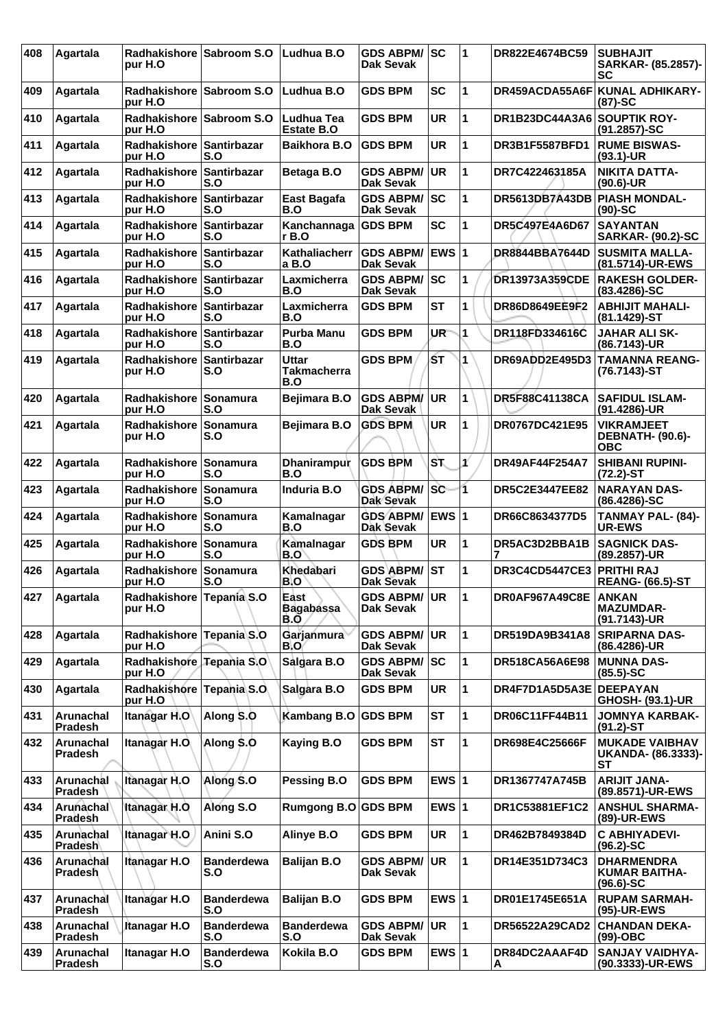| 408 | Agartala                    | <b>Radhakishore</b><br>pur H.O       | <b>Sabroom S.O</b>        | Ludhua B.O                         | <b>GDS ABPM/ SC</b><br>Dak Sevak       |              | 1  | DR822E4674BC59          | <b>SUBHAJIT</b><br>SARKAR- (85.2857)-<br>SC                |
|-----|-----------------------------|--------------------------------------|---------------------------|------------------------------------|----------------------------------------|--------------|----|-------------------------|------------------------------------------------------------|
| 409 | Agartala                    | Radhakishore<br>pur H.O              | <b>Sabroom S.O</b>        | Ludhua B.O                         | <b>GDS BPM</b>                         | <b>SC</b>    | 1  | DR459ACDA55A6F          | <b>KUNAL ADHIKARY-</b><br>(87)-SC                          |
| 410 | Agartala                    | Radhakishore Sabroom S.O<br>pur H.O  |                           | Ludhua Tea<br>Estate B.O           | <b>GDS BPM</b>                         | <b>UR</b>    | 1  | DR1B23DC44A3A6          | <b>SOUPTIK ROY-</b><br>(91.2857)-SC                        |
| 411 | Agartala                    | Radhakishore Santirbazar<br>pur H.O  | S.O                       | <b>Baikhora B.O</b>                | <b>GDS BPM</b>                         | UR           | 1  | <b>DR3B1F5587BFD1</b>   | <b>RUME BISWAS-</b><br>$(93.1)-UR$                         |
| 412 | Agartala                    | <b>Radhakishore</b><br>pur H.O       | Santirbazar<br>S.O        | Betaga B.O                         | <b>GDS ABPM/</b><br><b>Dak Sevak</b>   | <b>UR</b>    | 1  | DR7C422463185A          | <b>NIKITA DATTA-</b><br>$(90.6)$ -UR                       |
| 413 | Agartala                    | Radhakishore<br>pur H.O              | Santirbazar<br>S.O        | East Bagafa<br>B.O                 | <b>GDS ABPM/</b><br><b>Dak Sevak</b>   | <b>ISC</b>   | 1  | DR5613DB7A43DB          | <b>PIASH MONDAL-</b><br>$(90)$ -SC                         |
| 414 | Agartala                    | Radhakishore Santirbazar<br>pur H.O  | S.O                       | Kanchannaga<br>r B.O               | <b>GDS BPM</b>                         | <b>SC</b>    | 1  | DR5C497E4A6D67          | <b>SAYANTAN</b><br><b>SARKAR- (90.2)-SC</b>                |
| 415 | Agartala                    | <b>Radhakishore</b><br>pur H.O       | <b>Santirbazar</b><br>S.O | Kathaliacherr<br>a B.O             | <b>GDS ABPM/</b><br><b>Dak Sevak</b>   | <b>EWS 1</b> |    | DR8844BBA7644D          | <b>SUSMITA MALLA-</b><br>(81.5714)-UR-EWS                  |
| 416 | Agartala                    | Radhakishore<br>pur H.O              | <b>Santirbazar</b><br>S.O | Laxmicherra<br>B.O                 | <b>GDS ABPM/</b><br>Dak Sevak          | <b>SC</b>    | 1  | <b>DR13973A359CDE</b>   | <b>RAKESH GOLDER-</b><br>$(83.4286) - SC$                  |
| 417 | Agartala                    | Radhakishore Santirbazar<br>pur H.O  | S.O                       | Laxmicherra<br>B.O                 | <b>GDS BPM</b>                         | <b>ST</b>    | 1  | DR86D8649EE9F2          | <b>ABHIJIT MAHALI-</b><br>(81.1429)-ST                     |
| 418 | Agartala                    | <b>Radhakishore</b><br>pur H.O       | <b>Santirbazar</b><br>S.O | <b>Purba Manu</b><br>B.O           | <b>GDS BPM</b>                         | <b>UR</b>    | 1  | DR118FD334616C          | <b>JAHAR ALI SK-</b><br>(86.7143)-UR                       |
| 419 | Agartala                    | Radhakishore<br>pur H.O              | Santirbazar<br>S.O        | Uttar<br><b>Takmacherra</b><br>B.O | <b>GDS BPM</b>                         | ŚТ           | 1  | DR69ADD2E495D3          | <b>TAMANNA REANG-</b><br>(76.7143)-ST                      |
| 420 | Agartala                    | Radhakishore<br>pur H.O              | Sonamura<br>S.O           | Bejimara B.O                       | <b>GDS ABPM/</b><br>Dak Sevak          | <b>UR</b>    | 1  | <b>DR5F88C41138CA</b>   | <b>SAFIDUL ISLAM-</b><br>(91.4286)-UR                      |
| 421 | Agartala                    | <b>Radhakishore</b><br>pur H.O       | Sonamura<br>S.O           | <b>Bejimara B.O</b>                | <b>GDS BPM</b>                         | <b>UR</b>    | 1  | <b>DR0767DC421E95</b>   | <b>VIKRAMJEET</b><br><b>DEBNATH- (90.6)-</b><br><b>OBC</b> |
| 422 | Agartala                    | Radhakishore<br>pur H.O              | Sonamura<br>S.O           | Dhanirampur<br>B.O                 | <b>GDS BPM</b>                         | ST.          | ¥  | DR49AF44F254A7          | <b>SHIBANI RUPINI-</b><br>$(72.2)$ -ST                     |
| 423 | Agartala                    | Radhakishore Sonamura<br>pur H.O     | S.O                       | Induria B.O                        | <b>GDS ABPM/SC</b><br><b>Dak Sevak</b> |              | 1  | <b>DR5C2E3447EE82</b>   | <b>NARAYAN DAS-</b><br>$(86.4286) - SC$                    |
| 424 | Agartala                    | <b>Radhakishore</b><br>pur H.O       | Sonamura<br>S.O           | Kamalnagar<br>B.O                  | <b>GDS ABPM/</b><br>Dak Sevak          | <b>EWS 1</b> |    | DR66C8634377D5          | TANMAY PAL- (84)-<br><b>UR-EWS</b>                         |
| 425 | Agartala                    | Radhakishore<br>pur H.O              | Sonamura<br>S.O           | Kamalnagar<br>B.O                  | <b>GDS BPM</b>                         | <b>UR</b>    | 1  | DR5AC3D2BBA1B           | <b>SAGNICK DAS-</b><br>(89.2857)-UR                        |
| 426 | Agartala                    | <b>Radhakishore</b><br>pur H.O       | Sonamura<br>S.O           | Khedabari<br>B.O                   | <b>GDS ABPM/</b><br><b>Dak Sevak</b>   | lst          | 1  | <b>DR3C4CD5447CE3</b>   | <b>PRITHI RAJ</b><br><b>REANG- (66.5)-ST</b>               |
| 427 | ∣Agartala                   | Radhakishore Tepania S.O<br>pur H.O  |                           | East<br><b>Bagabassa</b><br>B.O    | <b>GDS ABPM/ UR</b><br>Dak Sevak       |              | 11 | DR0AF967A49C8E          | <b>ANKAN</b><br><b>MAZUMDAR-</b><br>(91.7143)-UR           |
| 428 | Agartala                    | Radhakishore Tepania S.O<br>pur H.O  |                           | Garjanmura<br>B.O                  | <b>GDS ABPM/</b><br><b>Dak Sevak</b>   | <b>UR</b>    | 1  | DR519DA9B341A8          | <b>SRIPARNA DAS-</b><br>(86.4286)-UR                       |
| 429 | Agartala                    | Radhakishore Tepania S.O<br>pur H.O  |                           | Salgara B.O                        | <b>GDS ABPM/</b><br>Dak Sevak          | SC           | 1  | DR518CA56A6E98          | <b>MUNNA DAS-</b><br>$(85.5) - SC$                         |
| 430 | Agartala                    | Radhakishore Tepania S.O.<br>pur H.O |                           | Salgara B.O                        | <b>GDS BPM</b>                         | <b>UR</b>    | 1  | DR4F7D1A5D5A3E DEEPAYAN | GHOSH- (93.1)-UR                                           |
| 431 | Arunachal<br><b>Pradesh</b> | Itanagar H.O                         | Along S.O                 | <b>Kambang B.O</b>                 | <b>GDS BPM</b>                         | ST           | 1  | DR06C11FF44B11          | <b>JOMNYA KARBAK-</b><br>$(91.2)$ -ST                      |
| 432 | Arunachal<br><b>Pradesh</b> | Itanagar H.O.                        | Along S.O                 | Kaying B.O                         | <b>GDS BPM</b>                         | ST           | 1  | DR698E4C25666F          | <b>MUKADE VAIBHAV</b><br>UKANDA- (86.3333)-<br><b>ST</b>   |
| 433 | Arunachal<br><b>Pradesh</b> | Itanagar H.O                         | Along S.O                 | Pessing B.O                        | <b>GDS BPM</b>                         | EWS $ 1$     |    | DR1367747A745B          | <b>ARIJIT JANA-</b><br>(89.8571)-UR-EWS                    |
| 434 | Arunachal<br><b>Pradesh</b> | <b>Itanagar H.O.</b>                 | Along S.O                 | Rumgong B.O GDS BPM                |                                        | EWS $ 1$     |    | DR1C53881EF1C2          | <b>ANSHUL SHARMA-</b><br>(89)-UR-EWS                       |
| 435 | Arunachal<br>Pradesh        | Itanagar H.O                         | Anini S.O                 | Alinye B.O                         | <b>GDS BPM</b>                         | UR           | 1  | DR462B7849384D          | <b>C ABHIYADEVI-</b><br>$(96.2)$ -SC                       |
| 436 | Arunachal<br><b>Pradesh</b> | <b>Itanagar H.O</b>                  | <b>Banderdewa</b><br>S.O  | <b>Balijan B.O</b>                 | <b>GDS ABPM/</b><br>Dak Sevak          | <b>UR</b>    | 1  | DR14E351D734C3          | <b>DHARMENDRA</b><br><b>KUMAR BAITHA-</b><br>$(96.6)$ -SC  |
| 437 | Arunachal<br>Pradesh        | Itanagar H.O                         | <b>Banderdewa</b><br>S.O  | <b>Balijan B.O</b>                 | <b>GDS BPM</b>                         | EWS $ 1$     |    | DR01E1745E651A          | <b>RUPAM SARMAH-</b><br>(95)-UR-EWS                        |
| 438 | Arunachal<br><b>Pradesh</b> | Itanagar H.O                         | <b>Banderdewa</b><br>S.O  | <b>Banderdewa</b><br>S.O           | <b>GDS ABPM/</b><br>Dak Sevak          | UR.          | 1  | DR56522A29CAD2          | <b>CHANDAN DEKA-</b><br>(99)-OBC                           |
| 439 | Arunachal<br><b>Pradesh</b> | Itanagar H.O                         | <b>Banderdewa</b><br>S.O  | Kokila B.O                         | <b>GDS BPM</b>                         | EWS $ 1$     |    | DR84DC2AAAF4D<br>A      | <b>SANJAY VAIDHYA-</b><br>(90.3333)-UR-EWS                 |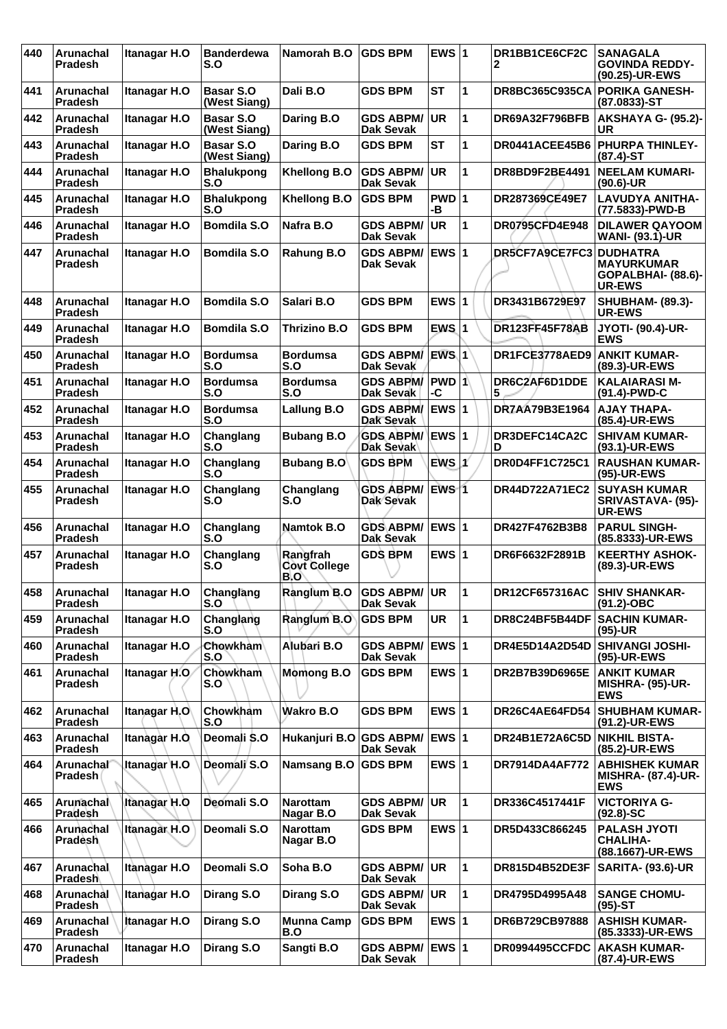| 440 | Arunachal<br><b>Pradesh</b>        | Itanagar H.O        | <b>Banderdewa</b><br>S.O         | Namorah B.O                                   | <b>GDS BPM</b>                       | EWS $ 1$         |   | DR1BB1CE6CF2C<br>2      | <b>SANAGALA</b><br><b>GOVINDA REDDY-</b><br>(90.25)-UR-EWS       |
|-----|------------------------------------|---------------------|----------------------------------|-----------------------------------------------|--------------------------------------|------------------|---|-------------------------|------------------------------------------------------------------|
| 441 | Arunachal<br><b>Pradesh</b>        | Itanagar H.O        | <b>Basar S.O</b><br>(West Siang) | Dali B.O                                      | <b>GDS BPM</b>                       | <b>ST</b>        | 1 | <b>DR8BC365C935CA</b>   | <b>PORIKA GANESH-</b><br>(87.0833)-ST                            |
| 442 | <b>Arunachal</b><br><b>Pradesh</b> | <b>Itanagar H.O</b> | <b>Basar S.O</b><br>(West Siang) | Daring B.O                                    | <b>GDS ABPM/</b><br>Dak Sevak        | UR               | 1 | DR69A32F796BFB          | <b>AKSHAYA G- (95.2)-</b><br>UR                                  |
| 443 | Arunachal<br>Pradesh               | <b>Itanagar H.O</b> | <b>Basar S.O</b><br>(West Siang) | Daring B.O                                    | <b>GDS BPM</b>                       | <b>ST</b>        | 1 | DR0441ACEE45B6          | <b>PHURPA THINLEY-</b><br>$(87.4)$ -ST                           |
| 444 | <b>Arunachal</b><br><b>Pradesh</b> | Itanagar H.O        | <b>Bhalukpong</b><br>S.O         | <b>Khellong B.O</b>                           | <b>GDS ABPM/</b><br><b>Dak Sevak</b> | <b>UR</b>        | 1 | DR8BD9F2BE4491          | <b>NEELAM KUMARI-</b><br>$(90.6)$ -UR                            |
| 445 | Arunachal<br>Pradesh               | Itanagar H.O        | <b>Bhalukpong</b><br>S.O         | <b>Khellong B.O</b>                           | <b>GDS BPM</b>                       | PWD 1<br>۰B      |   | DR287369CE49E7          | <b>LAVUDYA ANITHA-</b><br>(77.5833)-PWD-B                        |
| 446 | Arunachal<br>Pradesh               | Itanagar H.O        | <b>Bomdila S.O</b>               | Nafra B.O                                     | <b>GDS ABPM/</b><br>Dak Sevak        | UR.              | 1 | <b>DR0795CFD4E948</b>   | <b>DILAWER QAYOOM</b><br><b>WANI- (93.1)-UR</b>                  |
| 447 | <b>Arunachal</b><br><b>Pradesh</b> | Itanagar H.O        | <b>Bomdila S.O</b>               | Rahung B.O                                    | <b>GDS ABPM/</b><br><b>Dak Sevak</b> | EWS 1            |   | DR5CF7A9CE7FC3 DUDHATRA | <b>MAYURKUMAR</b><br>GOPALBHAI- (88.6)-<br><b>UR-EWS</b>         |
| 448 | Arunachal<br><b>Pradesh</b>        | <b>Itanagar H.O</b> | <b>Bomdila S.O</b>               | Salari B.O                                    | <b>GDS BPM</b>                       | EWS $ 1$         |   | DR3431B6729E97          | <b>SHUBHAM- (89.3)-</b><br><b>UR-EWS</b>                         |
| 449 | Arunachal<br><b>Pradesh</b>        | Itanagar H.O        | <b>Bomdila S.O</b>               | Thrizino B.O                                  | <b>GDS BPM</b>                       | $EWS$  1         |   | <b>DR123FF45F78AB</b>   | <b>JYOTI- (90.4)-UR-</b><br><b>EWS</b>                           |
| 450 | Arunachal<br><b>Pradesh</b>        | Itanagar H.O        | <b>Bordumsa</b><br>S.O           | <b>Bordumsa</b><br>S.O                        | <b>GDS ABPM/</b><br>Dak Sevak        | EWS <sub>1</sub> |   | DR1FCE3778AED9          | ANKIT KUMAR-<br>(89.3)-UR-EWS                                    |
| 451 | Arunachal<br><b>Pradesh</b>        | Itanagar H.O        | <b>Bordumsa</b><br>S.O           | <b>Bordumsa</b><br>S.O                        | <b>GDS ABPM/</b><br>Dak Sevak        | PWD 1<br>-C      |   | DR6C2AF6D1DDE<br>5      | <b>KALAIARASI M-</b><br>(91.4)-PWD-C                             |
| 452 | <b>Arunachal</b><br>Pradesh        | <b>Itanagar H.O</b> | <b>Bordumsa</b><br>S.O           | Lallung B.O                                   | <b>GDS ABPM/</b><br>Dak Sevak        | <b>EWS 1</b>     |   | DR7AA79B3E1964          | <b>AJAY THAPA-</b><br>(85.4)-UR-EWS                              |
| 453 | Arunachal<br>Pradesh               | Itanagar H.O        | Changlang<br>S.O                 | <b>Bubang B.O</b>                             | GDS ABPM/ EWS 1<br>Dak Sevak         |                  |   | DR3DEFC14CA2C<br>D      | <b>SHIVAM KUMAR-</b><br>(93.1)-UR-EWS                            |
| 454 | Arunachal<br>Pradesh               | Itanagar H.O        | Changlang<br>S.O                 | <b>Bubang B.O</b>                             | <b>GDS BPM</b>                       | $EWS$ $1$        |   | DR0D4FF1C725C1          | <b>RAUSHAN KUMAR-</b><br>(95)-UR-EWS                             |
| 455 | Arunachal<br><b>Pradesh</b>        | Itanagar H.O        | Changlang<br>S.O                 | Changlang<br>S.O                              | <b>GDS ABPM/</b><br><b>Dak Sevak</b> | EWS <sub>1</sub> |   | DR44D722A71EC2          | <b>SUYASH KUMAR</b><br>SRIVASTAVA- (95)-<br>UR-EWS               |
| 456 | Arunachal<br><b>Pradesh</b>        | Itanagar H.O        | Changlang<br>S.O                 | Namtok B.O                                    | <b>GDS ABPM/</b><br>Dak Sevak        | EWS 1            |   | DR427F4762B3B8          | <b>PARUL SINGH-</b><br>(85.8333)-UR-EWS                          |
| 457 | Arunachal<br><b>Pradesh</b>        | Itanagar H.O        | Changlang<br>S.O                 | Rangfrah<br><b>Covt College</b><br><b>B.O</b> | <b>GDS BPM</b>                       | EWS $ 1$         |   | DR6F6632F2891B          | <b>KEERTHY ASHOK-</b><br>(89.3)-UR-EWS                           |
| 458 | Arunachal<br><b>Pradesh</b>        | Itanagar H.O        | Changlang<br>S.O                 | Ranglum B.O GDS ABPM/ UR                      | <b>Dak Sevak</b>                     |                  | 1 | DR12CF657316AC          | <b>SHIV SHANKAR-</b><br>$(91.2) - OBC$                           |
| 459 | Arunachal<br>Pradesh               | Itanagar H.O        | Changlang<br>S.O                 | Ranglum B.O                                   | <b>GDS BPM</b>                       | UR               | 1 | DR8C24BF5B44DF          | <b>SACHIN KUMAR-</b><br>$(95)-UR$                                |
| 460 | Arunachal<br><b>Pradesh</b>        | Itanagar H.O        | Chowkham<br>S.O                  | Alubari B.O                                   | <b>GDS ABPM/</b><br>Dak Sevak        | $EWS$ 1          |   | DR4E5D14A2D54D          | <b>SHIVANGI JOSHI-</b><br>(95)-UR-EWS                            |
| 461 | Arunachal<br><b>Pradesh</b>        | Itanagar H.O        | Chowkham<br>S.O                  | <b>Momong B.O</b>                             | <b>GDS BPM</b>                       | EWS $ 1$         |   | DR2B7B39D6965E          | <b>ANKIT KUMAR</b><br><b>MISHRA- (95)-UR-</b><br><b>EWS</b>      |
| 462 | Arunachal<br><b>Pradesh</b>        | Itanagar H.O        | Chowkham<br>S.O                  | Wakro B.O                                     | <b>GDS BPM</b>                       | EWS $ 1$         |   | DR26C4AE64FD54          | <b>SHUBHAM KUMAR-</b><br>(91.2)-UR-EWS                           |
| 463 | Arunachal<br>Pradesh               | Itanagar H.O.       | Deomali S.O                      | Hukanjuri B.O                                 | <b>GDS ABPM/</b><br><b>Dak Sevak</b> | <b>EWS 1</b>     |   | DR24B1E72A6C5D          | NIKHIL BISTA-<br>(85.2)-UR-EWS                                   |
| 464 | Arunachal<br>Pradesh               | Itanagar H.O        | Deomali S.O                      | <b>Namsang B.O</b>                            | <b>GDS BPM</b>                       | EWS $ 1$         |   | <b>DR7914DA4AF772</b>   | <b>ABHISHEK KUMAR</b><br><b>MISHRA- (87.4)-UR-</b><br><b>EWS</b> |
| 465 | Arunachal<br>Pradesh               | Itanagar H.O        | Deomali S.O                      | <b>Narottam</b><br>Nagar B.O                  | <b>GDS ABPM/</b><br>Dak Sevak        | UR               | 1 | DR336C4517441F          | <b>VICTORIYA G-</b><br>$(92.8) - SC$                             |
| 466 | Arunachal<br>Pradesh               | Itanagar H.O        | Deomali S.O                      | Narottam<br>Nagar B.O                         | <b>GDS BPM</b>                       | EWS $ 1$         |   | DR5D433C866245          | <b>PALASH JYOTI</b><br><b>CHALIHA-</b><br>(88.1667)-UR-EWS       |
| 467 | Arunachal<br><b>Pradesh</b>        | Itanagar H.O        | Deomali S.O                      | Soha B.O                                      | <b>GDS ABPM/ UR</b><br>Dak Sevak     |                  | 1 | DR815D4B52DE3F          | <b>SARITA- (93.6)-UR</b>                                         |
| 468 | Arunachal<br><b>Pradesh</b>        | Itanagar H.O        | Dirang S.O                       | Dirang S.O                                    | <b>GDS ABPM/</b><br><b>Dak Sevak</b> | <b>UR</b>        | 1 | DR4795D4995A48          | <b>SANGE CHOMU-</b><br>$(95)-ST$                                 |
| 469 | Arunachal<br><b>Pradesh</b>        | Itanagar H.O        | Dirang S.O                       | <b>Munna Camp</b><br>B.O                      | <b>GDS BPM</b>                       | EWS $ 1$         |   | DR6B729CB97888          | <b>ASHISH KUMAR-</b><br>(85.3333)-UR-EWS                         |
| 470 | Arunachal<br>Pradesh               | Itanagar H.O        | Dirang S.O                       | Sangti B.O                                    | GDS ABPM/ EWS 1<br>Dak Sevak         |                  |   | <b>DR0994495CCFDC</b>   | <b>AKASH KUMAR-</b><br>(87.4)-UR-EWS                             |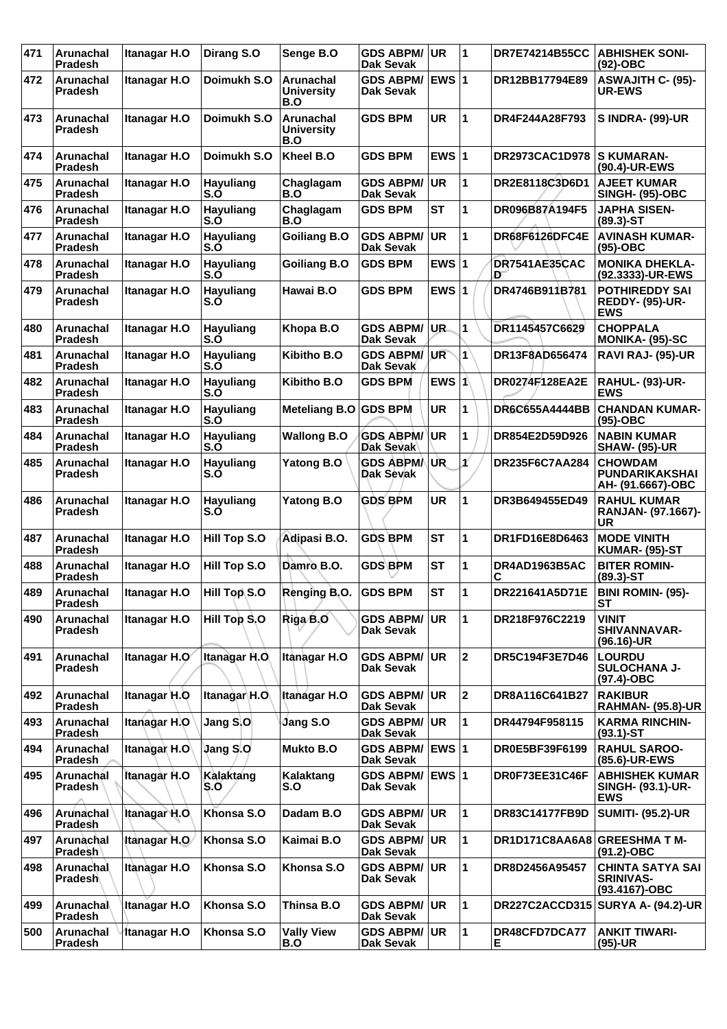| 471 | Arunachal<br><b>Pradesh</b>        | Itanagar H.O         | Dirang S.O              | Senge B.O                             | <b>GDS ABPM/</b><br><b>Dak Sevak</b> | <b>UR</b>       | 1              | <b>DR7E74214B55CC</b> | <b>ABHISHEK SONI-</b><br>$(92)$ -OBC                            |
|-----|------------------------------------|----------------------|-------------------------|---------------------------------------|--------------------------------------|-----------------|----------------|-----------------------|-----------------------------------------------------------------|
| 472 | Arunachal<br><b>Pradesh</b>        | Itanagar H.O         | Doimukh S.O             | Arunachal<br><b>University</b><br>B.O | <b>GDS ABPM/</b><br><b>Dak Sevak</b> | EWS $ 1$        |                | DR12BB17794E89        | <b>ASWAJITH C- (95)-</b><br><b>UR-EWS</b>                       |
| 473 | <b>Arunachal</b><br><b>Pradesh</b> | Itanagar H.O         | Doimukh S.O             | Arunachal<br><b>University</b><br>B.O | <b>GDS BPM</b>                       | <b>UR</b>       | 1              | DR4F244A28F793        | <b>S INDRA- (99)-UR</b>                                         |
| 474 | Arunachal<br><b>Pradesh</b>        | Itanagar H.O         | Doimukh S.O             | Kheel B.O                             | <b>GDS BPM</b>                       | EWS $ 1$        |                | <b>DR2973CAC1D978</b> | <b>S KUMARAN-</b><br>(90.4)-UR-EWS                              |
| 475 | Arunachal<br><b>Pradesh</b>        | Itanagar H.O         | Hayuliang<br>S.Ó        | Chaglagam<br>B.O                      | <b>GDS ABPM/</b><br>Dak Sevak        | <b>UR</b>       | 1              | DR2E8118C3D6D1        | <b>AJEET KUMAR</b><br><b>SINGH- (95)-OBC</b>                    |
| 476 | <b>Arunachal</b><br>Pradesh        | Itanagar H.O         | <b>Hayuliang</b><br>S.O | Chaglagam<br>B.O                      | <b>GDS BPM</b>                       | <b>ST</b>       | 1              | DR096B87A194F5        | <b>JAPHA SISEN-</b><br>$(89.3)$ -ST                             |
| 477 | Arunachal<br><b>Pradesh</b>        | Itanagar H.O         | Hayuliang<br>S.O        | <b>Goiliang B.O</b>                   | <b>GDS ABPM/</b><br><b>Dak Sevak</b> | <b>UR</b>       | 1              | DR68F6126DFC4E        | <b>AVINASH KUMAR-</b><br>$(95)-OBC$                             |
| 478 | Arunachal<br><b>Pradesh</b>        | Itanagar H.O         | <b>Hayuliang</b><br>S.Ó | <b>Goiliang B.O</b>                   | <b>GDS BPM</b>                       | EWS $ 1$        |                | DR7541AE35CAC<br>Đ    | <b>MONIKA DHEKLA-</b><br>(92.3333)-UR-EWS                       |
| 479 | <b>Arunachal</b><br>Pradesh        | Itanagar H.O         | Hayuliang<br>S.O        | Hawai B.O                             | <b>GDS BPM</b>                       | EWS $ 1$        |                | DR4746B911B781        | <b>POTHIREDDY SAI</b><br><b>REDDY- (95)-UR-</b><br><b>EWS</b>   |
| 480 | Arunachal<br><b>Pradesh</b>        | Itanagar H.O         | <b>Hayuliang</b><br>S.O | Khopa B.O                             | <b>GDS ABPM/</b><br>Dak Sevak        | UR.             | 1              | DR1145457C6629        | <b>CHOPPALA</b><br><b>MONIKA- (95)-SC</b>                       |
| 481 | <b>Arunachal</b><br><b>Pradesh</b> | Itanagar H.O         | Hayuliang<br>S.O        | Kibitho B.O                           | <b>GDS ABPM/</b><br>Dak Sevak        | UR <sup>-</sup> | $\mathbf{1}$   | DR13F8AD656474        | RAVI RAJ- (95)-UR                                               |
| 482 | Arunachal<br><b>Pradesh</b>        | Itanagar H.O         | Hayuliang<br>S.O        | Kibitho B.O                           | <b>GDS BPM</b>                       | EWS $ 1$        |                | DR0274F128EA2E        | <b>RAHUL- (93)-UR-</b><br>EWS                                   |
| 483 | Arunachal<br><b>Pradesh</b>        | Itanagar H.O         | <b>Hayuliang</b><br>S.O | <b>Meteliang B.O</b>                  | <b>GDS BPM</b>                       | UR              | 1              | DR6C655A4444BB        | <b>CHANDAN KUMAR-</b><br>(95)-OBC                               |
| 484 | <b>Arunachal</b><br>Pradesh        | Itanagar H.O         | <b>Hayuliang</b><br>S.O | <b>Wallong B.O</b>                    | <b>GDS ABPM/</b><br>Dak Sevak        | <b>UR</b>       | 1              | DR854E2D59D926        | <b>NABIN KUMAR</b><br><b>SHAW- (95)-UR</b>                      |
| 485 | Arunachal<br><b>Pradesh</b>        | Itanagar H.O         | <b>Hayuliang</b><br>S.O | <b>Yatong B.O</b>                     | <b>GDS ABPMA</b><br>Dak Sevak        | UR              | 1              | DR235F6C7AA284        | <b>CHOWDAM</b><br><b>PUNDARIKAKSHAI</b><br>AH- (91.6667)-OBC    |
| 486 | Arunachal<br><b>Pradesh</b>        | Itanagar H.O         | <b>Hayuliang</b><br>S.O | <b>Yatong B.O</b>                     | <b>GDS BPM</b>                       | UR              | 1              | DR3B649455ED49        | <b>RAHUL KUMAR</b><br>RANJAN- (97.1667)-<br>UR                  |
| 487 | Arunachal<br>Pradesh               | Itanagar H.O         | <b>Hill Top S.O</b>     | Adipasi B.O.                          | <b>GDS BPM</b>                       | <b>ST</b>       | 1              | DR1FD16E8D6463        | <b>MODE VINITH</b><br><b>KUMAR- (95)-ST</b>                     |
| 488 | Arunachal<br><b>Pradesh</b>        | Itanagar H.O         | <b>Hill Top S.O</b>     | Damro B.O.                            | <b>GDS BPM</b>                       | SТ              | 1              | DR4AD1963B5AC<br>С    | <b>BITER ROMIN-</b><br>$(89.3)$ -ST                             |
| 489 | Arunachal<br><b>Pradesh</b>        | <b>Itanagar H.O</b>  | <b>Hill Top S.O</b>     | Renging B.O.                          | <b>GDS BPM</b>                       | <b>ST</b>       | 1              | DR221641A5D71E        | <b>BINI ROMIN- (95)-</b><br>SТ                                  |
| 490 | <b>Arunachal</b><br><b>Pradesh</b> | Itanagar H.O         | Hill Top S.O            | Riga B.O                              | <b>GDS ABPM/</b><br>Dak Sevak        | <b>UR</b>       | $\mathbf{1}$   | DR218F976C2219        | <b>VINIT</b><br>SHIVANNAVAR-<br>$(96.16)$ -UR                   |
| 491 | Arunachal<br><b>Pradesh</b>        | Itanagar H.O         | Itanagar H.O.           | Itanagar H.O                          | <b>GDS ABPM/</b><br>Dak Sevak        | <b>UR</b>       | $\overline{2}$ | DR5C194F3E7D46        | <b>LOURDU</b><br><b>SULOCHANA J-</b><br>$(97.4)$ -OBC           |
| 492 | Arunachal<br>Pradesh               | Itanagar H.O         | Itanagar H.O            | <b>Itanagar H.O</b>                   | <b>GDS ABPM/</b><br>Dak Sevak        | <b>UR</b>       | $\mathbf{2}$   | DR8A116C641B27        | <b>RAKIBUR</b><br><b>RAHMAN- (95.8)-UR</b>                      |
| 493 | <b>Arunachal</b><br><b>Pradesh</b> | Itanagar H.O         | Jang S.O                | Jang S.O                              | <b>GDS ABPM/</b><br>Dak Sevak        | UR              | $\mathbf{1}$   | DR44794F958115        | <b>KARMA RINCHIN-</b><br>$(93.1)$ -ST                           |
| 494 | <b>Arunachal</b><br>Pradesh        | <b>Itanagar H.O</b>  | <b>Jang S.O</b>         | <b>Mukto B.O</b>                      | <b>GDS ABPM/</b><br>Dak Sevak        | EWS $ 1$        |                | DR0E5BF39F6199        | <b>RAHUL SAROO-</b><br>(85.6)-UR-EWS                            |
| 495 | Arunachal<br><b>Pradesh</b>        | <b>Itanagar H.O</b>  | Kalaktang<br>S.O        | Kalaktang<br>S.O                      | <b>GDS ABPM/</b><br>Dak Sevak        | <b>EWS 1</b>    |                | DR0F73EE31C46F        | <b>ABHISHEK KUMAR</b><br><b>SINGH- (93.1)-UR-</b><br><b>EWS</b> |
| 496 | Arunachal<br>Pradesh               | Itanagar H.O         | Khonsa S.O              | Dadam B.O                             | <b>GDS ABPM/</b><br>Dak Sevak        | <b>UR</b>       | 1              | <b>DR83C14177FB9D</b> | <b>SUMITI- (95.2)-UR</b>                                        |
| 497 | Arunachal<br><b>Pradesh</b>        | <b>Itanagar H.O.</b> | Khonsa S.O              | Kaimai B.O                            | <b>GDS ABPM/</b><br><b>Dak Sevak</b> | <b>UR</b>       | $\mathbf{1}$   | DR1D171C8AA6A8        | <b>GREESHMA T M-</b><br>$(91.2)$ -OBC                           |
| 498 | Arunachal<br><b>Pradesh</b>        | Itanagar H.O         | Khonsa S.O              | Khonsa S.O                            | <b>GDS ABPM/</b><br>Dak Sevak        | <b>UR</b>       | $\mathbf{1}$   | DR8D2456A95457        | <b>CHINTA SATYA SAI</b><br><b>SRINIVAS-</b><br>(93.4167)-OBC    |
| 499 | Arunachal<br>Pradesh               | <b>Itanagar H.O</b>  | Khonsa S.O              | Thinsa B.O                            | <b>GDS ABPM/</b><br>Dak Sevak        | UR              | $\mathbf{1}$   |                       | DR227C2ACCD315 SURYA A- (94.2)-UR                               |
| 500 | <b>Arunachal</b><br>Pradesh        | Itanagar H.O         | Khonsa S.O              | <b>Vally View</b><br>B.O              | <b>GDS ABPM/</b><br>Dak Sevak        | UR              | 1              | DR48CFD7DCA77<br>E.   | <b>ANKIT TIWARI-</b><br>$(95)-UR$                               |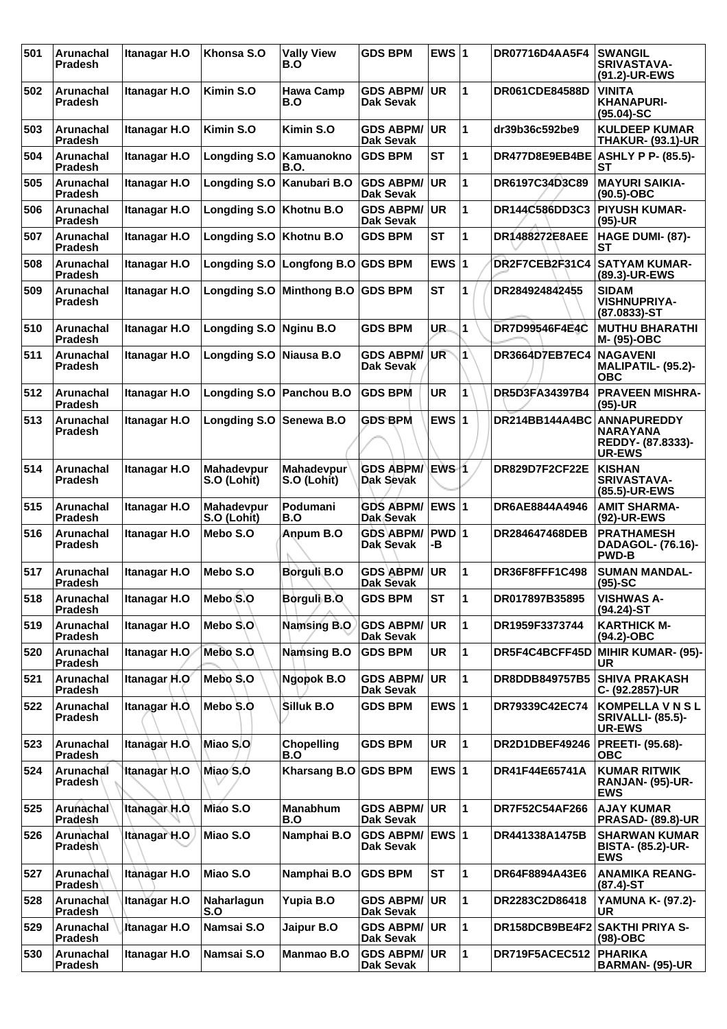| 501 | Arunachal<br><b>Pradesh</b> | Itanagar H.O        | Khonsa S.O                | <b>Vally View</b><br>B.O  | <b>GDS BPM</b>                       | EWS $ 1$    |              | <b>DR07716D4AA5F4</b> | <b>SWANGIL</b><br><b>SRIVASTAVA-</b><br>(91.2)-UR-EWS                       |
|-----|-----------------------------|---------------------|---------------------------|---------------------------|--------------------------------------|-------------|--------------|-----------------------|-----------------------------------------------------------------------------|
| 502 | Arunachal<br><b>Pradesh</b> | Itanagar H.O        | Kimin S.O                 | <b>Hawa Camp</b><br>B.O   | <b>GDS ABPM/</b><br>Dak Sevak        | <b>UR</b>   | 1            | <b>DR061CDE84588D</b> | VINITA<br><b>KHANAPURI-</b><br>$(95.04)-SC$                                 |
| 503 | Arunachal<br><b>Pradesh</b> | Itanagar H.O        | Kimin S.O                 | Kimin S.O                 | <b>GDS ABPM/</b><br>Dak Sevak        | <b>UR</b>   | 1            | dr39b36c592be9        | <b>KULDEEP KUMAR</b><br><b>THAKUR-(93.1)-UR</b>                             |
| 504 | Arunachal<br><b>Pradesh</b> | Itanagar H.O        | <b>Longding S.O</b>       | Kamuanokno<br>B.O.        | <b>GDS BPM</b>                       | SТ          | 1            | DR477D8E9EB4BE        | <b>ASHLY P P- (85.5)-</b><br><b>ST</b>                                      |
| 505 | Arunachal<br>Pradesh        | Itanagar H.O        | <b>Longding S.O</b>       | Kanubari B.O              | <b>GDS ABPM/</b><br><b>Dak Sevak</b> | <b>UR</b>   | 1            | DR6197C34D3C89        | <b>MAYURI SAIKIA-</b><br>$(90.5)$ -OBC                                      |
| 506 | Arunachal<br>Pradesh        | Itanagar H.O        | <b>Longding S.O</b>       | Khotnu B.O                | <b>GDS ABPM/</b><br>Dak Sevak        | <b>UR</b>   | 1            | DR144C586DD3C3        | <b>PIYUSH KUMAR-</b><br>$(95)-UR$                                           |
| 507 | Arunachal<br><b>Pradesh</b> | Itanagar H.O        | <b>Longding S.O</b>       | Khotnu B.O                | <b>GDS BPM</b>                       | <b>ST</b>   | 1            | DR1488272E8AEE        | HAGE DUMI- (87)-<br>SТ                                                      |
| 508 | Arunachal<br><b>Pradesh</b> | Itanagar H.O        | <b>Longding S.O</b>       | Longfong B.O GDS BPM      |                                      | EWS $ 1$    |              | DR2F7CEB2F31C4        | <b>SATYAM KUMAR-</b><br>(89.3)-UR-EWS                                       |
| 509 | Arunachal<br><b>Pradesh</b> | Itanagar H.O        | <b>Longding S.O</b>       | <b>Minthong B.O</b>       | <b>GDS BPM</b>                       | <b>ST</b>   | 1            | DR284924842455        | <b>SIDAM</b><br><b>VISHNUPRIYA-</b><br>$(87.0833) - ST$                     |
| 510 | Arunachal<br><b>Pradesh</b> | Itanagar H.O        | <b>Longding S.O</b>       | <b>Nginu B.O</b>          | <b>GDS BPM</b>                       | UR.         | 1            | DR7D99546F4E4C        | <b>MUTHU BHARATHI</b><br>M- (95)-OBC                                        |
| 511 | Arunachal<br><b>Pradesh</b> | Itanagar H.O        | <b>Longding S.O</b>       | Niausa B.O                | <b>GDS ABPM/</b><br>Dak Sevak        | <b>UR</b>   | $\mathbf{1}$ | <b>DR3664D7EB7EC4</b> | <b>NAGAVENI</b><br>MALIPATIL- (95.2)-<br><b>OBC</b>                         |
| 512 | Arunachal<br><b>Pradesh</b> | Itanagar H.O        | <b>Longding S.O</b>       | Panchou B.O               | <b>GDS BPM</b>                       | <b>UR</b>   | 1            | DR5D3FA34397B4        | <b>PRAVEEN MISHRA-</b><br>$(95)-UR$                                         |
| 513 | Arunachal<br><b>Pradesh</b> | Itanagar H.O        | <b>Longding S.O</b>       | Senewa B.O                | <b>GDS BPM</b>                       | EWS $ 1$    |              | DR214BB144A4BC        | <b>ANNAPUREDDY</b><br><b>NARAYANA</b><br>REDDY- (87.8333)-<br><b>UR-EWS</b> |
| 514 | Arunachal<br><b>Pradesh</b> | Itanagar H.O        | Mahadevpur<br>S.O (Lohit) | Mahadevpur<br>S.O (Lohit) | <b>GDS ABPM/</b><br>Dak Sevak        | EWS 1       |              | DR829D7F2CF22E        | <b>KISHAN</b><br><b>SRIVASTAVA-</b><br>(85.5)-UR-EWS                        |
| 515 | Arunachal<br><b>Pradesh</b> | Itanagar H.O        | Mahadevpur<br>S.O (Lohit) | Podumani<br>B.O           | <b>GDS ABPM/</b><br>Dak Sevak        | EWS $ 1$    |              | DR6AE8844A4946        | <b>AMIT SHARMA-</b><br>(92)-UR-EWS                                          |
| 516 | Arunachal<br><b>Pradesh</b> | Itanagar H.O        | Mebo S.O                  | Anpum B.O                 | <b>GDS ABPM/</b><br>Dak Sevak        | PWD 1<br>-В |              | DR284647468DEB        | <b>PRATHAMESH</b><br>DADAGOL- (76.16)-<br><b>PWD-B</b>                      |
| 517 | <b>Arunachal</b><br>Pradesh | Itanagar H.O        | Mebo S.O                  | Borguli B.O               | <b>GDS ABPM/</b><br><b>Dak Sevak</b> | <b>UR</b>   | 1            | DR36F8FFF1C498        | <b>SUMAN MANDAL-</b><br>$(95)-SC$                                           |
| 518 | Arunachal<br>Pradesh        | Itanagar H.O        | Mebo S.O                  | Borguli B.O               | <b>GDS BPM</b>                       | <b>ST</b>   | ∣1           | DR017897B35895        | <b>VISHWAS A-</b><br>(94.24)-ST                                             |
| 519 | Arunachal<br>Pradesh        | Itanagar H.O        | Mebo S.O                  | <b>Namsing B.O</b>        | <b>GDS ABPM/</b><br>Dak Sevak        | <b>UR</b>   | 1            | DR1959F3373744        | <b>KARTHICK M-</b><br>$(94.2)$ -OBC                                         |
| 520 | Arunachal<br>Pradesh        | Itanagar H.O        | Mebo S.O.                 | <b>Namsing B.O</b>        | <b>GDS BPM</b>                       | UR          | $\mathbf{1}$ | DR5F4C4BCFF45D        | <b>MIHIR KUMAR- (95)-</b><br>UR                                             |
| 521 | Arunachal<br><b>Pradesh</b> | Itanagar H.O        | Mebo S.O                  | Ngopok B.O                | <b>GDS ABPM/</b><br>Dak Sevak        | <b>UR</b>   | 1            | DR8DDB849757B5        | <b>SHIVA PRAKASH</b><br>C- (92.2857)-UR                                     |
| 522 | Arunachal<br>Pradesh        | Itanagar H.O.       | Mebo S.O                  | Silluk B.O                | <b>GDS BPM</b>                       | EWS $ 1$    |              | DR79339C42EC74        | <b>KOMPELLA V N S L</b><br><b>SRIVALLI- (85.5)-</b><br><b>UR-EWS</b>        |
| 523 | Arunachal<br>Pradesh        | Itanagar H.O.       | Miao S.O                  | Chopelling<br>B.O         | <b>GDS BPM</b>                       | <b>UR</b>   | 1            | DR2D1DBEF49246        | PREETI- (95.68)-<br><b>OBC</b>                                              |
| 524 | Arunachal<br>Pradesh        | <b>Itanagar H.O</b> | Miao S.O                  | Kharsang B.O GDS BPM      |                                      | EWS $ 1$    |              | DR41F44E65741A        | <b>KUMAR RITWIK</b><br><b>RANJAN- (95)-UR-</b><br><b>EWS</b>                |
| 525 | Arunachal<br>Pradesh        | Itanagar H.O        | Mião S.O                  | <b>Manabhum</b><br>B.O    | <b>GDS ABPM/</b><br>Dak Sevak        | UR          | $\mathbf{1}$ | DR7F52C54AF266        | <b>AJAY KUMAR</b><br><b>PRASAD- (89.8)-UR</b>                               |
| 526 | Arunachal<br><b>Pradesh</b> | Itanagar H.O        | Miao S.O                  | Namphai B.O               | <b>GDS ABPM/</b><br>Dak Sevak        | $EWS$  1    |              | DR441338A1475B        | <b>SHARWAN KUMAR</b><br><b>BISTA- (85.2)-UR-</b><br><b>EWS</b>              |
| 527 | Arunachal<br><b>Pradesh</b> | Itanagar H.O        | Miao S.O                  | Namphai B.O               | <b>GDS BPM</b>                       | <b>ST</b>   | 1            | DR64F8894A43E6        | <b>ANAMIKA REANG-</b><br>$(87.4)$ -ST                                       |
| 528 | Arunachal<br>Pradesh        | <b>Itanagar H.O</b> | Naharlagun<br>S.O         | Yupia B.O                 | <b>GDS ABPM/</b><br><b>Dak Sevak</b> | <b>UR</b>   | 1            | DR2283C2D86418        | <b>YAMUNA K- (97.2)-</b><br>UR                                              |
| 529 | Arunachal<br>Pradesh        | Itanagar H.O        | Namsai S.O                | Jaipur B.O                | <b>GDS ABPM/</b><br>Dak Sevak        | <b>UR</b>   | 1            | DR158DCB9BE4F2        | SAKTHI PRIYA S-<br>$(98)$ -OBC                                              |
| 530 | Arunachal<br>Pradesh        | <b>Itanagar H.O</b> | Namsai S.O                | Manmao B.O                | <b>GDS ABPM/</b><br><b>Dak Sevak</b> | UR          | $\mathbf{1}$ | DR719F5ACEC512        | <b>PHARIKA</b><br><b>BARMAN- (95)-UR</b>                                    |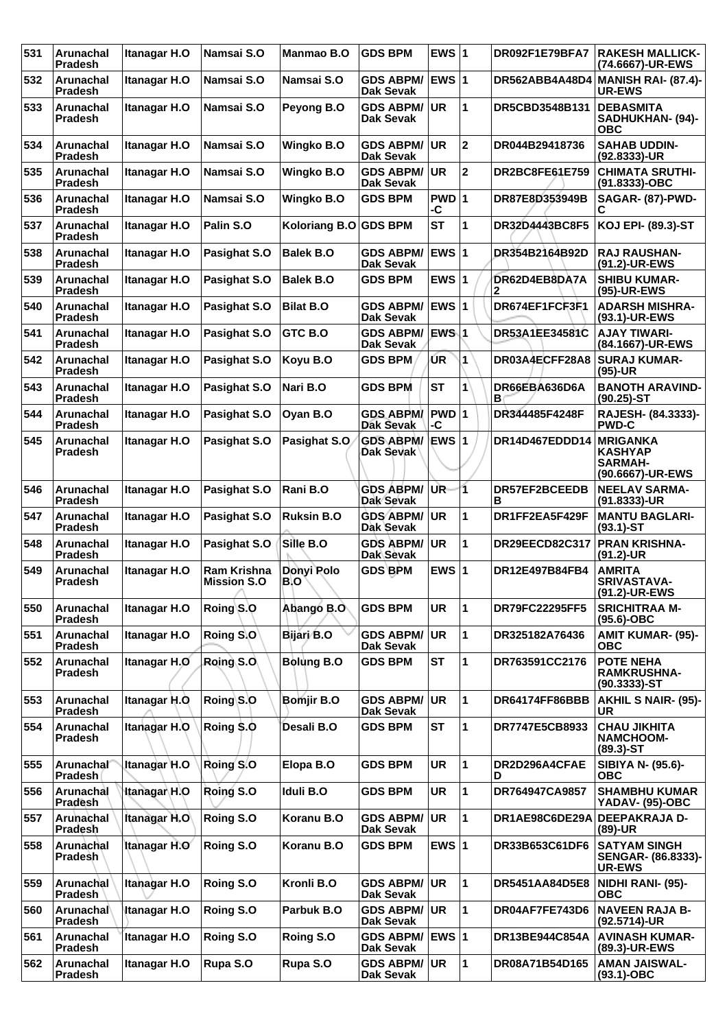| 531 | <b>Arunachal</b><br><b>Pradesh</b> | Itanagar H.O        | Namsai S.O                               | <b>Manmao B.O</b>     | <b>GDS BPM</b>                       | EWS $ 1$         |                         | DR092F1E79BFA7        | <b>RAKESH MALLICK-</b><br>(74.6667)-UR-EWS                              |
|-----|------------------------------------|---------------------|------------------------------------------|-----------------------|--------------------------------------|------------------|-------------------------|-----------------------|-------------------------------------------------------------------------|
| 532 | <b>Arunachal</b><br><b>Pradesh</b> | Itanagar H.O        | Namsai S.O                               | Namsai S.O            | <b>GDS ABPM/</b><br><b>Dak Sevak</b> | EWS $ 1$         |                         |                       | DR562ABB4A48D4 MANISH RAI- (87.4)-<br><b>UR-EWS</b>                     |
| 533 | <b>Arunachal</b><br><b>Pradesh</b> | Itanagar H.O        | Namsai S.O                               | Peyong B.O            | <b>GDS ABPM/</b><br><b>Dak Sevak</b> | <b>UR</b>        | $\mathbf 1$             | DR5CBD3548B131        | <b>DEBASMITA</b><br>SADHUKHAN- (94)-<br>ОВС                             |
| 534 | Arunachal<br><b>Pradesh</b>        | <b>Itanagar H.O</b> | Namsai S.O                               | <b>Wingko B.O</b>     | <b>GDS ABPM/</b><br><b>Dak Sevak</b> | <b>UR</b>        | $\mathbf{2}$            | DR044B29418736        | <b>SAHAB UDDIN-</b><br>$(92.8333)$ -UR                                  |
| 535 | Arunachal<br>Pradesh               | Itanagar H.O        | Namsai S.O                               | <b>Wingko B.O</b>     | <b>GDS ABPM/</b><br>Dak Sevak        | UR               | $\overline{\mathbf{2}}$ | DR2BC8FE61E759        | <b>CHIMATA SRUTHI-</b><br>(91.8333)-OBC                                 |
| 536 | Arunachal<br><b>Pradesh</b>        | Itanagar H.O        | Namsai S.O                               | <b>Wingko B.O</b>     | <b>GDS BPM</b>                       | PWD 1<br>-C      |                         | DR87E8D353949B        | <b>SAGAR- (87)-PWD-</b><br>С                                            |
| 537 | Arunachal<br><b>Pradesh</b>        | <b>Itanagar H.O</b> | Palin S.O                                | Koloriang B.O GDS BPM |                                      | <b>ST</b>        | $\mathbf 1$             | DR32D4443BC8F5        | <b>KOJ EPI- (89.3)-ST</b>                                               |
| 538 | <b>Arunachal</b><br>Pradesh        | Itanagar H.O        | Pasighat S.O                             | <b>Balek B.O</b>      | <b>GDS ABPM/</b><br>Dak Sevak        | EWS $ 1$         |                         | DR354B2164B92D        | <b>RAJ RAUSHAN-</b><br>(91.2)-UR-EWS                                    |
| 539 | Arunachal<br><b>Pradesh</b>        | Itanagar H.O        | Pasighat S.O                             | <b>Balek B.O</b>      | <b>GDS BPM</b>                       | EWS $ 1$         |                         | DR62D4EB8DA7A         | <b>SHIBU KUMAR-</b><br>(95)-UR-EWS                                      |
| 540 | Arunachal<br><b>Pradesh</b>        | Itanagar H.O        | Pasighat S.O                             | <b>Bilat B.O</b>      | <b>GDS ABPM/</b><br><b>Dak Sevak</b> | EWS $ 1$         |                         | DR674EF1FCF3F1        | <b>ADARSH MISHRA-</b><br>(93.1)-UR-EWS                                  |
| 541 | Arunachal<br>Pradesh               | Itanagar H.O        | Pasighat S.O                             | GTC B.O               | <b>GDS ABPM/</b><br>Dak Sevak        | EWS <sup>1</sup> |                         | DR53A1EE34581C        | <b>AJAY TIWARI-</b><br>(84.1667)-UR-EWS                                 |
| 542 | Arunachal<br>Pradesh               | Itanagar H.O        | Pasighat S.O                             | Koyu B.O              | <b>GDS BPM</b>                       | UR.              | $\overline{1}$          | DR03A4ECFF28A8        | <b>SURAJ KUMAR-</b><br>$(95)-UR$                                        |
| 543 | Arunachal<br><b>Pradesh</b>        | <b>Itanagar H.O</b> | Pasighat S.O                             | Nari B.O              | <b>GDS BPM</b>                       | <b>ST</b>        | 1                       | DR66EBA636D6A<br>в    | <b>BANOTH ARAVIND-</b><br>$(90.25)$ -ST                                 |
| 544 | Arunachal<br>Pradesh               | Itanagar H.O        | Pasighat S.O                             | Oyan B.O              | <b>GDS ABPM/</b><br>Dak Sevak        | $PWD$ 1<br>-C    |                         | DR344485F4248F        | RAJESH- (84.3333)-<br><b>PWD-C</b>                                      |
| 545 | Arunachal<br><b>Pradesh</b>        | Itanagar H.O        | Pasighat S.O                             | Pasighat S.O          | <b>GDS ABPM/</b><br>Dak Sevak        | EWS $ 1$         |                         | DR14D467EDDD14        | <b>MRIGANKA</b><br><b>KASHYAP</b><br><b>SARMAH-</b><br>(90.6667)-UR-EWS |
| 546 | Arunachal<br><b>Pradesh</b>        | Itanagar H.O        | Pasighat S.O                             | Rani B.O              | <b>GDS ABPM/</b><br>Dak Sevak        | <b>UR</b>        | 11                      | DR57EF2BCEEDB<br>в    | <b>NEELAV SARMA-</b><br>(91.8333)-UR                                    |
| 547 | Arunachal<br><b>Pradesh</b>        | Itanagar H.O        | Pasighat S.O                             | <b>Ruksin B.O</b>     | <b>GDS ABPM/</b><br>Dak Sevak        | <b>UR</b>        | 1                       | DR1FF2EA5F429F        | <b>MANTU BAGLARI-</b><br>$(93.1)$ -ST                                   |
| 548 | Arunachal<br>Pradesh               | Itanagar H.O        | Pasighat S.O                             | Sille B.O             | <b>GDS ABPM/</b><br>Dak Sevak        | <b>UR</b>        | 1                       | <b>DR29EECD82C317</b> | <b>PRAN KRISHNA-</b><br>$(91.2)$ -UR                                    |
| 549 | Arunachal<br><b>Pradesh</b>        | Itanagar H.O        | <b>Ram Krishna</b><br><b>Mission S.O</b> | Donyi Polo<br>B.O     | <b>GDS BPM</b>                       | EWS $ 1$         |                         | DR12E497B84FB4        | <b>AMRITA</b><br><b>SRIVASTAVA-</b><br>(91.2)-UR-EWS                    |
| 550 | Arunachal<br><b>Pradesh</b>        | <b>Itanagar H.O</b> | Roing S.O                                | Abango B.O            | <b>GDS BPM</b>                       | UR               | $\mathbf 1$             | <b>DR79FC22295FF5</b> | <b>SRICHITRAA M-</b><br>$(95.6)$ -OBC                                   |
| 551 | Arunachal<br>Pradesh               | Itanagar H.O        | Roing S.O                                | Bijari B.O            | <b>GDS ABPM/</b><br><b>Dak Sevak</b> | <b>UR</b>        | 1                       | DR325182A76436        | <b>AMIT KUMAR- (95)-</b><br>ОВС                                         |
| 552 | Arunachal<br>Pradesh               | Itanagar H.O        | Roing S.O.                               | <b>Bolung B.O</b>     | <b>GDS BPM</b>                       | <b>ST</b>        | 1                       | DR763591CC2176        | <b>POTE NEHA</b><br><b>RAMKRUSHNA-</b><br>$(90.3333)$ -ST               |
| 553 | Arunachal<br><b>Pradesh</b>        | Itanagar H.O.       | Roing S.O                                | <b>Bomjir B.O</b>     | <b>GDS ABPM/</b><br>Dak Sevak        | <b>UR</b>        | 1                       | DR64174FF86BBB        | <b>AKHIL S NAIR- (95)-</b><br><b>UR</b>                                 |
| 554 | Arunachal<br>Pradesh               | <b>Itanagar H.O</b> | Roing \$.0                               | Desali B.O            | <b>GDS BPM</b>                       | <b>ST</b>        | $\mathbf 1$             | DR7747E5CB8933        | <b>CHAU JIKHITA</b><br><b>NAMCHOOM-</b><br>$(89.3) - ST$                |
| 555 | Arunachal<br><b>Pradesh</b>        | Itanagar H.O        | Roing S.O                                | Elopa B.O             | <b>GDS BPM</b>                       | UR               | 1                       | DR2D296A4CFAE<br>D    | SIBIYA N- (95.6)-<br><b>OBC</b>                                         |
| 556 | Arunachal<br>Pradesh               | <b>Itanagar H.O</b> | Roing S.O                                | Iduli B.O             | <b>GDS BPM</b>                       | UR               | 1                       | DR764947CA9857        | <b>SHAMBHU KUMAR</b><br>YADAV- (95)-OBC                                 |
| 557 | Arunachal<br>Pradesh               | <b>Itanagar H.O</b> | Roing S.O                                | Koranu B.O            | <b>GDS ABPM/</b><br>Dak Sevak        | <b>UR</b>        | 1                       | DR1AE98C6DE29A        | <b>DEEPAKRAJA D-</b><br>$(89)-UR$                                       |
| 558 | Arunachal<br><b>Pradesh</b>        | Itanagar H.O        | Roing S.O                                | Koranu B.O            | <b>GDS BPM</b>                       | EWS $ 1$         |                         | DR33B653C61DF6        | <b>SATYAM SINGH</b><br>SENGAR- (86.8333)-<br><b>UR-EWS</b>              |
| 559 | Arunachal<br><b>Pradesh</b>        | Itanagar H.O        | Roing S.O                                | Kronli B.O            | <b>GDS ABPM/</b><br>Dak Sevak        | <b>UR</b>        | 1                       | <b>DR5451AA84D5E8</b> | NIDHI RANI- (95)-<br><b>OBC</b>                                         |
| 560 | Arunachal<br>Pradesh               | <b>Itanagar H.O</b> | Roing S.O                                | Parbuk B.O            | <b>GDS ABPM/</b><br>Dak Sevak        | <b>UR</b>        | $\mathbf 1$             | DR04AF7FE743D6        | <b>NAVEEN RAJA B-</b><br>(92.5714)-UR                                   |
| 561 | Arunachal<br><b>Pradesh</b>        | <b>Itanagar H.O</b> | Roing S.O                                | Roing S.O             | <b>GDS ABPM/</b><br><b>Dak Sevak</b> | EWS $ 1$         |                         | DR13BE944C854A        | <b>AVINASH KUMAR-</b><br>(89.3)-UR-EWS                                  |
| 562 | Arunachal<br>Pradesh               | <b>Itanagar H.O</b> | Rupa S.O                                 | Rupa S.O              | <b>GDS ABPM/</b><br>Dak Sevak        | <b>UR</b>        | 1                       | DR08A71B54D165        | <b>AMAN JAISWAL-</b><br>$(93.1)-OBC$                                    |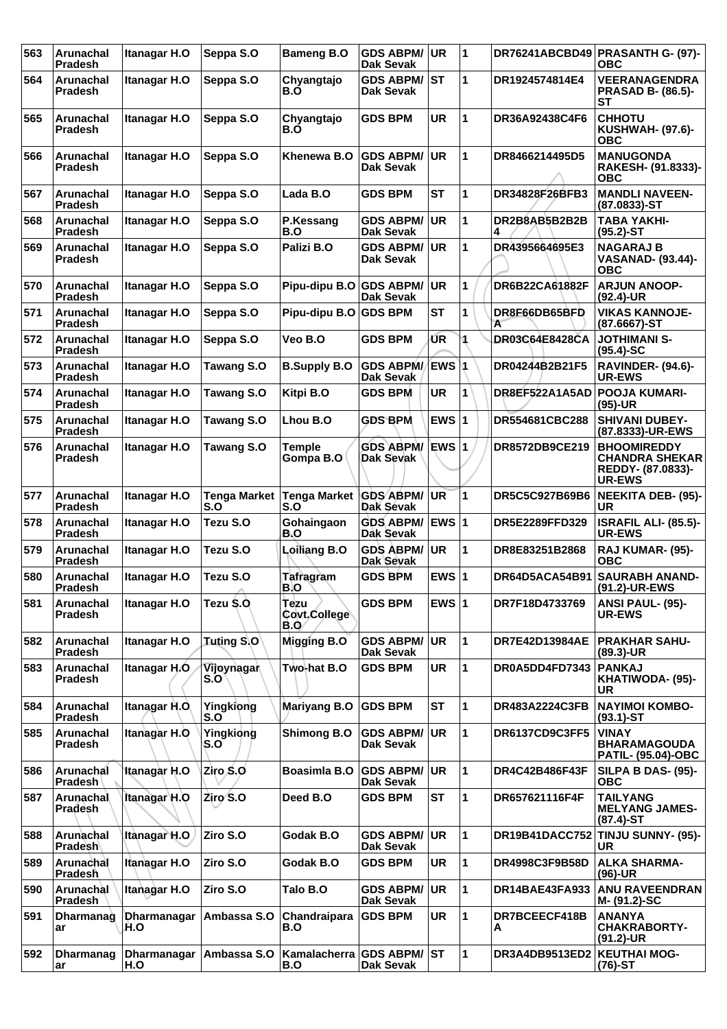| 563 | Arunachal<br>Pradesh               | Itanagar H.O        | Seppa S.O                  | <b>Bameng B.O</b>               | <b>GDS ABPM/</b><br><b>Dak Sevak</b> | <b>UR</b> | $\overline{1}$ |                             | DR76241ABCBD49 PRASANTH G- (97)-<br>ОВС                                           |
|-----|------------------------------------|---------------------|----------------------------|---------------------------------|--------------------------------------|-----------|----------------|-----------------------------|-----------------------------------------------------------------------------------|
| 564 | Arunachal<br><b>Pradesh</b>        | <b>Itanagar H.O</b> | Seppa S.O                  | Chyangtajo<br>B.O               | <b>GDS ABPM/</b><br>Dak Sevak        | ST        | 1              | DR1924574814E4              | <b>VEERANAGENDRA</b><br><b>PRASAD B- (86.5)-</b><br>SТ                            |
| 565 | Arunachal<br><b>Pradesh</b>        | Itanagar H.O        | Seppa S.O                  | Chvangtaio<br>B.O               | <b>GDS BPM</b>                       | <b>UR</b> | 1              | DR36A92438C4F6              | <b>CHHOTU</b><br><b>KUSHWAH- (97.6)-</b><br><b>OBC</b>                            |
| 566 | Arunachal<br>Pradesh               | <b>Itanagar H.O</b> | Seppa S.O                  | Khenewa B.O                     | <b>GDS ABPM/</b><br>Dak Sevak        | <b>UR</b> | 1              | DR8466214495D5              | <b>MANUGONDA</b><br>RAKESH- (91.8333)-<br><b>OBC</b>                              |
| 567 | Arunachal<br>Pradesh               | Itanagar H.O        | Seppa S.O                  | Lada B.O                        | <b>GDS BPM</b>                       | <b>ST</b> | 1              | DR34828F26BFB3              | <b>MANDLI NAVEEN-</b><br>$(87.0833) - ST$                                         |
| 568 | Arunachal<br><b>Pradesh</b>        | <b>Itanagar H.O</b> | Seppa S.O                  | P.Kessang<br>B.O                | <b>GDS ABPM/</b><br><b>Dak Sevak</b> | <b>UR</b> | $\mathbf 1$    | DR2B8AB5B2B2B               | <b>TABA YAKHI-</b><br>$(95.2)$ -ST                                                |
| 569 | Arunachal<br><b>Pradesh</b>        | Itanagar H.O        | Seppa S.O                  | Palizi B.O                      | <b>GDS ABPM/</b><br><b>Dak Sevak</b> | <b>UR</b> | 1              | DR4395664695E3              | <b>NAGARAJ B</b><br><b>VASANAD- (93.44)-</b><br><b>OBC</b>                        |
| 570 | Arunachal<br><b>Pradesh</b>        | Itanagar H.O        | Seppa S.O                  | Pipu-dipu B.O GDS ABPM/         | <b>Dak Sevak</b>                     | <b>UR</b> | 1              | DR6B22CA61882F              | <b>ARJUN ANOOP-</b><br>$(92.4)$ -UR                                               |
| 571 | Arunachal<br><b>Pradesh</b>        | Itanagar H.O        | Seppa S.O                  | Pipu-dipu B.O                   | <b>GDS BPM</b>                       | <b>ST</b> | 1              | DR8F66DB65BFD<br>A          | <b>VIKAS KANNOJE-</b><br>(87.6667)-ST                                             |
| 572 | Arunachal<br>Pradesh               | Itanagar H.O        | Seppa S.O                  | Veo B.O                         | <b>GDS BPM</b>                       | ŰR        |                | <b>DR03C64E8428CA</b>       | <b>JOTHIMANI S-</b><br>$(95.4)$ -SC                                               |
| 573 | Arunachal<br><b>Pradesh</b>        | Itanagar H.O        | <b>Tawang S.O</b>          | <b>B.Supply B.O</b>             | <b>GDS ABPM/</b><br>Dak Sevak        | ΈWS Μ     |                | DR04244B2B21F5              | RAVINDER- (94.6)-<br>UR-EWS                                                       |
| 574 | Arunachal<br>Pradesh               | Itanagar H.O        | Tawang S.O                 | Kitpi B.O                       | <b>GDS BPM</b>                       | <b>UR</b> | 1              | DR8EF522A1A5AD              | <b>POOJA KUMARI-</b><br>$(95)-UR$                                                 |
| 575 | Arunachal<br><b>Pradesh</b>        | Itanagar H.O        | <b>Tawang S.O</b>          | Lhou B.O                        | <b>GDS BPM</b>                       | EWS $ 1$  |                | DR554681CBC288              | <b>SHIVANI DUBEY-</b><br>(87.8333)-UR-EWS                                         |
| 576 | Arunachal<br>Pradesh               | Itanagar H.O        | <b>Tawang S.O</b>          | Temple<br>Gompa B.O             | <b>GDS ABPM/</b><br>Dak Sevak        | EWS $ 1$  |                | DR8572DB9CE219              | <b>BHOOMIREDDY</b><br><b>CHANDRA SHEKAR</b><br>REDDY- (87.0833)-<br><b>UR-EWS</b> |
| 577 | Arunachal<br>Pradesh               | Itanagar H.O        | <b>Tenga Market</b><br>S.O | <b>Tenga Market</b><br>S.O      | <b>GDS ABPM/</b><br>Dak Sevak        | UR        | 1              | DR5C5C927B69B6              | NEEKITA DEB- (95)-<br>UR                                                          |
| 578 | Arunachal<br><b>Pradesh</b>        | Itanagar H.O        | Tezu S.O                   | Gohaingaon<br>B.O               | <b>GDS ABPM/</b><br>Dak Sevak        | EWS $ 1$  |                | DR5E2289FFD329              | <b>ISRAFIL ALI- (85.5)-</b><br><b>UR-EWS</b>                                      |
| 579 | Arunachal<br><b>Pradesh</b>        | <b>Itanagar H.O</b> | Tezu S.O                   | Loiliang B.O                    | <b>GDS ABPM/</b><br>Dak Sevak        | UR        | $\mathbf 1$    | DR8E83251B2868              | RAJ KUMAR- (95)-<br><b>OBC</b>                                                    |
| 580 | Arunachal<br>Pradesh               | Itanagar H.O        | Tezu S.O                   | Tafragram<br>B.O                | <b>GDS BPM</b>                       | EWS $ 1$  |                | DR64D5ACA54B91              | <b>SAURABH ANAND-</b><br>(91.2)-UR-EWS                                            |
| 581 | Arunachal<br>Pradesh               | Itanagar H.O        | Tezu S.O.                  | Tezu<br>Covt.College<br>B.0     | <b>GDS BPM</b>                       | EWS $ 1$  |                | DR7F18D4733769              | ANSI PAUL- (95)-<br>UR-EWS                                                        |
| 582 | Arunachal<br>Pradesh               | Itanagar H.O        | <b>Tuting S.O</b>          | Migging B.O                     | <b>GDS ABPM/</b><br>Dak Sevak        | <b>UR</b> | 1              | <b>DR7E42D13984AE</b>       | <b>PRAKHAR SAHU-</b><br>(89.3)-UR                                                 |
| 583 | Arunachal<br><b>Pradesh</b>        | Itanagar H.O.       | Vijoynagar<br>S.O          | Two-hat B.O                     | <b>GDS BPM</b>                       | <b>UR</b> | $\mathbf 1$    | DR0A5DD4FD7343              | <b>PANKAJ</b><br>KHATIWODA- (95)-<br>UR                                           |
| 584 | Arunachal<br><b>Pradesh</b>        | Itanagar H.O.       | Yingkiong<br>S.O           | <b>Mariyang B.O</b>             | <b>GDS BPM</b>                       | <b>ST</b> | $\mathbf 1$    | DR483A2224C3FB              | <b>NAYIMOI KOMBO-</b><br>$(93.1)$ -ST                                             |
| 585 | <b>Arunachal</b><br><b>Pradesh</b> | <b>Itanagar H.O</b> | Yingkiong<br>S.O           | <b>Shimong B.O</b>              | <b>GDS ABPM/</b><br>Dak Sevak        | <b>UR</b> | $\mathbf 1$    | DR6137CD9C3FF5              | <b>VINAY</b><br><b>BHARAMAGOUDA</b><br><b>PATIL- (95.04)-OBC</b>                  |
| 586 | Arunachal<br><b>Pradesh</b>        | Itanagar H.O        | Ziro S.O                   | <b>Boasimla B.O</b>             | <b>GDS ABPM/</b><br>Dak Sevak        | <b>UR</b> | $\mathbf 1$    | DR4C42B486F43F              | <b>SILPA B DAS- (95)-</b><br><b>OBC</b>                                           |
| 587 | Arunachal<br>Pradesh               | <b>Itanagar H.O</b> | Ziro S.O                   | Deed B.O                        | <b>GDS BPM</b>                       | <b>ST</b> | $\mathbf 1$    | DR657621116F4F              | <b>TAILYANG</b><br><b>MELYANG JAMES-</b><br>$(87.4)$ -ST                          |
| 588 | Arunachal<br><b>Pradesh</b>        | Itanagar H.O        | Ziro S.O                   | Godak B.O                       | <b>GDS ABPM/</b><br><b>Dak Sevak</b> | <b>UR</b> | 1              |                             | DR19B41DACC752 TINJU SUNNY- (95)-<br><b>UR</b>                                    |
| 589 | Arunachal<br>Pradesh               | Itanagar H.O        | Ziro S.O                   | Godak B.O                       | <b>GDS BPM</b>                       | <b>UR</b> | 1              | DR4998C3F9B58D              | <b>ALKA SHARMA-</b><br>$(96)-UR$                                                  |
| 590 | Arunachal<br>Pradesh               | Itanagar H.O        | Ziro S.O                   | Talo B.O                        | <b>GDS ABPM/</b><br><b>Dak Sevak</b> | <b>UR</b> | 1              | DR14BAE43FA933              | <b>ANU RAVEENDRAN</b><br>M- (91.2)-SC                                             |
| 591 | Dharmanag<br>ar                    | Dharmanagar<br>H.O  | Ambassa S.O                | Chandraipara<br>B.O             | <b>GDS BPM</b>                       | UR        | $\mathbf 1$    | DR7BCEECF418B<br>A          | <b>ANANYA</b><br><b>CHAKRABORTY-</b><br>$(91.2)$ -UR                              |
| 592 | <b>Dharmanag</b><br>ar             | Dharmanagar<br>H.O  | Ambassa S.O                | Kamalacherra GDS ABPM/ST<br>B.O | <b>Dak Sevak</b>                     |           | $\mathbf 1$    | DR3A4DB9513ED2 KEUTHAI MOG- | $(76)-ST$                                                                         |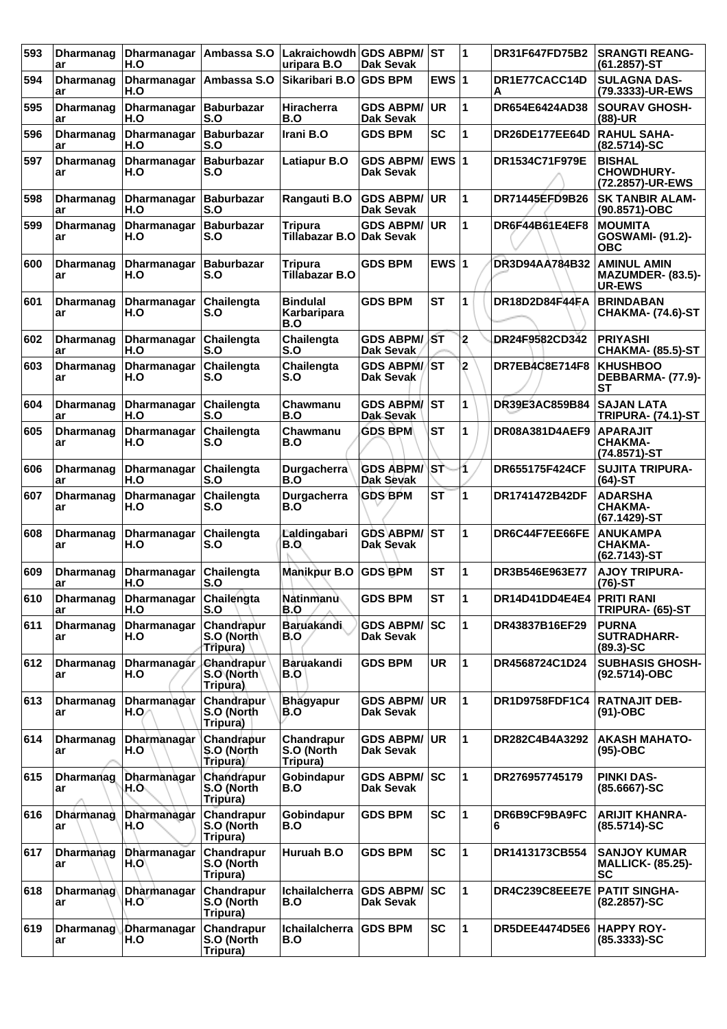| 593 | <b>Dharmanag</b><br>ar | Dharmanagar   Ambassa S.O<br>H.O |                                             | Lakraichowdh GDS ABPM/<br>uripara B.O        | <b>Dak Sevak</b>                     | ∣sт           | 1              | DR31F647FD75B2            | <b>SRANGTI REANG-</b><br>$(61.2857)$ -ST                     |
|-----|------------------------|----------------------------------|---------------------------------------------|----------------------------------------------|--------------------------------------|---------------|----------------|---------------------------|--------------------------------------------------------------|
| 594 | <b>Dharmanag</b><br>ar | Dharmanagar   Ambassa S.O<br>H.O |                                             | Sikaribari B.O                               | <b>GDS BPM</b>                       | EWS $ 1$      |                | DR1E77CACC14D<br>Α        | <b>SULAGNA DAS-</b><br>(79.3333)-UR-EWS                      |
| 595 | <b>Dharmanag</b><br>ar | Dharmanagar<br>H.O               | Baburbazar<br>S.O                           | Hiracherra<br>B.O                            | <b>GDS ABPM/</b><br><b>Dak Sevak</b> | UR.           | 1              | DR654E6424AD38            | <b>SOURAV GHOSH-</b><br>$(88)$ -UR                           |
| 596 | <b>Dharmanag</b><br>ar | Dharmanagar<br>H.O               | Baburbazar<br>S.O                           | Irani B.O                                    | <b>GDS BPM</b>                       | <b>SC</b>     | 1              | DR26DE177EE64D            | <b>RAHUL SAHA-</b><br>$(82.5714)-SC$                         |
| 597 | Dharmanag<br>ar        | Dharmanagar<br>H.O               | <b>Baburbazar</b><br>S.O                    | Latiapur B.O                                 | <b>GDS ABPM/</b><br>Dak Sevak        | <b>IEWS 1</b> |                | DR1534C71F979E            | <b>BISHAL</b><br><b>CHOWDHURY-</b><br>(72.2857)-UR-EWS       |
| 598 | <b>Dharmanag</b><br>ar | Dharmanagar<br>H.O               | Baburbazar<br>S.O                           | Rangauti B.O                                 | <b>GDS ABPM/</b><br><b>Dak Sevak</b> | <b>UR</b>     | 1              | DR71445EFD9B26            | <b>SK TANBIR ALAM-</b><br>(90.8571)-OBC                      |
| 599 | <b>Dharmanag</b><br>ar | Dharmanagar<br>H.O               | Baburbazar<br>S.O                           | <b>Tripura</b><br>Tillabazar B.O             | <b>GDS ABPM/</b><br>Dak Sevak        | <b>UR</b>     | 1              | DR6F44B61E4EF8            | <b>MOUMITA</b><br>GOSWAMI- (91.2)-<br><b>OBC</b>             |
| 600 | <b>Dharmanag</b><br>ar | Dharmanagar<br>H.O               | <b>Baburbazar</b><br>S.O                    | <b>Tripura</b><br>Tillabazar B.O             | <b>GDS BPM</b>                       | EWS $ 1$      |                | DR3D94AA784B32            | AMINUL AMIN<br>MAZUMDER- (83.5)-<br><b>UR-EWS</b>            |
| 601 | <b>Dharmanag</b><br>ar | Dharmanagar<br>H.O               | Chailengta<br>S.O                           | <b>Bindulal</b><br><b>Karbaripara</b><br>B.O | <b>GDS BPM</b>                       | <b>ST</b>     | 1              | DR18D2D84F44FA            | <b>BRINDABAN</b><br><b>CHAKMA- (74.6)-ST</b>                 |
| 602 | <b>Dharmanag</b><br>ar | Dharmanagar<br>H.O               | Chailengta<br>S.O                           | Chailengta<br>S.O                            | <b>GDS ABPM/</b><br>Dak Sevak        | lst           | $\overline{2}$ | DR24F9582CD342            | <b>PRIYASHI</b><br><b>CHAKMA- (85.5)-ST</b>                  |
| 603 | Dharmanag<br>ar        | <b>Dharmanagar</b><br>H.O        | Chailengta<br>S.O                           | Chailengta<br>S.O                            | <b>GDS ABPM/ST</b><br>Dak Sevak      |               | 2              | DR7EB4C8E714F8            | <b>KHUSHBOO</b><br>DEBBARMA- (77.9)-<br><b>ST</b>            |
| 604 | <b>Dharmanag</b><br>ar | Dharmanagar<br>H.O               | <b>Chailengta</b><br>S.O                    | Chawmanu<br>B.O                              | <b>GDS ABPM/</b><br>Dak Sevak        | <b>ST</b>     | 1              | DR39E3AC859B84            | <b>SAJAN LATA</b><br><b>TRIPURA- (74.1)-ST</b>               |
| 605 | <b>Dharmanag</b><br>ar | Dharmanagar<br>H.O               | Chailengta<br>S.O                           | Chawmanu<br>B.O                              | <b>GDS BPM</b>                       | <b>ST</b>     | 1              | DR08A381D4AEF9            | <b>APARAJIT</b><br><b>CHAKMA-</b><br>(74.8571)-ST            |
| 606 | <b>Dharmanag</b><br>ar | Dharmanagar<br>H.O               | Chailengta<br>S.O                           | <b>Durgacherra</b><br>B.O                    | <b>GDS ABPM/</b><br>Dak Sevak        | lst.          | 1              | <b>DR655175F424CF</b>     | <b>SUJITA TRIPURA-</b><br>$(64)-ST$                          |
| 607 | <b>Dharmanag</b><br>ar | Dharmanagar<br>H.O               | Chailengta<br>S.O                           | Durgacherra<br>B.O                           | <b>GDS BPM</b>                       | <b>ST</b>     | 1              | DR1741472B42DF            | <b>ADARSHA</b><br><b>CHAKMA-</b><br>(67.1429)-ST             |
| 608 | <b>Dharmanag</b><br>ar | Dharmanagar<br>H.O               | Chailengta<br>S.O                           | Laldingabari<br>B.O                          | <b>GDS ABPM/</b><br>Dak Sevak        | ST            | 1              | DR6C44F7EE66FE            | <b>ANUKAMPA</b><br><b>CHAKMA-</b><br>$(62.7143)$ -ST         |
| 609 | <b>Dharmanag</b><br>ar | Dharmanagar<br>H.O               | Chailengta<br>S.O                           | <b>Manikpur B.O</b>                          | <b>GDS BPM</b>                       | <b>ST</b>     | 1              | DR3B546E963E77            | <b>AJOY TRIPURA-</b><br>$(76)-ST$                            |
| 610 | Dharmanag<br>ar        | <b>Dharmanagar</b><br>H.O        | Chailengta<br>S.O                           | Natinmanu∖<br>B.O                            | <b>GDS BPM</b>                       | <b>ST</b>     | ∣1             | DR14D41DD4E4E4 PRITI RANI | TRIPURA- (65)-ST                                             |
| 611 | <b>Dharmanag</b><br>ar | <b>Dharmanagar</b><br>H.O        | Chandrapur<br>S.O (North)<br>Tripura)       | <b>Baruakandi</b><br>B.O                     | <b>GDS ABPM/</b><br>Dak Sevak        | <b>SC</b>     | 1              | DR43837B16EF29            | <b>PURNA</b><br><b>SUTRADHARR-</b><br>$(89.3)$ -SC           |
| 612 | Dharmanag<br>ar        | <b>Dharmanagar</b><br>H.O        | <b>Chandrapur</b><br>S.O (North<br>Tripura) | Baruakandi<br>B.O                            | <b>GDS BPM</b>                       | <b>UR</b>     | 1              | DR4568724C1D24            | <b>SUBHASIS GHOSH-</b><br>(92.5714)-OBC                      |
| 613 | <b>Dharmanag</b><br>ar | Dharmanagar<br>H.O⁄              | Chandrapur<br>S.O (North<br>Tripura)        | <b>Bhagyapur</b><br>B.O                      | <b>GDS ABPM/</b><br>Dak Sevak        | ∣UR.          | 1              | DR1D9758FDF1C4            | <b>RATNAJIT DEB-</b><br>$(91)-OBC$                           |
| 614 | Dharmanag<br>ar        | Dharmanagar<br>H.O               | Chandrapur<br>S.O (North<br>Tripura)        | Chandrapur<br>S.O (North<br>Tripura)         | <b>GDS ABPM/</b><br><b>Dak Sevak</b> | ∣UR.          | 1              | DR282C4B4A3292            | <b>AKASH MAHATO-</b><br>$(95)-OBC$                           |
| 615 | <b>Dharmanag</b><br>ar | Dharmanagar<br>H.O.,             | Chandrapur<br>S.O (North<br>Tripura)        | Gobindapur<br>B.O                            | <b>GDS ABPM/ SC</b><br>Dak Sevak     |               | 1              | DR276957745179            | <b>PINKI DAS-</b><br>$(85.6667)$ -SC                         |
| 616 | <b>Dharmanag</b><br>ar | Dharmanagar<br>H.O               | Chandrapur<br>S.O (North<br>Tripura)        | Gobindapur<br>B.O                            | <b>GDS BPM</b>                       | <b>SC</b>     | 1              | DR6B9CF9BA9FC<br>6        | <b>ARIJIT KHANRA-</b><br>$(85.5714)-SC$                      |
| 617 | Dharmanag<br>ar        | <b>Dharmanagar</b><br>H.O        | Chandrapur<br>S.O (North<br>Tripura)        | Huruah B.O                                   | <b>GDS BPM</b>                       | <b>SC</b>     | 1              | DR1413173CB554            | <b>SANJOY KUMAR</b><br><b>MALLICK- (85.25)-</b><br><b>SC</b> |
| 618 | Dharmanag<br>ar        | Dharmanagar<br>H.O`              | Chandrapur<br>S.O (North<br>Tripura)        | Ichailalcherra<br>B.O                        | <b>GDS ABPM/</b><br><b>Dak Sevak</b> | <b>ISC</b>    | 1              | DR4C239C8EEE7E            | <b>PATIT SINGHA-</b><br>$(82.2857) - SC$                     |
| 619 | Dharmanag<br>ar        | Dharmanagar<br>H.O               | Chandrapur<br>S.O (North<br>Tripura)        | Ichailalcherra<br>B.O                        | <b>GDS BPM</b>                       | <b>SC</b>     | 1              | <b>DR5DEE4474D5E6</b>     | <b>HAPPY ROY-</b><br>$(85.3333) - SC$                        |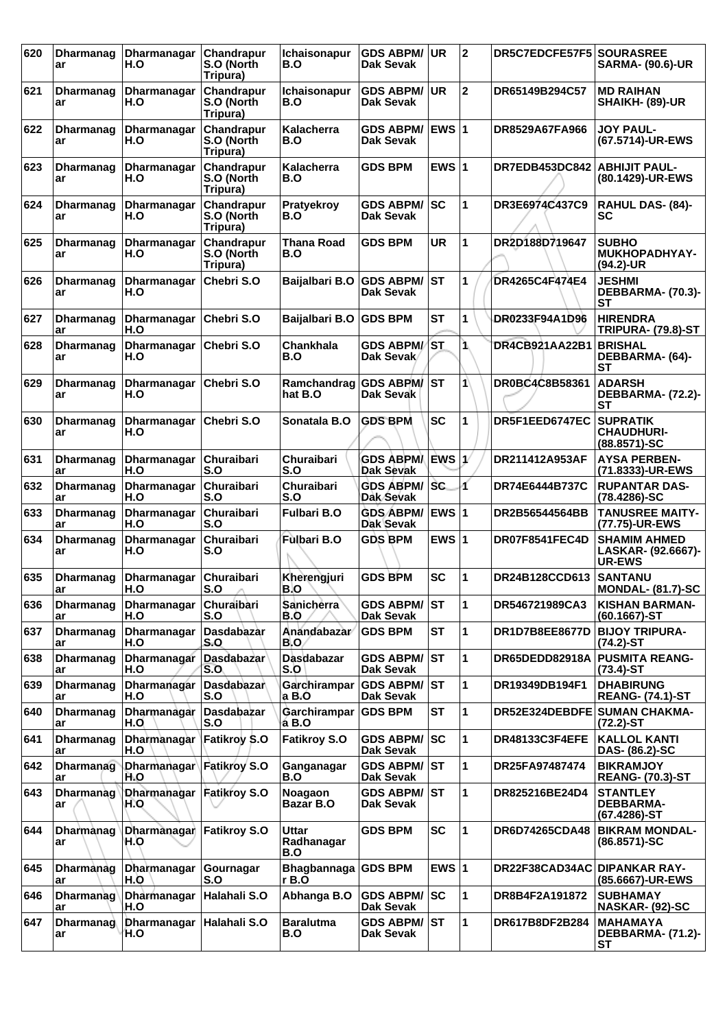| 620 | <b>Dharmanag</b><br>ar | Dharmanagar<br>H.O                | <b>Chandrapur</b><br>S.O (North<br>Tripura) | Ichaisonapur<br>B.O              | <b>GDS ABPM/</b><br>Dak Sevak        | UR.           | 12             | DR5C7EDCFE57F5 SOURASREE     | <b>SARMA- (90.6)-UR</b>                                    |
|-----|------------------------|-----------------------------------|---------------------------------------------|----------------------------------|--------------------------------------|---------------|----------------|------------------------------|------------------------------------------------------------|
| 621 | <b>Dharmanag</b><br>ar | <b>Dharmanagar</b><br>H.O         | Chandrapur<br>S.O (North<br>Tripura)        | <b>Ichaisonapur</b><br>B.O       | <b>GDS ABPM/</b><br>Dak Sevak        | <b>UR</b>     | $\overline{2}$ | DR65149B294C57               | <b>MD RAIHAN</b><br>SHAIKH- (89)-UR                        |
| 622 | Dharmanag<br>ar        | Dharmanagar<br>H.O                | Chandrapur<br>S.O (North<br>Tripura)        | Kalacherra<br>B.O                | GDS ABPM/<br>Dak Sevak               | <b>IEWS 1</b> |                | <b>DR8529A67FA966</b>        | <b>JOY PAUL-</b><br>(67.5714)-UR-EWS                       |
| 623 | Dharmanag<br>ar        | Dharmanagar<br>H.O                | Chandrapur<br>S.O (North<br>Tripura)        | <b>Kalacherra</b><br>B.O         | <b>GDS BPM</b>                       | EWS $ 1$      |                | DR7EDB453DC842               | <b>ABHIJIT PAUL-</b><br>(80.1429)-UR-EWS                   |
| 624 | Dharmanag<br>ar        | Dharmanagar<br>H.O                | Chandrapur<br>S.O (North<br>Tripura)        | Pratyekroy<br>B.O                | <b>GDS ABPM/</b><br>Dak Sevak        | <b>SC</b>     | 1              | DR3E6974C437C9               | <b>RAHUL DAS- (84)-</b><br><b>SC</b>                       |
| 625 | Dharmanag<br>ar        | Dharmanagar<br>H.O                | <b>Chandrapur</b><br>S.O (North<br>Tripura) | Thana Road<br>B.O                | GDS BPM                              | <b>UR</b>     | 1              | DR2D188D719647               | <b>SUBHO</b><br><b>MUKHOPADHYAY-</b><br>(94.2)-UR          |
| 626 | <b>Dharmanag</b><br>ar | <b>Dharmanagar</b><br>H.O         | Chebri S.O                                  | Baijalbari B.O                   | <b>GDS ABPM/</b><br>Dak Sevak        | lst           | 1              | DR4265C4F474E4               | <b>JESHMI</b><br>DEBBARMA- (70.3)-<br>SТ                   |
| 627 | Dharmanag<br>ar        | Dharmanagar<br>H.O                | Chebri S.O                                  | Baijalbari B.O GDS BPM           |                                      | <b>ST</b>     | 1              | DR0233F94A1D96               | <b>HIRENDRA</b><br><b>TRIPURA- (79.8)-ST</b>               |
| 628 | Dharmanag<br>ar        | Dharmanagar<br>H.O                | Chebri S.O                                  | Chankhala<br>B.O                 | <b>GDS ABPM/</b><br>Dak Sevak        | <b>ST</b>     | 1.             | DR4CB921AA22B1               | <b>BRISHAL</b><br>DEBBARMA- (64)-<br><b>ST</b>             |
| 629 | <b>Dharmanag</b><br>ar | Dharmanagar<br>H.O                | Chebri S.O                                  | Ramchandrag GDS ABPM/<br>hat B.O | Dak Sevak                            | lst           | 1              | DR0BC4C8B58361               | <b>ADARSH</b><br>DEBBARMA- (72.2)-<br>SТ                   |
| 630 | <b>Dharmanag</b><br>ar | Dharmanagar<br>H.O                | Chebri S.O                                  | Sonatala B.O                     | <b>GDS BPM</b>                       | <b>SC</b>     | 1              | DR5F1EED6747EC               | <b>SUPRATIK</b><br><b>CHAUDHURI-</b><br>(88.8571)-SC       |
| 631 | <b>Dharmanag</b><br>ar | Dharmanagar<br>H.O                | <b>Churaibari</b><br>S.O                    | Churaibari<br>S.O                | <b>GDS ABPMA</b><br>Dak Sevak        | ∣ÈWS ∣1∕      |                | DR211412A953AF               | <b>AYSA PERBEN-</b><br>(71.8333)-UR-EWS                    |
| 632 | <b>Dharmanag</b><br>ar | Dharmanagar<br>H.O                | Churaibari<br>S.O                           | Churaibari<br>S.O                | <b>GDS ABPM/</b><br>Dak Sevak        | lsc.          | 1              | DR74E6444B737C               | <b>RUPANTAR DAS-</b><br>(78.4286)-SC                       |
| 633 | <b>Dharmanag</b><br>ar | Dharmanagar<br>H.O                | <b>Churaibari</b><br>S.O                    | <b>Fulbari B.O</b>               | <b>GDS ABPM/</b><br>Dak Sevak        | <b>EWS 1</b>  |                | DR2B56544564BB               | <b>TANUSREE MAITY-</b><br>(77.75)-UR-EWS                   |
| 634 | <b>Dharmanag</b><br>ar | Dharmanagar<br>H.O                | <b>Churaibari</b><br>S.O                    | <b>Fulbari B.O</b>               | <b>GDS BPM</b>                       | EWS $ 1$      |                | DR07F8541FEC4D               | <b>SHAMIM AHMED</b><br>LASKAR- (92.6667)-<br><b>UR-EWS</b> |
| 635 | <b>Dharmanag</b><br>ar | Dharmanagar<br>H.O                | Churaibari<br>S.O                           | Kherengjuri<br>B.O               | <b>GDS BPM</b>                       | <b>SC</b>     | 1              | DR24B128CCD613               | <b>SANTANU</b><br><b>MONDAL- (81.7)-SC</b>                 |
| 636 | <b>Dharmanag</b><br>ar | Dharmanagar<br>H.O                | Churaibari<br>S.O                           | <b>Sanicherra</b><br>B.O         | <b>GDS ABPM/</b><br>Dak Sevak        | lst           | 1              | DR546721989CA3               | <b>KISHAN BARMAN-</b><br>$(60.1667)$ -ST                   |
| 637 | <b>Dharmanag</b><br>ar | Dharmanagar<br>H.O                | Dasdabazar<br>S.O                           | Anandabazar<br>B.O.              | <b>GDS BPM</b>                       | <b>ST</b>     | 1              | <b>DR1D7B8EE8677D</b>        | <b>BIJOY TRIPURA-</b><br>$(74.2)$ -ST                      |
| 638 | <b>Dharmanag</b><br>ar | Dharmanagar<br>H.O                | Dasdabazar<br>S.O                           | Dasdabazar<br>S.O                | <b>GDS ABPM/</b><br><b>Dak Sevak</b> | ST            | 1              | DR65DEDD82918A               | <b>PUSMITA REANG-</b><br>$(73.4)$ -ST                      |
| 639 | <b>Dharmanag</b><br>ar | Dharmanagar<br>H.O                | Dasdabazar<br>S.O                           | <b>Garchirampar</b><br>a B.O     | <b>GDS ABPM/</b><br>Dak Sevak        | lst           | 1              | DR19349DB194F1               | <b>DHABIRUNG</b><br><b>REANG- (74.1)-ST</b>                |
| 640 | <b>Dharmanag</b><br>ar | Dharmanagar<br>H.O                | Dasdabazar<br>S.O                           | Garchirampar<br>a B.O            | <b>GDS BPM</b>                       | <b>ST</b>     | 1              | DR52E324DEBDFE SUMAN CHAKMA- | $(72.2)$ -ST                                               |
| 641 | <b>Dharmanag</b><br>ar | <b>Dharmanagar</b><br>H.O         | Fatikroy S.O                                | <b>Fatikroy S.O</b>              | <b>GDS ABPM/</b><br><b>Dak Sevak</b> | <b>SC</b>     | 1              | DR48133C3F4EFE               | <b>KALLOL KANTI</b><br>DAS- (86.2)-SC                      |
| 642 | <b>Dharmanag</b><br>ar | Dharmanagar Fatikroy S.O<br>H.O   |                                             | Ganganagar<br>B.O                | <b>GDS ABPM/</b><br>Dak Sevak        | lst           | 1              | DR25FA97487474               | <b>BIKRAMJOY</b><br><b>REANG- (70.3)-ST</b>                |
| 643 | Dharmanag<br>ar        | Dharmanagar   Fatikroy S.O<br>H.O |                                             | Noagaon<br>Bazar B.O             | <b>GDS ABPM/</b><br>Dak Sevak        | lst           | 1              | DR825216BE24D4               | <b>STANTLEY</b><br><b>DEBBARMA-</b><br>(67.4286)-ST        |
| 644 | <b>Dharmanag</b><br>ar | Dharmanagar<br>H.O                | <b>Fatikroy S.O</b>                         | Uttar<br>Radhanagar<br>B.O       | <b>GDS BPM</b>                       | <b>SC</b>     | 1              | DR6D74265CDA48               | <b>BIKRAM MONDAL-</b><br>(86.8571)-SC                      |
| 645 | Dharmanag<br>ar        | Dharmanagar<br>H.O                | Gournagar<br>S.O                            | <b>Bhagbannaga</b><br>r B.O      | <b>GDS BPM</b>                       | EWS $ 1$      |                | DR22F38CAD34AC DIPANKAR RAY- | (85.6667)-UR-EWS                                           |
| 646 | Dharmanag<br>ar        | Dharmanagar<br>H.O                | Halahali S.O                                | Abhanga B.O                      | <b>GDS ABPM/</b><br>Dak Sevak        | SC            | 1              | DR8B4F2A191872               | <b>SUBHAMAY</b><br>NASKAR- (92)-SC                         |
| 647 | <b>Dharmanag</b><br>ar | Dharmanagar<br>H.O                | Halahali S.O                                | <b>Baralutma</b><br>B.O          | <b>GDS ABPM/</b><br>Dak Sevak        | lst           | 1              | DR617B8DF2B284               | <b>MAHAMAYA</b><br>DEBBARMA- (71.2)-<br><b>ST</b>          |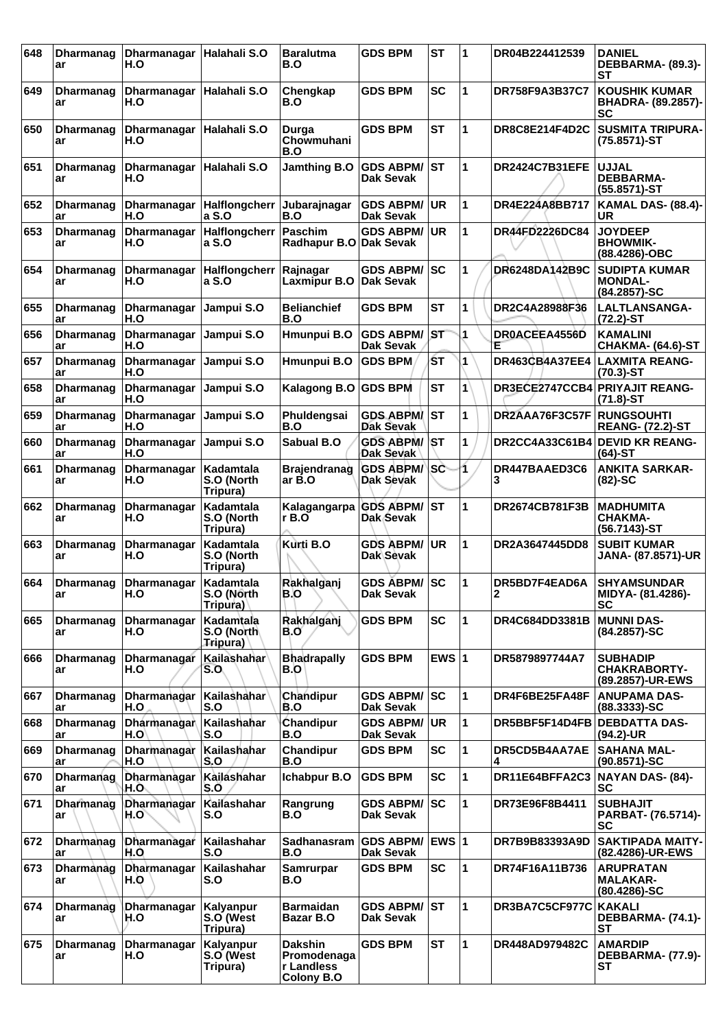| 648 | <b>Dharmanag</b><br>ar | <b>Dharmanagar</b><br>H.O         | Halahali S.O                         | <b>Baralutma</b><br>B.O                                          | <b>GDS BPM</b>                          | <b>ST</b>    | $\mathbf 1$ | DR04B224412539                 | <b>DANIEL</b><br>DEBBARMA- (89.3)-<br>SТ                   |
|-----|------------------------|-----------------------------------|--------------------------------------|------------------------------------------------------------------|-----------------------------------------|--------------|-------------|--------------------------------|------------------------------------------------------------|
| 649 | <b>Dharmanag</b><br>ar | Dharmanagar<br>H.O                | Halahali S.O                         | Chengkap<br>B.O                                                  | <b>GDS BPM</b>                          | <b>SC</b>    | 1           | DR758F9A3B37C7                 | <b>KOUSHIK KUMAR</b><br><b>BHADRA- (89.2857)-</b><br>SC    |
| 650 | <b>Dharmanag</b><br>ar | Dharmanagar   Halahali S.O<br>H.O |                                      | Durga<br>Chowmuhani<br>B.O                                       | <b>GDS BPM</b>                          | <b>ST</b>    | 1           | DR8C8E214F4D2C                 | <b>SUSMITA TRIPURA-</b><br>(75.8571)-ST                    |
| 651 | Dharmanag<br>ar        | Dharmanagar<br>H.O                | Halahali S.O                         | Jamthing B.O                                                     | <b>GDS ABPM/</b><br><b>Dak Sevak</b>    | IST          | 1           | DR2424C7B31EFE                 | <b>UJJAL</b><br><b>DEBBARMA-</b><br>(55.8571)-ST           |
| 652 | Dharmanag<br>ar        | H.O                               | Dharmanagar   Halflongcherr<br>a S.O | Jubarajnagar<br>B.O                                              | <b>GDS ABPM/</b><br><b>Dak Sevak</b>    | <b>UR</b>    | 1           | DR4E224A8BB717                 | <b>KAMAL DAS- (88.4)-</b><br>UR                            |
| 653 | <b>Dharmanag</b><br>ar | Dharmanagar<br>H.O                | Halflongcherr<br>a S.O               | <b>Paschim</b><br>Radhapur B.O Dak Sevak                         | <b>GDS ABPM/</b>                        | <b>UR</b>    | 1           | DR44FD2226DC84                 | <b>JOYDEEP</b><br><b>BHOWMIK-</b><br>(88.4286)-OBC         |
| 654 | Dharmanag<br>ar        | Dharmanagar<br>H.O                | <b>Halflongcherr</b><br>a S.O        | Rajnagar<br>Laxmipur B.O                                         | <b>GDS ABPM/</b><br><b>Dak Sevak</b>    | SC           | 1           | DR6248DA142B9C                 | <b>SUDIPTA KUMAR</b><br><b>MONDAL-</b><br>(84.2857)-SC     |
| 655 | Dharmanag<br>ar        | Dharmanagar<br>H.O                | Jampui S.O                           | <b>Belianchief</b><br>B.O                                        | <b>GDS BPM</b>                          | <b>ST</b>    | 1           | DR2C4A28988F36                 | LALTLANSANGA-<br>$(72.2)$ -ST                              |
| 656 | <b>Dharmanag</b><br>ar | Dharmanagar<br>H.O                | Jampui S.O                           | Hmunpui B.O                                                      | <b>GDS ABPM/</b><br><b>Dak Sevak</b>    | <b>ST</b>    | 1           | DROACEEA4556D<br>Ε             | <b>KAMALINI</b><br><b>CHAKMA- (64.6)-ST</b>                |
| 657 | <b>Dharmanag</b><br>ar | <b>Dharmanagar</b><br>H.O         | Jampui S.O                           | Hmunpui B.O                                                      | <b>GDS BPM</b>                          | ŚТ           | 1           | <b>DR463CB4A37EE4</b>          | <b>LAXMITA REANG-</b><br>$(70.3)$ -ST                      |
| 658 | Dharmanag<br>ar        | Dharmanagar<br>H.O                | Jampui S.O                           | Kalagong B.O GDS BPM                                             |                                         | <b>ST</b>    | 1           | DR3ECE2747CCB4 PRIYAJIT REANG- | $(71.8) - ST$                                              |
| 659 | <b>Dharmanag</b><br>ar | Dharmanagar<br>H.O                | Jampui S.O                           | Phuldengsai<br>B.O                                               | <b>GDS ABPM/</b><br><b>Dak Sevak</b>    | ST           | 1           | DR2AAA76F3C57F                 | <b>RUNGSOUHTI</b><br><b>REANG- (72.2)-ST</b>               |
| 660 | <b>Dharmanag</b><br>ar | <b>Dharmanagar</b><br>H.O         | Jampui S.O                           | Sabual B.O                                                       | <b>GDS ABPM/ST</b><br>Dak Sevak         |              | 1           | DR2CC4A33C61B4                 | <b>DEVID KR REANG-</b><br>(64)-ST                          |
| 661 | Dharmanag<br>ar        | Dharmanagar<br>H.O                | Kadamtala<br>S.O (North<br>Tripura)  | <b>Brajendranag</b><br>ar B.O                                    | <b>GDS ABPM/SC</b><br>Dak Sevak         |              | 1           | DR447BAAED3C6<br>3             | <b>ANKITA SARKAR-</b><br>$(82)$ -SC                        |
| 662 | <b>Dharmanag</b><br>ar | Dharmanagar<br>H.O                | Kadamtala<br>S.O (North<br>Tripura)  | Kalagangarpa<br>rB.0                                             | <b>GDS ABPM/</b><br>Dak Sevak           | ST           | 1           | DR2674CB781F3B                 | <b>MADHUMITA</b><br><b>CHAKMA-</b><br>(56.7143)-ST         |
| 663 | <b>Dharmanag</b><br>ar | Dharmanagar<br>H.O                | Kadamtala<br>S.O (North<br>Tripura)  | Kurti B.O                                                        | <b>GDS ABPM/</b><br>Dak Sevak           | <b>UR</b>    | 1           | DR2A3647445DD8                 | <b>SUBIT KUMAR</b><br>JANA- (87.8571)-UR                   |
| 664 | <b>Dharmanag</b><br>ar | Dharmanagar<br>H.O                | Kadamtala<br>S.O (North<br>Tripura)  | Rakhalganj<br>B.O                                                | <b>GDS ABPM/ SC</b><br><b>Dak Sevak</b> |              | 1           | DR5BD7F4EAD6A<br>∠             | <b>SHYAMSUNDAR</b><br>MIDYA- (81.4286)-<br>SC              |
| 665 | Dharmanag<br>ar        | Dharmanagar<br>H.O                | Kadamtala<br>S.O (North<br>Tripura)  | Rakhalganj<br>B.O                                                | <b>GDS BPM</b>                          | <b>SC</b>    | 1           | DR4C684DD3381B                 | <b>MUNNI DAS-</b><br>(84.2857)-SC                          |
| 666 | Dharmanag<br>ar        | Dharmanagar<br>H.O                | Kailashahar<br>S.O                   | <b>Bhadrapally</b><br>B.O                                        | <b>GDS BPM</b>                          | EWS $ 1$     |             | DR5879897744A7                 | <b>SUBHADIP</b><br><b>CHAKRABORTY-</b><br>(89.2857)-UR-EWS |
| 667 | Dharmanag<br>ar        | Dharmanagar<br>H.O                | Kailashahar<br>S.O                   | Chandipur<br>B.O                                                 | <b>GDS ABPM/</b><br><b>Dak Sevak</b>    | lsc          | 1           | DR4F6BE25FA48F                 | ANUPAMA DAS-<br>(88.3333)-SC                               |
| 668 | <b>Dharmanag</b><br>ar | Dharmanagar<br>H.O'               | Kailashahar<br>S.O                   | Chandipur<br>B.O                                                 | <b>GDS ABPM/</b><br>Dak Sevak           | <b>UR</b>    | 1           | DR5BBF5F14D4FB                 | <b>DEBDATTA DAS-</b><br>(94.2)-UR                          |
| 669 | <b>Dharmanag</b><br>ar | Dharmanagar<br>H.O                | Kailashahar<br>S.O                   | Chandipur<br>B.O                                                 | <b>GDS BPM</b>                          | <b>SC</b>    | 1           | DR5CD5B4AA7AE                  | <b>SAHANA MAL-</b><br>$(90.8571) - SC$                     |
| 670 | Dharmanag<br>ar        | Dharmanagar<br>H.O                | Kailashahar<br>S.O                   | Ichabpur B.O                                                     | <b>GDS BPM</b>                          | <b>SC</b>    | 1           | DR11E64BFFA2C3                 | NAYAN DAS- (84)-<br><b>SC</b>                              |
| 671 | <b>Dharmanag</b><br>ar | Dharmanagar<br>H.O                | Kailashahar<br>S.O                   | Rangrung<br>B.O                                                  | <b>GDS ABPM/</b><br>Dak Sevak           | lsc          | 1           | DR73E96F8B4411                 | <b>SUBHAJIT</b><br>PARBAT- (76.5714)-<br><b>SC</b>         |
| 672 | <b>Dharmanag</b><br>ar | Dharmanagar<br>H.O                | Kailashahar<br>S.O                   | Sadhanasram<br>B.O                                               | <b>GDS ABPM/</b><br><b>Dak Sevak</b>    | <b>EWS 1</b> |             | DR7B9B83393A9D                 | <b>SAKTIPADA MAITY-</b><br>(82.4286)-UR-EWS                |
| 673 | <b>Dharmanag</b><br>ar | Dharmanagar<br>H.O                | Kailashahar<br>S.O                   | <b>Samrurpar</b><br>B.O                                          | <b>GDS BPM</b>                          | <b>SC</b>    | 1           | DR74F16A11B736                 | <b>ARUPRATAN</b><br><b>MALAKAR-</b><br>$(80.4286) - SC$    |
| 674 | Dharmanag<br>ar        | Dharmanagar<br>H.O                | Kalyanpur<br>S.O (West<br>Tripura)   | <b>Barmaidan</b><br>Bazar B.O                                    | <b>GDS ABPM/</b><br><b>Dak Sevak</b>    | lST.         | 1           | DR3BA7C5CF977C                 | KAKALI<br>DEBBARMA- (74.1)-<br><b>ST</b>                   |
| 675 | Dharmanag<br>ar        | Dharmanagar<br>H.O                | Kalyanpur<br>S.O (West<br>Tripura)   | <b>Dakshin</b><br>Promodenaga<br>r Landless<br><b>Colony B.O</b> | <b>GDS BPM</b>                          | <b>ST</b>    | 1           | DR448AD979482C                 | <b>AMARDIP</b><br><b>DEBBARMA- (77.9)-</b><br>ST           |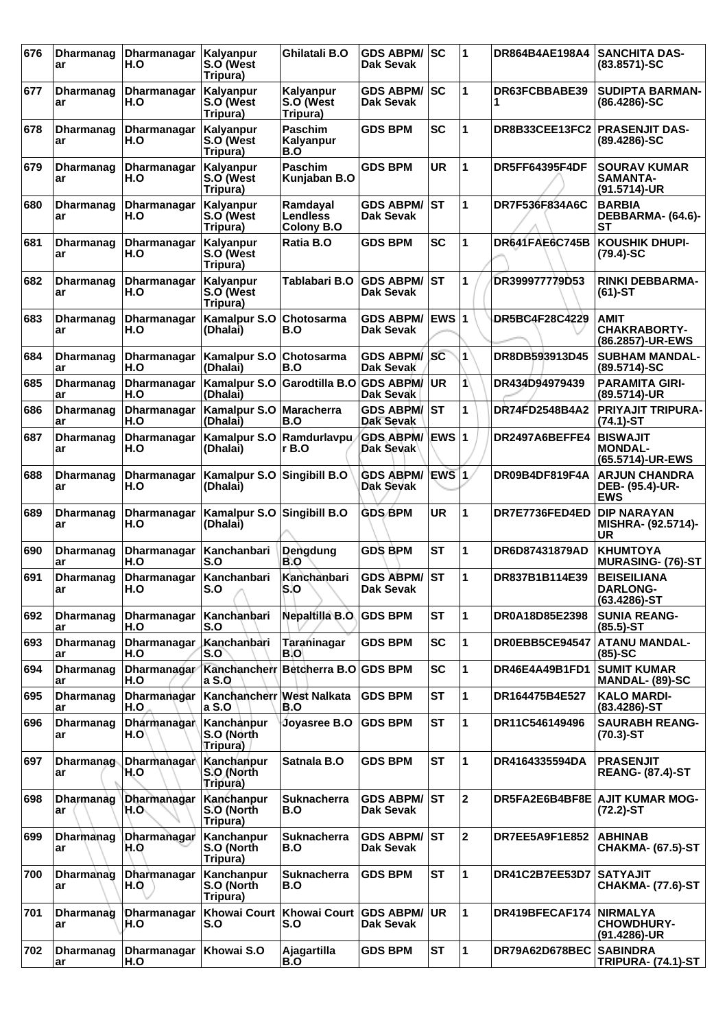| 676 | <b>Dharmanag</b><br>ar  | Dharmanagar<br>H.O        | Kalyanpur<br>S.O (West<br>Tripura)           | Ghilatali B.O                      | <b>GDS ABPM/</b><br>Dak Sevak        | SC           | 1              | DR864B4AE198A4                | <b>SANCHITA DAS-</b><br>(83.8571)-SC                   |
|-----|-------------------------|---------------------------|----------------------------------------------|------------------------------------|--------------------------------------|--------------|----------------|-------------------------------|--------------------------------------------------------|
| 677 | <b>Dharmanag</b><br>ar  | Dharmanagar<br>H.O        | Kalyanpur<br>S.O (West<br>Tripura)           | Kalyanpur<br>S.O (West<br>Tripura) | <b>GDS ABPM/</b><br>Dak Sevak        | lsc          | 1              | DR63FCBBABE39                 | <b>SUDIPTA BARMAN-</b><br>$(86.4286) - SC$             |
| 678 | Dharmanag<br>ar         | <b>Dharmanagar</b><br>H.O | Kalyanpur<br>S.O (West<br>Tripura)           | <b>Paschim</b><br>Kalyanpur<br>B.O | <b>GDS BPM</b>                       | <b>SC</b>    | 1              | DR8B33CEE13FC2 PRASENJIT DAS- | (89.4286)-SC                                           |
| 679 | Dharmanag<br>ar         | Dharmanagar<br>H.O        | Kalyanpur<br>S.O (West<br>Tripura)           | <b>Paschim</b><br>Kunjaban B.O     | <b>GDS BPM</b>                       | <b>UR</b>    | 1              | <b>DR5FF64395F4DF</b>         | <b>SOURAV KUMAR</b><br>SAMANTA-<br>(91.5714)-UR        |
| 680 | Dharmanag<br>ar         | Dharmanagar<br>H.O        | Kalyanpur<br>S.O (West<br>Tripura)           | Ramdayal<br>Lendless<br>Colony B.O | <b>GDS ABPM/</b><br>Dak Sevak        | IST          | 1              | DR7F536F834A6C                | <b>BARBIA</b><br>DEBBARMA- (64.6)-<br>SТ               |
| 681 | Dharmanag<br>ar         | Dharmanagar<br>H.O        | Kalyanpur<br>S.O (West<br>Tripura)           | Ratia B.O                          | <b>GDS BPM</b>                       | <b>SC</b>    | 1              | DR641FAE6C745B                | <b>KOUSHIK DHUPI-</b><br>$(79.4)-SC$                   |
| 682 | <b>Dharmanag</b><br>ar  | Dharmanagar<br>H.O        | Kalyanpur<br>S.O (West<br>Tripura)           | Tablabari B.O                      | <b>GDS ABPM/</b><br>Dak Sevak        | IST          | 1              | DR399977779D53                | <b>RINKI DEBBARMA-</b><br>$(61)$ -ST                   |
| 683 | Dharmanag<br>ar         | Dharmanagar<br>H.O        | <b>Kamalpur S.O</b><br>(Dhalai)              | Chotosarma<br>B.O                  | <b>GDS ABPM/</b><br>Dak Sevak        | <b>EWS 1</b> |                | DR5BC4F28C4229                | <b>AMIT</b><br><b>CHAKRABORTY-</b><br>(86.2857)-UR-EWS |
| 684 | Dharmanag<br>ar         | Dharmanagar<br>H.O        | <b>Kamalpur S.O</b><br>(Dhalai)              | Chotosarma<br>B.O                  | <b>GDS ABPM</b><br>Dak Sevak         | <b>SC</b>    | 1              | DR8DB593913D45                | <b>SUBHAM MANDAL-</b><br>(89.5714)-SC                  |
| 685 | <b>Dharmanag</b><br>ar  | Dharmanagar<br>H.O        | <b>Kamalpur S.O</b><br>(Dhalai)              | Garodtilla B.O                     | <b>GDS ABPM/</b><br>Dak Sevak        | <b>UR</b>    | 1              | DR434D94979439                | <b>PARAMITA GIRI-</b><br>(89.5714)-UR                  |
| 686 | <b>Dharmanag</b><br>ar  | Dharmanagar<br>H.O        | Kamalpur S.O<br>(Dhalai)                     | ∣Maracherra<br>B.O                 | <b>GDS ABPM/</b><br>Dak Sevak        | <b>ST</b>    | 1              | DR74FD2548B4A2                | <b>PRIYAJIT TRIPURA-</b><br>$(74.1)$ -ST               |
| 687 | Dharmanag<br>ar         | Dharmanagar<br>H.O        | <b>Kamalpur S.O</b><br>(Dhalai)              | Ramdurlavpu<br>r B.O               | <b>GDS ABPM/</b><br>Dak Sevak        | ∖EWS ∣1      |                | DR2497A6BEFFE4                | <b>BISWAJIT</b><br><b>MONDAL-</b><br>(65.5714)-UR-EWS  |
| 688 | <b>Dharmanag</b><br>ar  | Dharmanagar<br>H.O        | <b>Kamalpur S.O</b><br>(Dhalai)              | Singibill B.O                      | <b>GDS ABPM/</b><br><b>Dak Sevak</b> | EWS 1        |                | DR09B4DF819F4A                | <b>ARJUN CHANDRA</b><br>DEB- (95.4)-UR-<br><b>EWS</b>  |
| 689 | Dharmanag<br>ar         | Dharmanagar<br>H.O        | <b>Kamalpur S.O</b><br>(Dhalai)              | Singibill B.O                      | <b>GDS BPM</b>                       | UR           | 1              | DR7E7736FED4ED                | <b>DIP NARAYAN</b><br>MISHRA- (92.5714)-<br>UR         |
| 690 | <b>Dharmanag</b><br>ar  | Dharmanagar<br>H.O        | Kanchanbari<br>S.O                           | Dengdung<br>B.O                    | <b>GDS BPM</b>                       | <b>ST</b>    | 1              | DR6D87431879AD                | <b>KHUMTOYA</b><br><b>MURASING- (76)-ST</b>            |
| 691 | <b>Dharmanag</b><br>ar  | Dharmanagar<br>H.O        | Kanchanbari<br>S.O                           | Kanchanbari<br>S.O                 | <b>GDS ABPM/</b><br><b>Dak Sevak</b> | <b>ST</b>    | 1              | DR837B1B114E39                | <b>BEISEILIANA</b><br><b>DARLONG-</b><br>(63.4286)-ST  |
| 692 | <b>Dharmanag</b><br>ar  | Dharmanagar<br>H.O        | Kanchanbari<br>S.O                           | Nepaltilla B.O. GDS BPM            |                                      | <b>ST</b>    | 1              | DR0A18D85E2398                | <b>SUNIA REANG-</b><br>$(85.5)$ -ST                    |
| 693 | <b>Dharmanag</b><br>ar  | Dharmanagar<br>H.O        | Kanchanbari<br>S.O                           | Taraninagar<br>B.O                 | <b>GDS BPM</b>                       | <b>SC</b>    | 1              | DR0EBB5CE94547                | <b>ATANU MANDAL-</b><br>$(85)-SC$                      |
| 694 | <b>Dharmanag</b><br>ar  | Dharmanagar<br>H.O        | Kanchancherr<br>a S.O                        | Betcherra B.O GDS BPM              |                                      | <b>SC</b>    | 1              | DR46E4A49B1FD1                | <b>SUMIT KUMAR</b><br>MANDAL- (89)-SC                  |
| 695 | <b>Dharmanag</b><br>ar  | Dharmanagar<br>H.O        | Kanchancherr West Nalkata<br>a S.O           | B.O                                | <b>GDS BPM</b>                       | <b>ST</b>    | 1              | DR164475B4E527                | <b>KALO MARDI-</b><br>(83.4286)-ST                     |
| 696 | <b>Dharmanag</b><br>ar  | Dharmanagar<br>H.O        | Kanchanpur<br>S.O (North<br><b>Tripura</b> ) | Joyasree B.O                       | <b>GDS BPM</b>                       | <b>ST</b>    | 1              | DR11C546149496                | <b>SAURABH REANG-</b><br>$(70.3)$ -ST                  |
| 697 | <b>Dharmanag-</b><br>ar | Dharmanagar<br>H.O        | Kanchanpur<br>S.O (North<br>Tripura)         | Satnala B.O                        | <b>GDS BPM</b>                       | <b>ST</b>    | 1              | DR4164335594DA                | <b>PRASENJIT</b><br><b>REANG- (87.4)-ST</b>            |
| 698 | Dharmanag<br>ar         | Dharmanagar<br>H.O.,      | Kanchanpur<br>S.O (North<br>Tripura)         | Suknacherra<br>B.O                 | <b>GDS ABPM/</b><br><b>Dak Sevak</b> | lst          | 2              |                               | DR5FA2E6B4BF8E AJIT KUMAR MOG-<br>$(72.2)$ -ST         |
| 699 | <b>Dharmanag</b><br>ar  | Dharmanagar<br>H.Q        | Kanchanpur<br>S.O (North<br>Tripura)         | <b>Suknacherra</b><br>B.O          | <b>GDS ABPM/</b><br><b>Dak Sevak</b> | Isт          | $\overline{2}$ | DR7EE5A9F1E852                | <b>ABHINAB</b><br><b>CHAKMA- (67.5)-ST</b>             |
| 700 | <b>Dharmanag</b><br>ar  | Dharmanagar<br>H.O        | Kanchanpur<br>S.O (North<br>Tripura)         | Suknacherra<br>B.O                 | <b>GDS BPM</b>                       | <b>ST</b>    | 1              | DR41C2B7EE53D7                | <b>SATYAJIT</b><br><b>CHAKMA- (77.6)-ST</b>            |
| 701 | <b>Dharmanag</b><br>ar  | Dharmanagar<br>H.O        | <b>Khowai Court</b><br>S.O                   | Khowai Court<br>S.O                | <b>GDS ABPM/</b><br>Dak Sevak        | UR.          | 1              | DR419BFECAF174                | <b>INIRMALYA</b><br><b>CHOWDHURY-</b><br>(91.4286)-UR  |
| 702 | Dharmanag<br>ar         | Dharmanagar<br>H.O        | Khowai S.O                                   | Ajagartilla<br>B.O                 | <b>GDS BPM</b>                       | <b>ST</b>    | 1              | DR79A62D678BEC                | <b>SABINDRA</b><br><b>TRIPURA- (74.1)-ST</b>           |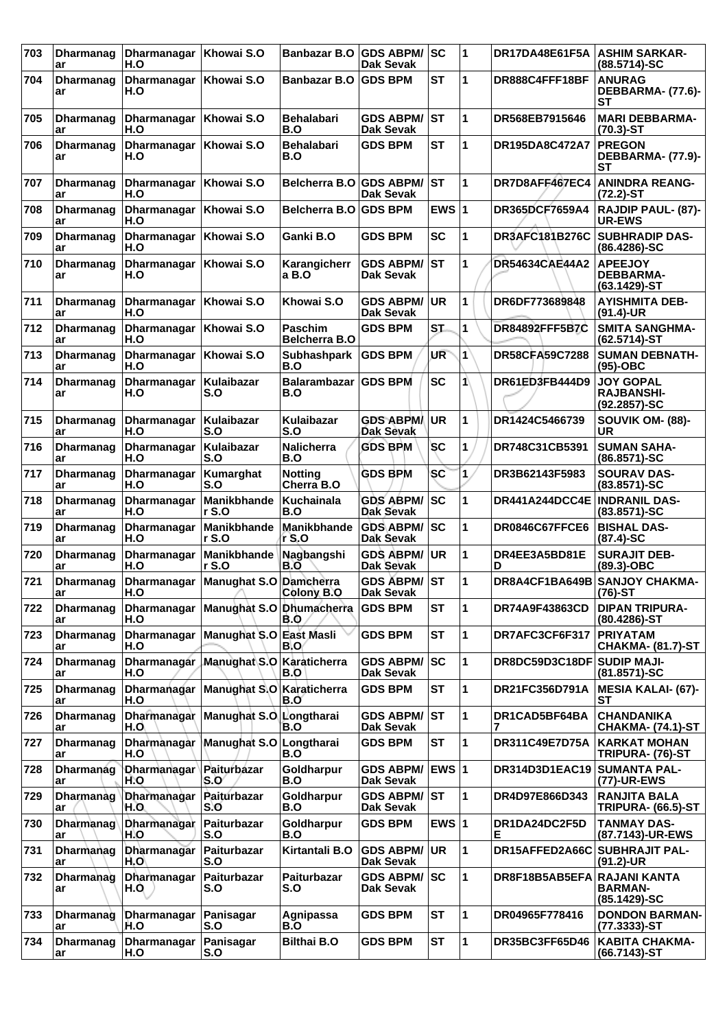| 703 | <b>Dharmanag</b><br>ar | Dharmanagar   Khowai S.O<br>H.O  |                                                                | Banbazar B.O GDS ABPM/                 | Dak Sevak                               | <b>SC</b>               | 1 | DR17DA48E61F5A                 | <b>ASHIM SARKAR-</b><br>(88.5714)-SC                      |
|-----|------------------------|----------------------------------|----------------------------------------------------------------|----------------------------------------|-----------------------------------------|-------------------------|---|--------------------------------|-----------------------------------------------------------|
| 704 | Dharmanag<br>ar        | Dharmanagar   Khowai S.O<br>H.O  |                                                                | <b>Banbazar B.O</b>                    | <b>GDS BPM</b>                          | <b>ST</b>               | 1 | DR888C4FFF18BF                 | <b>ANURAG</b><br>DEBBARMA- (77.6)-<br>SТ                  |
| 705 | Dharmanag<br>ar        | Dharmanagar   Khowai S.O<br>H.O  |                                                                | <b>Behalabari</b><br>B.O               | <b>GDS ABPM/</b><br><b>Dak Sevak</b>    | IST                     | 1 | DR568EB7915646                 | <b>MARI DEBBARMA-</b><br>$(70.3)$ -ST                     |
| 706 | <b>Dharmanag</b><br>ar | Dharmanagar   Khowai S.O<br>H.O  |                                                                | <b>Behalabari</b><br>B.O               | <b>GDS BPM</b>                          | SТ                      | 1 | DR195DA8C472A7                 | <b>PREGON</b><br>DEBBARMA- (77.9)-<br><b>ST</b>           |
| 707 | Dharmanag<br>ar        | Dharmanagar   Khowai S.O<br>H.O  |                                                                | Belcherra B.O                          | <b>GDS ABPM/</b><br>Dak Sevak           | lst                     | 1 | DR7D8AFF467EC4                 | <b>ANINDRA REANG-</b><br>$(72.2)$ -ST                     |
| 708 | <b>Dharmanag</b><br>ar | Dharmanagar<br>H.O               | Khowai S.O                                                     | <b>Belcherra B.O</b>                   | <b>GDS BPM</b>                          | EWS $ 1$                |   | DR365DCF7659A4                 | <b>RAJDIP PAUL- (87)-</b><br><b>UR-EWS</b>                |
| 709 | <b>Dharmanag</b><br>ar | Dharmanagar<br>H.O               | Khowai S.O                                                     | Ganki B.O                              | <b>GDS BPM</b>                          | <b>SC</b>               | 1 | <b>DR3AFC181B276C</b>          | <b>SUBHRADIP DAS-</b><br>$(86.4286) - SC$                 |
| 710 | Dharmanag<br>ar        | Dharmanagar   Khowai S.O<br>H.O  |                                                                | Karangicherr<br>a B.O                  | <b>GDS ABPM/</b><br>Dak Sevak           | lst                     | 1 | <b>DR54634CAE44A2</b>          | <b>APEEJOY</b><br><b>DEBBARMA-</b><br>$(63.1429)$ -ST     |
| 711 | Dharmanag<br>ar        | Dharmanagar   Khowai S.O<br>H.O  |                                                                | Khowai S.O                             | <b>GDS ABPM/</b><br><b>Dak Sevak</b>    | <b>UR</b>               | 1 | DR6DF773689848                 | <b>AYISHMITA DEB-</b><br>$(91.4)$ -UR                     |
| 712 | <b>Dharmanag</b><br>ar | Dharmanagar   Khowai S.O<br>H.O  |                                                                | <b>Paschim</b><br><b>Belcherra B.O</b> | <b>GDS BPM</b>                          | ST.                     | 1 | <b>DR84892FFF5B7C</b>          | <b>SMITA SANGHMA-</b><br>$(62.5714)-ST$                   |
| 713 | Dharmanag<br>ar        | Dharmanagar<br>H.O               | Khowai S.O                                                     | <b>Subhashpark</b><br>B.O              | <b>GDS BPM</b>                          | UR                      | 1 | <b>DR58CFA59C7288</b>          | <b>SUMAN DEBNATH-</b><br>$(95)-OBC$                       |
| 714 | Dharmanag<br>ar        | Dharmanagar<br>H.O               | Kulaibazar<br>S.O                                              | <b>Balarambazar</b><br>B.O             | <b>GDS BPM</b>                          | <b>SC</b>               | 1 | DR61ED3FB444D9                 | <b>JOY GOPAL</b><br><b>RAJBANSHI-</b><br>$(92.2857) - SC$ |
| 715 | <b>Dharmanag</b><br>ar | Dharmanagar<br>H.O               | Kulaibazar<br>S.O                                              | <b>Kulaibazar</b><br>S.O               | <b>GDS ABPM</b><br>Dak Sevak            | UR.                     | 1 | DR1424C5466739                 | SOUVIK OM- (88)-<br><b>UR</b>                             |
| 716 | Dharmanag<br>ar        | Dharmanagar<br>H.O               | Kulaibazar<br>S.O                                              | <b>Nalicherra</b><br>B.O               | <b>GDS BPM</b>                          | <b>SC</b>               | 1 | DR748C31CB5391                 | <b>SUMAN SAHA-</b><br>(86.8571)-SC                        |
| 717 | Dharmanag<br>ar        | Dharmanagar<br>H.O               | Kumarghat<br>S.O                                               | <b>Notting</b><br>Cherra B.O           | <b>GDS BPM</b>                          | <b>SC</b>               | 1 | DR3B62143F5983                 | <b>SOURAV DAS-</b><br>$(83.8571) - SC$                    |
| 718 | <b>Dharmanag</b><br>ar | Dharmanagar<br>H.O               | Manikbhande<br>r S.O                                           | Kuchainala<br>B.O                      | <b>GDS ABPM/</b><br><b>Dak Sevak</b>    | sc                      | 1 | DR441A244DCC4E   INDRANIL DAS- | $(83.8571)-SC$                                            |
| 719 | Dharmanag<br>ar        | Dharmanagar<br>H.O               | Manikbhande<br>r S.O                                           | Manikbhande<br>r S.O                   | GDS ABPM/ SC<br>Dak Sevak               |                         | 1 | DR0846C67FFCE6                 | <b>BISHAL DAS-</b><br>$(87.4)$ -SC                        |
| 720 | <b>Dharmanag</b><br>ar | Dharmanagar<br>H.O               | Manikbhande<br>r S.O                                           | Nagbangshi<br>B.O                      | <b>GDS ABPM/ UR</b><br>Dak Sevak        |                         | 1 | DR4EE3A5BD81E<br>D             | <b>SURAJIT DEB-</b><br>(89.3)-OBC                         |
| 721 | Dharmanag<br>ar        | H.O                              | Dharmanagar   Manughat S.O   Damcherra<br>$\sim$ $\sim$ $\sim$ | Colony B.O                             | <b>GDS ABPM/ ST</b><br><b>Dak Sevak</b> |                         | 1 |                                | DR8A4CF1BA649B SANJOY CHAKMA-<br>(76)-ST                  |
| 722 | Dharmanag<br>ar        | H.O                              | Dharmanagar   Manughat S.O   Dhumacherra                       | B.O                                    | <b>GDS BPM</b>                          | <b>ST</b>               | 1 | <b>DR74A9F43863CD</b>          | <b>DIPAN TRIPURA-</b><br>$(80.4286)$ -ST                  |
| 723 | Dharmanag<br>ar        | Dharmanagar<br>H.O               | Manughat S.O                                                   | East Masli<br>B.O                      | <b>GDS BPM</b>                          | <b>ST</b>               | 1 | DR7AFC3CF6F317                 | <b>PRIYATAM</b><br><b>CHAKMA- (81.7)-ST</b>               |
| 724 | <b>Dharmanag</b><br>ar | H.O                              | Dharmanagar Manughat S.O Karaticherra                          | B.O                                    | <b>GDS ABPM/</b><br><b>Dak Sevak</b>    | lsc                     | 1 | DR8DC59D3C18DF SUDIP MAJI-     | (81.8571)-SC                                              |
| 725 | Dharmanag<br>ar        | H.O                              | Dharmanagar Manughat S.O                                       | Karaticherra<br>B.O                    | <b>GDS BPM</b>                          | <b>ST</b>               | 1 | DR21FC356D791A                 | <b>MESIA KALAI- (67)-</b><br>SТ                           |
| 726 | <b>Dharmanag</b><br>ar | Dharmanagar<br>H.O               | Manughat S.O                                                   | Longtharai<br>B.O                      | <b>GDS ABPM/ ST</b><br><b>Dak Sevak</b> |                         | 1 | DR1CAD5BF64BA                  | <b>CHANDANIKA</b><br>CHAKMA- (74.1)-ST                    |
| 727 | <b>Dharmanag</b><br>ar | Dharmanagar<br>H.O               | Manughat S.O                                                   | Longtharai<br>B.O                      | <b>GDS BPM</b>                          | <b>ST</b>               | 1 | DR311C49E7D75A                 | <b>KARKAT MOHAN</b><br>TRIPURA- (76)-ST                   |
| 728 | Dharmanag<br>ar        | Dharmanagar   Paiturbazar<br>H.O | S.O                                                            | Goldharpur<br>B.O                      | <b>GDS ABPM/</b><br><b>Dak Sevak</b>    | <b>EWS</b> <sub>1</sub> |   | DR314D3D1EAC19 SUMANTA PAL-    | (77)-UR-EWS                                               |
| 729 | <b>Dharmanag</b><br>ar | <b>Dharmanagar</b><br>H.O.       | Paiturbazar<br>S.O                                             | Goldharpur<br>B.O                      | <b>GDS ABPM/ ST</b><br><b>Dak Sevak</b> |                         | 1 | DR4D97E866D343                 | <b>RANJITA BALA</b><br>TRIPURA- (66.5)-ST                 |
| 730 | Dharmanag<br>ar        | Dharmanagar<br>H.O               | Paiturbazar<br>S.O                                             | Goldharpur<br>B.O                      | <b>GDS BPM</b>                          | EWS $ 1$                |   | DR1DA24DC2F5D<br>Е             | <b>TANMAY DAS-</b><br>(87.7143)-UR-EWS                    |
| 731 | Dharmanag<br>ar        | Dharmanagar   Paiturbazar<br>H.O | S.O                                                            | Kirtantali B.O                         | <b>GDS ABPM/</b><br><b>Dak Sevak</b>    | UR.                     | 1 | DR15AFFED2A66C SUBHRAJIT PAL-  | $(91.2)$ -UR                                              |
| 732 | <b>Dharmanag</b><br>ar | Dharmanagar<br>H.O               | Paiturbazar<br>S.O                                             | <b>Paiturbazar</b><br>S.O              | <b>GDS ABPM/ SC</b><br><b>Dak Sevak</b> |                         | 1 | DR8F18B5AB5EFA RAJANI KANTA    | <b>BARMAN-</b><br>(85.1429)-SC                            |
| 733 | Dharmanag<br>ar        | Dharmanagar<br>H.O               | Panisagar<br>S.O                                               | Agnipassa<br>B.O                       | <b>GDS BPM</b>                          | <b>ST</b>               | 1 | DR04965F778416                 | <b>DONDON BARMAN-</b><br> (77.3333)-ST                    |
| 734 | <b>Dharmanag</b><br>ar | <b>Dharmanagar</b><br>H.O        | <b>Panisagar</b><br>S.O                                        | <b>Bilthai B.O</b>                     | <b>GDS BPM</b>                          | <b>ST</b>               | 1 | DR35BC3FF65D46                 | <b>KABITA CHAKMA-</b><br>$(66.7143)$ -ST                  |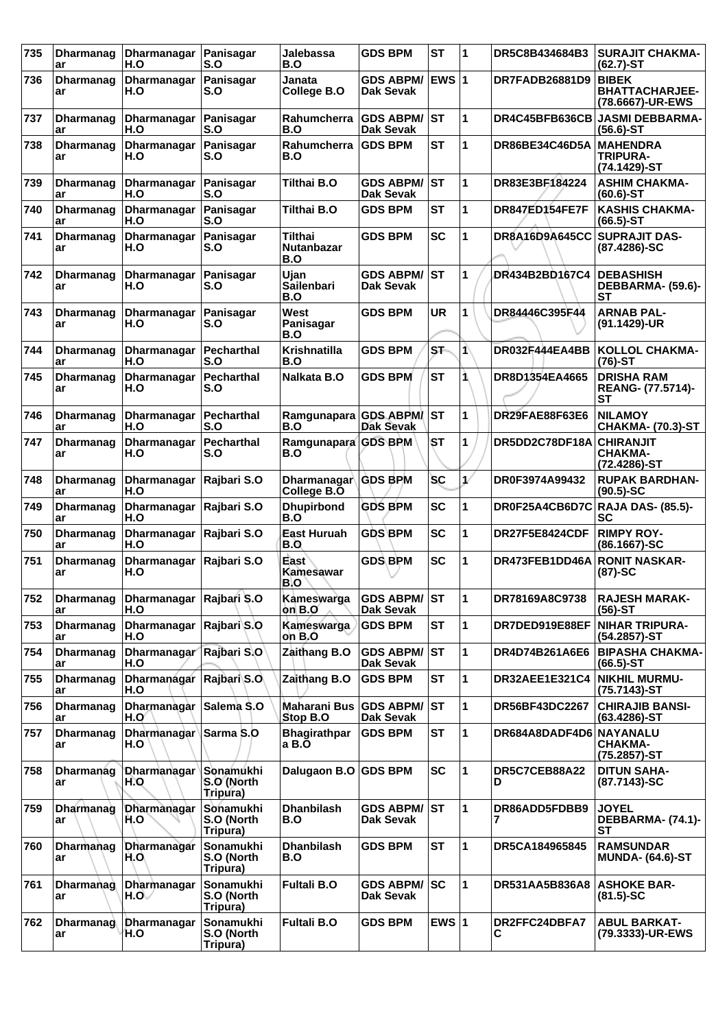| 735 | <b>Dharmanag</b><br>ar | Dharmanagar<br>H.O                         | Panisagar<br>S.O                    | Jalebassa<br>B.O                    | <b>GDS BPM</b>                       | <b>ST</b>       | 11 | DR5C8B434684B3                   | <b>SURAJIT CHAKMA-</b><br>$(62.7)$ -ST                     |
|-----|------------------------|--------------------------------------------|-------------------------------------|-------------------------------------|--------------------------------------|-----------------|----|----------------------------------|------------------------------------------------------------|
| 736 | <b>Dharmanag</b><br>ar | <b>Dharmanagar</b><br>H.O                  | <b>Panisagar</b><br>S.O             | Janata<br>College B.O               | <b>GDS ABPM/</b><br>Dak Sevak        | <b>EWS 1</b>    |    | <b>DR7FADB26881D9</b>            | <b>BIBEK</b><br><b>BHATTACHARJEE-</b><br>(78.6667)-UR-EWS  |
| 737 | <b>Dharmanag</b><br>ar | Dharmanagar   Panisagar<br>H.O             | S.O                                 | Rahumcherra GDS ABPM/<br>B.O        | <b>Dak Sevak</b>                     | lst             | 1  |                                  | DR4C45BFB636CB JASMI DEBBARMA-<br>$(56.6)$ -ST             |
| 738 | <b>Dharmanag</b><br>ar | Dharmanagar<br>H.O                         | Panisagar<br>S.O                    | Rahumcherra<br>B.O                  | <b>GDS BPM</b>                       | <b>ST</b>       | 1  | DR86BE34C46D5A                   | <b>MAHENDRA</b><br><b>TRIPURA-</b><br>(74.1429)-ST         |
| 739 | Dharmanag<br>ar        | Dharmanagar<br>H.O                         | Panisagar<br>S.O                    | <b>Tilthai B.O</b>                  | <b>GDS ABPM/</b><br><b>Dak Sevak</b> | IST             | 1  | DR83E3BF184224                   | <b>ASHIM CHAKMA-</b><br>$(60.6)$ -ST                       |
| 740 | Dharmanag<br>ar        | Dharmanagar<br>H.O                         | Panisagar<br>S.O                    | <b>Tilthai B.O</b>                  | <b>GDS BPM</b>                       | <b>ST</b>       | 1  | DR847ED154FE7F                   | <b>KASHIS CHAKMA-</b><br>$(66.5)$ -ST                      |
| 741 | <b>Dharmanag</b><br>ar | Dharmanagar<br>H.O                         | Panisagar<br>S.O                    | Tilthai<br><b>Nutanbazar</b><br>B.O | <b>GDS BPM</b>                       | <b>SC</b>       | 1  | DR8A16D9A645CC                   | <b>SUPRAJIT DAS-</b><br>(87.4286)-SC                       |
| 742 | <b>Dharmanag</b><br>ar | Dharmanagar<br>H.O                         | Panisagar<br>S.O                    | Ujan<br>Sailenbari<br>B.O           | <b>GDS ABPM/</b><br>Dak Sevak        | lst             | 1  | DR434B2BD167C4                   | <b>DEBASHISH</b><br>DEBBARMA- (59.6)-<br><b>ST</b>         |
| 743 | <b>Dharmanag</b><br>ar | Dharmanagar<br>H.O                         | Panisagar<br>S.O                    | West<br>Panisagar<br>B.O            | <b>GDS BPM</b>                       | <b>UR</b>       | 1  | DR84446C395F44                   | <b>ARNAB PAL-</b><br>(91.1429)-UR                          |
| 744 | <b>Dharmanag</b><br>ar | Dharmanagar<br>H.O                         | Pecharthal<br>S.O                   | Krishnatilla<br>B.O                 | <b>GDS BPM</b>                       | ST <sub>1</sub> | 1\ | DR032F444EA4BB                   | <b>KOLLOL CHAKMA-</b><br>$(76)-ST$                         |
| 745 | <b>Dharmanag</b><br>ar | <b>Dharmanagar</b><br>H.O                  | Pecharthal<br>S.O                   | Nalkata B.O                         | <b>GDS BPM</b>                       | <b>ST</b>       | 1  | DR8D1354EA4665                   | <b>DRISHA RAM</b><br><b>REANG- (77.5714)-</b><br><b>ST</b> |
| 746 | <b>Dharmanag</b><br>ar | Dharmanagar<br>H.O                         | Pecharthal<br>S.O                   | Ramgunapara GDS ABPM<br>B.O         | <b>Dak Sevak</b>                     | <b>ST</b>       | 1  | DR29FAE88F63E6                   | <b>NILAMOY</b><br><b>CHAKMA- (70.3)-ST</b>                 |
| 747 | <b>Dharmanag</b><br>ar | <b>Dharmanagar</b><br>H.O                  | Pecharthal<br>S.O                   | Ramgunapara GDS BPM<br>B.O          |                                      | <b>ST</b>       | 1  | DR5DD2C78DF18A                   | <b>CHIRANJIT</b><br><b>CHAKMA-</b><br>(72.4286)-ST         |
| 748 | <b>Dharmanag</b><br>ar | Dharmanagar<br>H.O                         | Rajbari S.O                         | Dharmanagar<br>College B.O          | <b>GDS BPM</b>                       | <b>SC</b>       | ₽  | DR0F3974A99432                   | <b>RUPAK BARDHAN-</b><br>$(90.5)$ -SC                      |
| 749 | <b>Dharmanag</b><br>ar | Dharmanagar<br>H.O                         | Rajbari S.O                         | <b>Dhupirbond</b><br>B.O            | <b>GDS BPM</b>                       | <b>SC</b>       | 1  | DR0F25A4CB6D7C RAJA DAS- (85.5)- | <b>SC</b>                                                  |
| 750 | <b>Dharmanag</b><br>ar | Dharmanagar<br>H.O                         | Rajbari S.O                         | East Huruah<br>B.O                  | <b>GDS BPM</b>                       | <b>SC</b>       | 1  | DR27F5E8424CDF                   | <b>RIMPY ROY-</b><br>$(86.1667)$ -SC                       |
| 751 | <b>Dharmanag</b><br>ar | Dharmanagar<br>H.O                         | Rajbari S.O                         | East<br>Kamesawar<br>B.O            | <b>GDS BPM</b>                       | <b>SC</b>       | 1  | DR473FEB1DD46A                   | <b>RONIT NASKAR-</b><br>$(87)-SC$                          |
| 752 | <b>Dharmanag</b><br>ar | Dharmanagar Rajbari S.O<br>H.O             |                                     | Kameswarga<br>on B.O                | <b>GDS ABPM/ST</b><br>Dak Sevak      |                 | 11 | DR78169A8C9738                   | <b>RAJESH MARAK-</b><br>$(56)-ST$                          |
| 753 | <b>Dharmanag</b><br>ar | Dharmanagar Rajbari S.O<br>H.O             |                                     | Kameswarga<br>on B.O                | <b>GDS BPM</b>                       | <b>ST</b>       | 1  | DR7DED919E88EF                   | NIHAR TRIPURA-<br>(54.2857)-ST                             |
| 754 | <b>Dharmanag</b><br>ar | Dharmanagar Rajbari S.O<br>H.O             |                                     | Zaithang B.O                        | <b>GDS ABPM/</b><br>Dak Sevak        | ST              | 1  | DR4D74B261A6E6                   | <b>BIPASHA CHAKMA-</b><br>$(66.5)$ -ST                     |
| 755 | <b>Dharmanag</b><br>ar | Dharmanagar Rajbari S.O.<br>H.O            |                                     | Zaithang B.O                        | <b>GDS BPM</b>                       | <b>ST</b>       | 1  | <b>DR32AEE1E321C4</b>            | <b>NIKHIL MURMU-</b><br>(75.7143)-ST                       |
| 756 | <b>Dharmanag</b><br>ar | Dharmanagar<br>H.O                         | Salema S.O                          | Maharani Bus<br>Stop B.O            | <b>GDS ABPM/</b><br>Dak Sevak        | ST              | 1  | DR56BF43DC2267                   | <b>CHIRAJIB BANSI-</b><br>$(63.4286)$ -ST                  |
| 757 | <b>Dharmanag</b><br>ar | Dharmanagar Sarma S.O<br>H.O               |                                     | <b>Bhagirathpar</b><br>a B.O        | <b>GDS BPM</b>                       | <b>ST</b>       | 1  | DR684A8DADF4D6 NAYANALU          | <b>CHAKMA-</b><br>(75.2857)-ST                             |
| 758 | <b>Dharmanag</b><br>ar | <b>Dharmanagar</b><br>H.O                  | Sonamukhi<br>S.O (North<br>Tripura) | Dalugaon B.O GDS BPM                |                                      | <b>SC</b>       | 1  | DR5C7CEB88A22<br>D               | <b>DITUN SAHA-</b><br>(87.7143)-SC                         |
| 759 | Dharmanag<br>ar        | <b>Dharmanagar</b><br>H.O                  | Sonamukhi<br>S.O (North<br>Tripura) | <b>Dhanbilash</b><br>B.O            | <b>GDS ABPM/</b><br>Dak Sevak        | ST              | 1  | DR86ADD5FDBB9                    | <b>JOYEL</b><br>DEBBARMA- (74.1)-<br><b>ST</b>             |
| 760 | Dharmanag<br>ar        | <b>Dharmanagar</b><br>$H_{\rm c}O_{\rm c}$ | Sonamukhi<br>S.O (North<br>Tripura) | <b>Dhanbilash</b><br>B.O            | <b>GDS BPM</b>                       | <b>ST</b>       | 1  | DR5CA184965845                   | <b>RAMSUNDAR</b><br><b>MUNDA- (64.6)-ST</b>                |
| 761 | <b>Dharmanag</b><br>ar | Dharmanagar<br>H.OV                        | Sonamukhi<br>S.O (North<br>Tripura) | <b>Fultali B.O</b>                  | <b>GDS ABPM/</b><br>Dak Sevak        | <b>SC</b>       | 1  | DR531AA5B836A8                   | <b>ASHOKE BAR-</b><br>$(81.5)-SC$                          |
| 762 | <b>Dharmanag</b><br>ar | Dharmanagar<br>H.O                         | Sonamukhi<br>S.O (North<br>Tripura) | <b>Fultali B.O</b>                  | <b>GDS BPM</b>                       | EWS $ 1$        |    | DR2FFC24DBFA7<br>С               | <b>ABUL BARKAT-</b><br>(79.3333)-UR-EWS                    |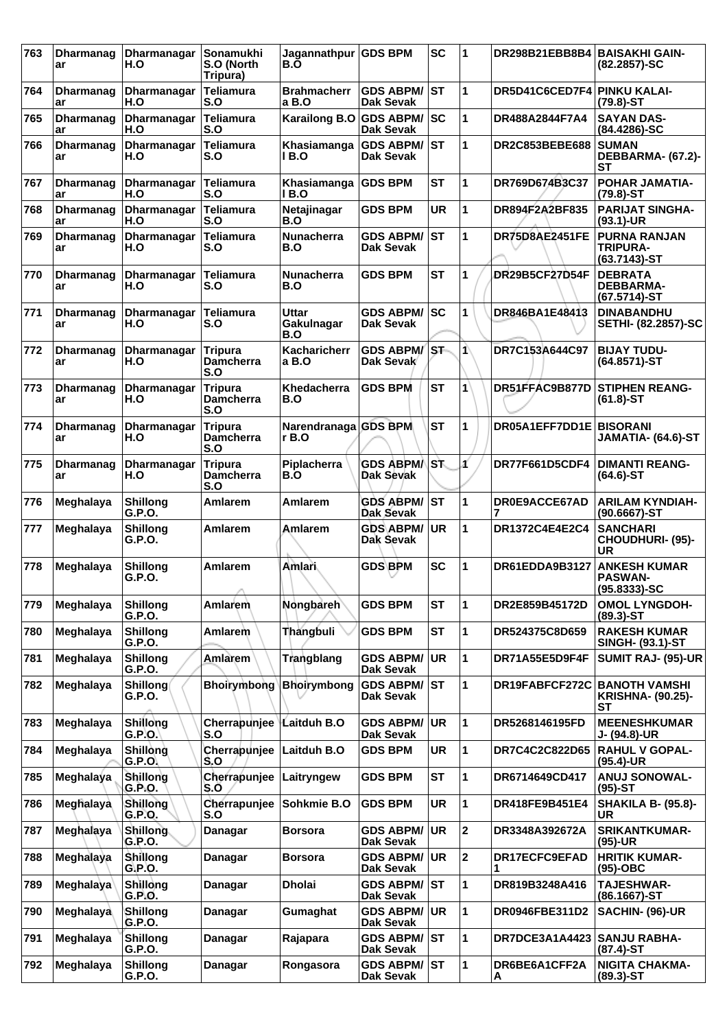| 763 | Dharmanag<br>ar        | Dharmanagar<br>H.O               | Sonamukhi<br>S.O (North<br>Tripura)       | Jagannathpur<br>B.O                  | <b>GDS BPM</b>                          | <b>SC</b> | 1            | DR298B21EBB8B4              | <b>BAISAKHI GAIN-</b><br>(82,2857)-SC                     |
|-----|------------------------|----------------------------------|-------------------------------------------|--------------------------------------|-----------------------------------------|-----------|--------------|-----------------------------|-----------------------------------------------------------|
| 764 | <b>Dharmanag</b><br>ar | Dharmanagar<br>H.O               | <b>Teliamura</b><br>S.O                   | <b>Brahmacherr</b><br>a B.O          | <b>GDS ABPM/</b><br><b>Dak Sevak</b>    | ∣sт       | 1            | DR5D41C6CED7F4              | <b>PINKU KALAI-</b><br>$(79.8) - ST$                      |
| 765 | <b>Dharmanag</b><br>ar | <b>Dharmanagar</b><br>H.O        | <b>Teliamura</b><br>S.O                   | Karailong B.O GDS ABPM/ SC           | <b>Dak Sevak</b>                        |           | 1            | DR488A2844F7A4              | <b>SAYAN DAS-</b><br>(84.4286)-SC                         |
| 766 | <b>Dharmanag</b><br>ar | Dharmanagar<br>H.O               | <b>Teliamura</b><br>S.O                   | Khasiamanga<br>I B.O                 | <b>GDS ABPM/ ST</b><br>Dak Sevak        |           | 1            | DR2C853BEBE688              | <b>SUMAN</b><br>DEBBARMA- (67.2)-<br>SТ                   |
| 767 | Dharmanag<br>ar        | Dharmanagar<br>H.O               | Teliamura<br>S.O                          | Khasiamanga   GDS BPM<br><b>IB.O</b> |                                         | <b>ST</b> | 1            | DR769D674B3C37              | <b>POHAR JAMATIA-</b><br>$(79.8) - ST$                    |
| 768 | <b>Dharmanag</b><br>ar | Dharmanagar<br>H.O               | <b>Teliamura</b><br>S.O                   | Netajinagar<br>B.O                   | <b>GDS BPM</b>                          | <b>UR</b> | 1            | DR894F2A2BF835              | <b>PARIJAT SINGHA-</b><br>$(93.1)$ -UR                    |
| 769 | <b>Dharmanag</b><br>ar | Dharmanagar<br>H.O               | <b>Teliamura</b><br>S.O                   | <b>Nunacherra</b><br>B.O             | <b>GDS ABPM/</b><br>Dak Sevak           | lst       | 1            | DR75D8AE2451FE              | <b>PURNA RANJAN</b><br>TRIPURA-<br>$(63.7143)$ -ST        |
| 770 | <b>Dharmanag</b><br>ar | Dharmanagar<br>H.O               | Teliamura<br>S.O                          | <b>Nunacherra</b><br>B.O             | <b>GDS BPM</b>                          | <b>ST</b> | 1            | <b>DR29B5CF27D54F</b>       | <b>DEBRATA</b><br><b>DEBBARMA-</b><br>(67.5714)-ST        |
| 771 | <b>Dharmanag</b><br>ar | Dharmanagar<br>H.O               | <b>Teliamura</b><br>S.O                   | Uttar<br>Gakulnagar<br>B.O           | <b>GDS ABPM/</b><br><b>Dak Sevak</b>    | <b>SC</b> | 1            | DR846BA1E48413              | <b>DINABANDHU</b><br>SETHI- (82.2857)-SC                  |
| 772 | <b>Dharmanag</b><br>ar | Dharmanagar<br>H.O               | <b>Tripura</b><br><b>Damcherra</b><br>S.O | Kacharicherr<br>a B.O                | GDS ABPM/ST<br>Dak Sevak                |           | 1            | DR7C153A644C97              | <b>BIJAY TUDU-</b><br>$(64.8571) - ST$                    |
| 773 | <b>Dharmanag</b><br>ar | Dharmanagar<br>H.O               | Tripura<br><b>Damcherra</b><br>S.O        | Khedacherra<br>B.O                   | <b>GDS BPM</b>                          | <b>ST</b> | 1            | DR51FFAC9B877D              | <b>STIPHEN REANG-</b><br>$(61.8)$ -ST                     |
| 774 | <b>Dharmanag</b><br>ar | Dharmanagar<br>H.O               | <b>Tripura</b><br><b>Damcherra</b><br>S.O | Narendranaga GDS BPM<br>$r$ B.O      |                                         | <b>ST</b> | 1            | DR05A1EFF7DD1E              | <b>BISORANI</b><br>JAMATIA- (64.6)-ST                     |
| 775 | <b>Dharmanag</b><br>ar | Dharmanagar<br>H.O               | <b>Tripura</b><br><b>Damcherra</b><br>S.O | Piplacherra<br>B.O                   | <b>GDS ABPMA</b><br>Dak Sevak           | ls̀T⊾     | Á            | <b>DR77F661D5CDF4</b>       | <b>DIMANTI REANG-</b><br>$(64.6)$ -ST                     |
| 776 | Meghalaya              | <b>Shillong</b><br>G.P.O.        | Amlarem                                   | Amlarem                              | <b>GDS ABPM/ ST</b><br>Dak Sevak        |           | 1            | DR0E9ACCE67AD               | <b>ARILAM KYNDIAH-</b><br>$(90.6667)$ -ST                 |
| 777 | Meghalaya              | <b>Shillong</b><br>G.P.O.        | <b>Amlarem</b>                            | <b>Amlarem</b>                       | <b>GDS ABPM/</b><br>Dak Sevak           | UR        | 1            | DR1372C4E4E2C4              | <b>SANCHARI</b><br><b>CHOUDHURI- (95)-</b><br>UR          |
| 778 | Meghalaya              | <b>Shillong</b><br>G.P.O.        | Amlarem                                   | Amlari                               | <b>GDS BPM</b>                          | <b>SC</b> | 1            | DR61EDDA9B3127              | <b>ANKESH KUMAR</b><br><b>PASWAN-</b><br>$(95.8333) - SC$ |
| 779 | Meghalaya              | <b>Shillong</b><br>G.P.O.        | Amlarem                                   | Nongbareh                            | <b>GDS BPM</b>                          | <b>ST</b> | 1            | DR2E859B45172D              | <b>OMOL LYNGDOH-</b><br>$(89.3) - ST$                     |
| 780 | Meghalaya              | <b>Shillong</b><br>G.P.O.        | Amlarem                                   | Thangbuli                            | <b>GDS BPM</b>                          | <b>ST</b> | 1            | DR524375C8D659              | <b>RAKESH KUMAR</b><br><b>SINGH- (93.1)-ST</b>            |
| 781 | Meghalaya              | <b>Shillong</b><br>G.P.O.        | <b>Amlarem</b>                            | Trangblang                           | <b>GDS ABPM/</b><br><b>Dak Sevak</b>    | <b>UR</b> | 1            | DR71A55E5D9F4F              | SUMIT RAJ- (95)-UR                                        |
| 782 | Meghalaya              | <b>Shillong</b><br><b>G.P.O.</b> | <b>Bhoirymbong</b>                        | <b>Bhoirymbong</b>                   | <b>GDS ABPM/</b><br><b>Dak Sevak</b>    | <b>ST</b> | 1            | DR19FABFCF272C              | <b>BANOTH VAMSHI</b><br><b>KRISHNA- (90.25)-</b><br>SТ    |
| 783 | Meghalaya              | Shillong<br>G.P.O.               | Cherrapunjee<br>S.O                       | Laitduh B.O                          | <b>GDS ABPM/</b><br><b>Dak Sevak</b>    | <b>UR</b> | 1            | DR5268146195FD              | <b>MEENESHKUMAR</b><br>J- (94.8)-UR                       |
| 784 | Meghalaya              | Shillong<br>G.P.O.               | Cherrapunjee<br>S.O                       | Laitduh B.O                          | <b>GDS BPM</b>                          | UR        | 1            | DR7C4C2C822D65              | <b>RAHUL V GOPAL-</b><br>$(95.4)$ -UR                     |
| 785 | Meghalaya              | Shillong<br>G.P.O.               | Cherrapunjee<br>S.O                       | Laitryngew                           | <b>GDS BPM</b>                          | <b>ST</b> | 1            | DR6714649CD417              | <b>ANUJ SONOWAL-</b><br>$(95)-ST$                         |
| 786 | Meghalaya              | Shillong<br>G.P.O.               | Cherrapunjee<br>S.O                       | Sohkmie B.O                          | <b>GDS BPM</b>                          | <b>UR</b> | 1            | DR418FE9B451E4              | <b>SHAKILA B- (95.8)-</b><br><b>UR</b>                    |
| 787 | Meghalaya              | <b>Shillong</b><br>G.P.O.        | Danagar                                   | <b>Borsora</b>                       | <b>GDS ABPM/</b><br><b>Dak Sevak</b>    | UR.       | $\mathbf 2$  | DR3348A392672A              | <b>SRIKANTKUMAR-</b><br>$(95)-UR$                         |
| 788 | Meghalaya              | <b>Shillong</b><br>G.P.O.        | Danagar                                   | <b>Borsora</b>                       | <b>GDS ABPM/</b><br><b>Dak Sevak</b>    | <b>UR</b> | $\mathbf{2}$ | DR17ECFC9EFAD               | <b>HRITIK KUMAR-</b><br>$(95)-OBC$                        |
| 789 | Meghalaya              | Shillong<br>G.P.O.               | Danagar                                   | <b>Dholai</b>                        | <b>GDS ABPM/ ST</b><br><b>Dak Sevak</b> |           | 1            | DR819B3248A416              | <b>TAJESHWAR-</b><br>(86.1667)-ST                         |
| 790 | Meghalaya              | <b>Shillong</b><br>G.P.O.        | Danagar                                   | Gumaghat                             | <b>GDS ABPM/ UR</b><br><b>Dak Sevak</b> |           | 1            | DR0946FBE311D2              | SACHIN- (96)-UR                                           |
| 791 | Meghalaya              | <b>Shillong</b><br>G.P.O.        | Danagar                                   | Rajapara                             | <b>GDS ABPM/ST</b><br><b>Dak Sevak</b>  |           | 1            | DR7DCE3A1A4423 SANJU RABHA- | $(87.4)$ -ST                                              |
| 792 | Meghalaya              | <b>Shillong</b><br>G.P.O.        | Danagar                                   | Rongasora                            | <b>GDS ABPM/ ST</b><br><b>Dak Sevak</b> |           | 1            | DR6BE6A1CFF2A<br>A          | <b>NIGITA CHAKMA-</b><br>$(89.3) - ST$                    |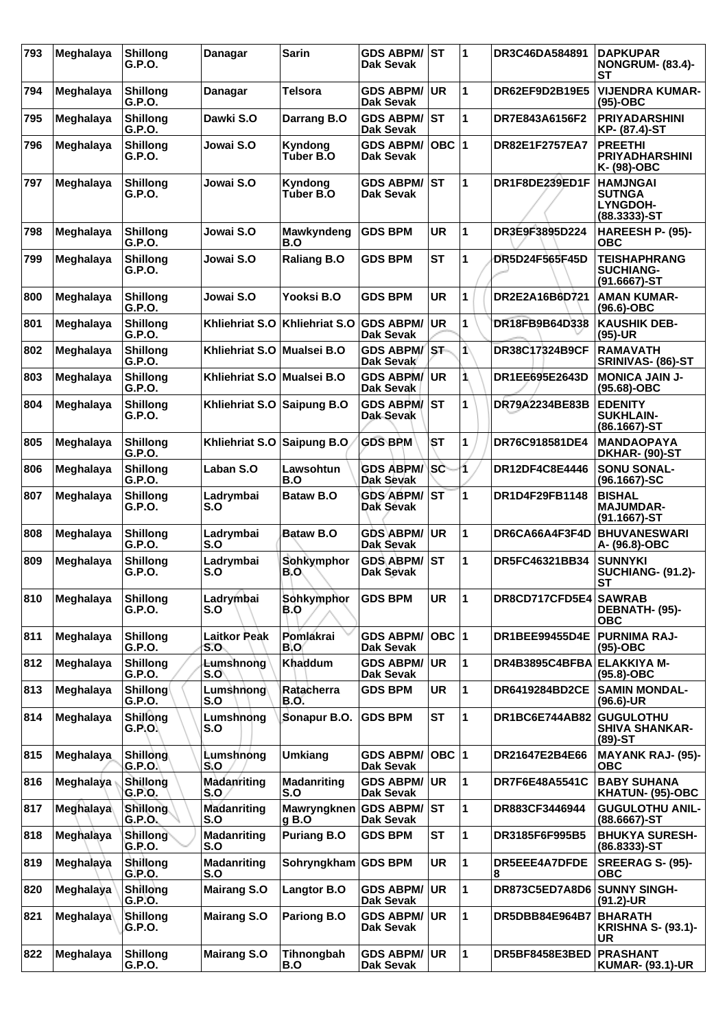| 793 | Meghalaya | <b>Shillong</b><br>G.P.O. | Danagar                    | <b>Sarin</b>              | <b>GDS ABPM/</b><br>Dak Sevak           | ∣sт       | 1  | DR3C46DA584891            | <b>DAPKUPAR</b><br><b>NONGRUM- (83.4)-</b><br>SТ                        |
|-----|-----------|---------------------------|----------------------------|---------------------------|-----------------------------------------|-----------|----|---------------------------|-------------------------------------------------------------------------|
| 794 | Meghalaya | <b>Shillong</b><br>G.P.O. | Danagar                    | Telsora                   | <b>GDS ABPM/</b><br><b>Dak Sevak</b>    | <b>UR</b> | 1  | DR62EF9D2B19E5            | <b>VIJENDRA KUMAR-</b><br>(95)-OBC                                      |
| 795 | Meghalaya | <b>Shillong</b><br>G.P.O. | Dawki S.O                  | Darrang B.O               | <b>GDS ABPM/</b><br><b>Dak Sevak</b>    | lst       | 1  | DR7E843A6156F2            | <b>PRIYADARSHINI</b><br>KP- (87.4)-ST                                   |
| 796 | Meghalaya | <b>Shillong</b><br>G.P.O. | Jowai S.O                  | Kyndong<br>Tuber B.O      | <b>GDS ABPM/</b><br>Dak Sevak           | OBC  1    |    | <b>DR82E1F2757EA7</b>     | <b>PREETHI</b><br><b>PRIYADHARSHINI</b><br>K- (98)-OBC                  |
| 797 | Meghalaya | <b>Shillong</b><br>G.P.O. | Jowai S.O                  | Kyndong<br>Tuber B.O      | <b>GDS ABPM/</b><br>Dak Sevak           | IST       | 1  | DR1F8DE239ED1F            | <b>HAMJNGAI</b><br><b>SUTNGA</b><br><b>LYNGDOH-</b><br>$(88.3333) - ST$ |
| 798 | Meghalaya | <b>Shillong</b><br>G.P.O. | Jowai S.O                  | Mawkyndeng<br>B.O         | <b>GDS BPM</b>                          | UR        | 1  | DR3E9F3895D224            | HAREESH P- (95)-<br><b>OBC</b>                                          |
| 799 | Meghalaya | <b>Shillong</b><br>G.P.O. | Jowai S.O                  | <b>Raliang B.O</b>        | <b>GDS BPM</b>                          | <b>ST</b> | 1  | DR5D24F565F45D            | <b>TEISHAPHRANG</b><br><b>SUCHIANG-</b><br>$(91.6667)$ -ST              |
| 800 | Meghalaya | <b>Shillong</b><br>G.P.O. | Jowai S.O                  | Yooksi B.O                | <b>GDS BPM</b>                          | <b>UR</b> | 1  | DR2E2A16B6D721            | <b>AMAN KUMAR-</b><br>(96.6)-OBC                                        |
| 801 | Meghalaya | <b>Shillong</b><br>G.P.O. | Khliehriat S.O             | Khliehriat S.O            | <b>GDS ABPM/</b><br>Dak Sevak           | UR        | 1  | DR18FB9B64D338            | <b>KAUSHIK DEB-</b><br>$(95)-UR$                                        |
| 802 | Meghalaya | <b>Shillong</b><br>G.P.O. | Khliehriat S.O             | Mualsei B.O               | <b>GDS ABPM/</b><br>Dak Sevak           | <b>ST</b> | 1\ | DR38C17324B9CF            | <b>RAMAVATH</b><br>SRINIVAS- (86)-ST                                    |
| 803 | Meghalaya | <b>Shillong</b><br>G.P.O. | Khliehriat S.O             | <b>Mualsei B.O</b>        | <b>GDS ABPM/</b><br>Dak Sevak           | <b>UR</b> | 1  | DR1EE695E2643D            | <b>MONICA JAIN J-</b><br>(95.68)-OBC                                    |
| 804 | Meghalaya | <b>Shillong</b><br>G.P.O. | Khliehriat S.O             | Saipung B.O               | <b>GDS ABPM/</b><br>Dak Sevak           | <b>ST</b> | 1  | DR79A2234BE83B            | <b>EDENITY</b><br><b>SUKHLAIN-</b><br>(86.1667)-ST                      |
| 805 | Meghalaya | <b>Shillong</b><br>G.P.O. | Khliehriat S.O             | <b>Saipung B.O</b>        | <b>GDS BPM</b>                          | <b>ST</b> | 1  | DR76C918581DE4            | <b>MANDAOPAYA</b><br>DKHAR- (90)-ST                                     |
| 806 | Meghalaya | <b>Shillong</b><br>G.P.O. | Laban S.O                  | Lawsohtun<br>B.O          | <b>GDS ABPM/</b><br>Dak Sevak           | <b>SC</b> | 1  | DR12DF4C8E4446            | <b>SONU SONAL-</b><br>(96.1667)-SC                                      |
| 807 | Meghalaya | <b>Shillong</b><br>G.P.O. | Ladrymbai<br>S.O           | <b>Bataw B.O</b>          | <b>GDS ABPM/</b><br>Dak Sévak           | ∣sт       | 1  | DR1D4F29FB1148            | <b>BISHAL</b><br><b>MAJUMDAR-</b><br>$(91.1667)$ -ST                    |
| 808 | Meghalaya | <b>Shillong</b><br>G.P.O. | Ladrymbai<br>S.O           | <b>Bataw B.O</b>          | <b>GDS ABPM/</b><br>Dak Sevak           | UR.       | 1  | DR6CA66A4F3F4D            | <b>BHUVANESWARI</b><br>A- (96.8)-OBC                                    |
| 809 | Meghalaya | <b>Shillong</b><br>G.P.O. | Ladrvmbai<br>S.O           | Sohkymphor<br>B.O         | <b>GDS ABPM/</b><br>Dak Sevak           | lst       | 1  | DR5FC46321BB34            | <b>SUNNYKI</b><br><b>SUCHIANG- (91.2)-</b><br>ST                        |
| 810 | Meghalaya | <b>Shillong</b><br>G.P.O. | Ladrymbai<br>S.O           | Sohkymphor<br>B.O         | <b>GDS BPM</b>                          | UR.       | 11 | DR8CD717CFD5E4 SAWRAB     | DEBNATH- (95)-<br><b>OBC</b>                                            |
| 811 | Meghalaya | <b>Shillong</b><br>G.P.O. | <b>Laitkor Peak</b><br>S.O | Pomlakrai<br><b>B.O</b>   | <b>GDS ABPM/</b><br><b>Dak Sevak</b>    | OBC  1    |    | DR1BEE99455D4E            | <b>PURNIMA RAJ-</b><br>(95)-OBC                                         |
| 812 | Meghalaya | <b>Shillong</b><br>G.P.O. | <b>Lumshnong</b><br>S.O    | Khaddum                   | <b>GDS ABPM/</b><br>Dak Sevak           | <b>UR</b> | 1  | DR4B3895C4BFBA            | <b>ELAKKIYA M-</b><br>$(95.8)-OBC$                                      |
| 813 | Meghalaya | <b>Shillong</b><br>G.P.O. | Lumshnong<br>S.O           | Ratacherra<br>B.O.        | <b>GDS BPM</b>                          | <b>UR</b> | 1  | DR6419284BD2CE            | <b>SAMIN MONDAL-</b><br>(96.6)-UR                                       |
| 814 | Meghalaya | Shillong<br>G.P.O.        | Lumshnong<br>S.O           | Sonapur B.O.              | <b>GDS BPM</b>                          | <b>ST</b> | 1  | <b>DR1BC6E744AB82</b>     | <b>GUGULOTHU</b><br><b>SHIVA SHANKAR-</b><br>(89)-ST                    |
| 815 | Meghalaya | <b>Shillong</b><br>G.P.O. | Lumshnong<br>$S_{1}O$      | <b>Umkiang</b>            | <b>GDS ABPM/</b><br><b>Dak Sevak</b>    | OBC  1    |    | DR21647E2B4E66            | <b>MAYANK RAJ- (95)-</b><br><b>OBC</b>                                  |
| 816 | Meghalaya | Shillong<br>G.P.O.        | Madanriting<br>S.O.        | <b>Madanriting</b><br>S.O | <b>GDS ABPM/</b><br><b>Dak Sevak</b>    | <b>UR</b> | 1  | DR7F6E48A5541C            | <b>BABY SUHANA</b><br>KHATUN- (95)-OBC                                  |
| 817 | Meghalaya | <b>Shillong</b><br>G.P.O. | <b>Madanriting</b><br>S.O  | Mawryngknen<br>$g$ B.O    | <b>GDS ABPM/</b><br>Dak Sevak           | <b>ST</b> | 1  | DR883CF3446944            | <b>GUGULOTHU ANIL-</b><br>(88.6667)-ST                                  |
| 818 | Meghalaya | Shillong<br>G.R.O.        | <b>Madanriting</b><br>S.O  | <b>Puriang B.O</b>        | <b>GDS BPM</b>                          | ST        | 1  | DR3185F6F995B5            | <b>BHUKYA SURESH-</b><br>$(86.8333) - ST$                               |
| 819 | Meghalaya | Shillong<br>G.P.O.        | <b>Madanriting</b><br>S.O  | Sohryngkham               | <b>GDS BPM</b>                          | <b>UR</b> | 1  | <b>DR5EEE4A7DFDE</b><br>8 | <b>SREERAG S- (95)-</b><br><b>OBC</b>                                   |
| 820 | Meghalaya | Shillong<br>G.P.O.        | <b>Mairang S.O</b>         | <b>Langtor B.O</b>        | <b>GDS ABPM/</b><br><b>Dak Sevak</b>    | <b>UR</b> | 1  | DR873C5ED7A8D6            | <b>SUNNY SINGH-</b><br>$(91.2)$ -UR                                     |
| 821 | Meghalaya | Shillong<br>G.P.O.        | <b>Mairang S.O</b>         | <b>Pariong B.O</b>        | <b>GDS ABPM/</b><br><b>Dak Sevak</b>    | <b>UR</b> | 1  | DR5DBB84E964B7            | <b>BHARATH</b><br><b>KRISHNA S- (93.1)-</b><br>UR                       |
| 822 | Meghalaya | <b>Shillong</b><br>G.P.O. | <b>Mairang S.O</b>         | Tihnongbah<br>B.O         | <b>GDS ABPM/ UR</b><br><b>Dak Sevak</b> |           | 1  | DR5BF8458E3BED            | <b>PRASHANT</b><br><b>KUMAR- (93.1)-UR</b>                              |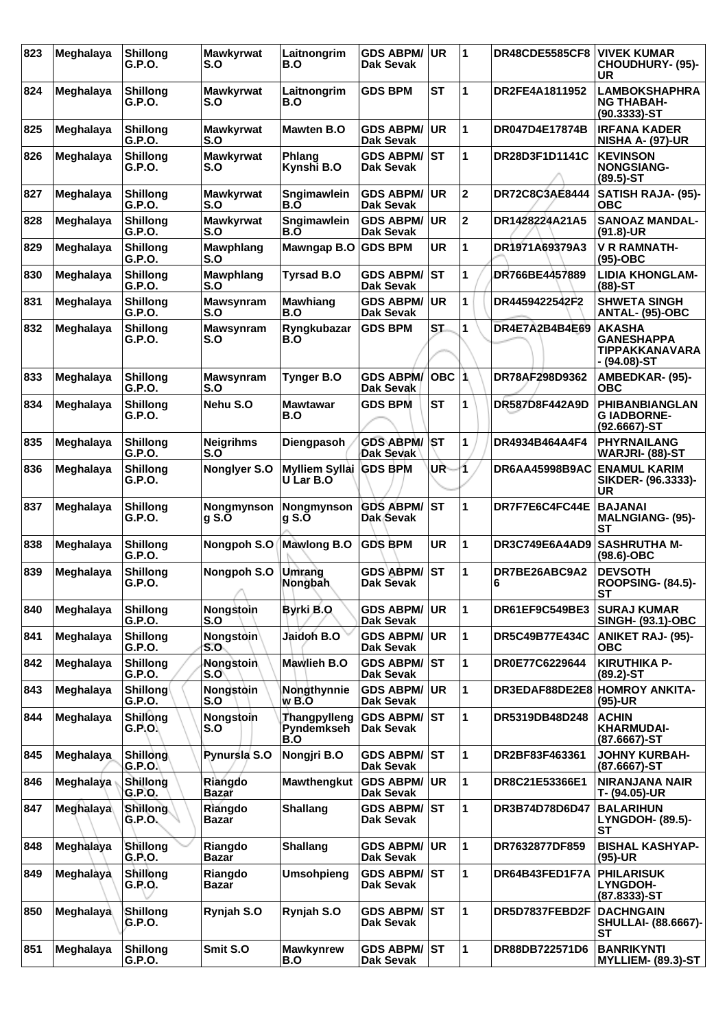| 823 | Meghalaya        | <b>Shillong</b><br>G.P.O. | <b>Mawkyrwat</b><br>S.O        | Laitnongrim<br>B.O                | <b>GDS ABPM/</b><br>Dak Sevak        | UR        | $\mathbf 1$             | <b>DR48CDE5585CF8</b> | <b>VIVEK KUMAR</b><br><b>CHOUDHURY- (95)-</b><br>UR                  |
|-----|------------------|---------------------------|--------------------------------|-----------------------------------|--------------------------------------|-----------|-------------------------|-----------------------|----------------------------------------------------------------------|
| 824 | Meghalaya        | <b>Shillong</b><br>G.P.O. | <b>Mawkyrwat</b><br>S.O        | Laitnongrim<br>B.O                | <b>GDS BPM</b>                       | <b>ST</b> | 1                       | DR2FE4A1811952        | <b>LAMBOKSHAPHRA</b><br><b>NG THABAH-</b><br>(90.3333)-ST            |
| 825 | Meghalaya        | <b>Shillong</b><br>G.P.O. | <b>Mawkyrwat</b><br>S.O        | Mawten B.O                        | <b>GDS ABPM/</b><br><b>Dak Sevak</b> | <b>UR</b> | 1                       | DR047D4E17874B        | <b>IRFANA KADER</b><br><b>NISHA A- (97)-UR</b>                       |
| 826 | Meghalaya        | <b>Shillong</b><br>G.P.O. | <b>Mawkyrwat</b><br>S.O        | Phlang<br>Kynshi B.O              | <b>GDS ABPM/</b><br>Dak Sevak        | <b>ST</b> | 1                       | DR28D3F1D1141C        | <b>KEVINSON</b><br><b>NONGSIANG-</b><br>$(89.5)$ -ST                 |
| 827 | Meghalaya        | <b>Shillong</b><br>G.P.O. | <b>Mawkyrwat</b><br>S.O        | Sngimawlein<br>B.O                | <b>GDS ABPM/</b><br>Dak Sevak        | <b>UR</b> | $\overline{2}$          | DR72C8C3AE8444        | <b>SATISH RAJA- (95)-</b><br>овс                                     |
| 828 | Meghalaya        | <b>Shillong</b><br>G.P.O. | <b>Mawkyrwat</b><br>S.O        | Sngimawlein<br>B.O                | <b>GDS ABPM/</b><br>Dak Sevak        | <b>UR</b> | $\overline{\mathbf{2}}$ | DR1428224A21A5        | <b>SANOAZ MANDAL-</b><br>$(91.8)$ -UR                                |
| 829 | Meghalaya        | <b>Shillong</b><br>G.P.O. | Mawphlang<br>S.O               | Mawngap B.O                       | <b>GDS BPM</b>                       | <b>UR</b> | 1                       | DR1971A69379A3        | <b>V R RAMNATH-</b><br>$(95)-OBC$                                    |
| 830 | Meghalaya        | <b>Shillong</b><br>G.P.O. | Mawphlang<br>S.O               | <b>Tyrsad B.O</b>                 | <b>GDS ABPM/</b><br>Dak Sevak        | <b>ST</b> | 1                       | DR766BE4457889        | <b>LIDIA KHONGLAM-</b><br>$(88)$ -ST                                 |
| 831 | Meghalaya        | <b>Shillong</b><br>G.P.O. | <b>Mawsynram</b><br>S.O        | <b>Mawhiang</b><br>B.O            | <b>GDS ABPM/</b><br><b>Dak Sevak</b> | <b>UR</b> | 1                       | DR4459422542F2        | <b>SHWETA SINGH</b><br>ANTAL- (95)-OBC                               |
| 832 | Meghalaya        | <b>Shillong</b><br>G.P.O. | <b>Mawsynram</b><br>S.O        | Ryngkubazar<br>B.O                | <b>GDS BPM</b>                       | <b>ST</b> | 1                       | DR4E7A2B4B4E69        | <b>AKASHA</b><br><b>GANESHAPPA</b><br>TIPPAKKANAVARA<br>- (94.08)-ST |
| 833 | Meghalaya        | <b>Shillong</b><br>G.P.O. | <b>Mawsynram</b><br>S.O        | <b>Tynger B.O</b>                 | <b>GDS ABPM/</b><br>Dak Sevak        | OBC       | $\overline{\mathbf{1}}$ | DR78AF298D9362        | AMBEDKAR- (95)-<br>ОВС                                               |
| 834 | Meghalaya        | <b>Shillong</b><br>G.P.O. | Nehu S.O                       | <b>Mawtawar</b><br>B.O            | <b>GDS BPM</b>                       | <b>ST</b> | 1                       | DR587D8F442A9D        | <b>PHIBANBIANGLAN</b><br><b>GIADBORNE-</b><br>$(92.6667)$ -ST        |
| 835 | Meghalaya        | <b>Shillong</b><br>G.P.O. | <b>Neigrihms</b><br>S.O        | Diengpasoh                        | <b>GDS ABPM/</b><br>Dak Sevak        | <b>ST</b> | 1                       | DR4934B464A4F4        | <b>PHYRNAILANG</b><br>WARJRI- (88)-ST                                |
| 836 | Meghalaya        | <b>Shillong</b><br>G.P.O. | Nonglyer S.O                   | Mylliem Syllai<br>U Lar B.O       | <b>GDS BPM</b>                       | UŘ        | 1                       | <b>DR6AA45998B9AC</b> | <b>ENAMUL KARIM</b><br>SIKDER- (96.3333)-<br>UR                      |
| 837 | Meghalaya        | <b>Shillong</b><br>G.P.O. | Nongmynson<br>$g S. \breve{O}$ | Nongmynson<br>g S.O               | <b>GDS ABPM/</b><br>Dak Sevak        | <b>ST</b> | 1                       | DR7F7E6C4FC44E        | <b>BAJANAI</b><br><b>MALNGIANG- (95)-</b><br><b>ST</b>               |
| 838 | Meghalaya        | <b>Shillong</b><br>G.P.O. | Nongpoh S.O                    | <b>Mawlong B.O</b>                | <b>GDS BPM</b>                       | <b>UR</b> | 1                       | DR3C749E6A4AD9        | <b>SASHRUTHA M-</b><br>$(98.6)$ -OBC                                 |
| 839 | Meghalaya        | <b>Shillong</b><br>G.P.O. | Nongpoh S.O                    | Umrang<br>Nongbah                 | <b>GDS ABPM/</b><br><b>Dak Sevak</b> | <b>ST</b> | 1                       | DR7BE26ABC9A2<br>6    | <b>DEVSOTH</b><br><b>ROOPSING- (84.5)-</b><br>SТ                     |
| 840 | Meghalaya        | <b>Shillong</b><br>G.P.O. | Nongstoin<br>S.O               | Byrki B.O                         | <b>GDS ABPM/</b><br>Dak Sevak        | <b>UR</b> | 1                       | DR61EF9C549BE3        | <b>SURAJ KUMAR</b><br><b>SINGH- (93.1)-OBC</b>                       |
| 841 | Meghalaya        | <b>Shillong</b><br>G.P.O. | Nongstoin<br>S.O               | Jaidoh B.O                        | <b>GDS ABPM/</b><br>Dak Sevak        | <b>UR</b> | 1                       | DR5C49B77E434C        | <b>ANIKET RAJ- (95)-</b><br>ОВС                                      |
| 842 | Meghalaya        | <b>Shillong</b><br>G.P.O. | Nongstoin<br>S.O               | Mawlieh B.O                       | <b>GDS ABPM/</b><br>Dak Sevak        | IST       | 1                       | DR0E77C6229644        | <b>KIRUTHIKA P-</b><br>(89.2)-ST                                     |
| 843 | Meghalaya        | Shillong<br>G.P.O.        | Nongstoin<br>S.O               | Nongthynnie<br>w B.O              | <b>GDS ABPM/</b><br><b>Dak Sevak</b> | <b>UR</b> | 1                       |                       | DR3EDAF88DE2E8 HOMROY ANKITA-<br>(95)-UR                             |
| 844 | Meghalaya        | Shillong<br>G.P.O.        | Nongstoin<br>S.O               | Thangpylleng<br>Pyndemkseh<br>B.O | <b>GDS ABPM/</b><br>Dak Sevak        | <b>ST</b> | 1                       | DR5319DB48D248        | <b>ACHIN</b><br><b>KHARMUDAI-</b><br>(87.6667)-ST                    |
| 845 | <b>Meghalaya</b> | <b>Shillong</b><br>G.P.O. | <b>Rynursia S.O</b>            | Nongjri B.O                       | <b>GDS ABPM/</b><br><b>Dak Sevak</b> | ST        | 1                       | DR2BF83F463361        | <b>JOHNY KURBAH-</b><br>(87.6667)-ST                                 |
| 846 | Meghalaya        | Shillong<br>G.P.O.        | Riangdo<br>Bazar               | <b>Mawthengkut</b>                | <b>GDS ABPM/</b><br>Dak Sevak        | <b>UR</b> | 1                       | DR8C21E53366E1        | <b>NIRANJANA NAIR</b><br>T- (94.05)-UR                               |
| 847 | Meghalaya        | <b>Shillong</b><br>G.P.O. | Riangdo<br>Bazar               | <b>Shallang</b>                   | <b>GDS ABPM/</b><br>Dak Sevak        | IST       | 1                       | DR3B74D78D6D47        | <b>BALARIHUN</b><br><b>LYNGDOH- (89.5)-</b><br>SТ                    |
| 848 | Meghalaya        | Shillong<br><b>G.P.O.</b> | Riangdo<br>Bazar               | <b>Shallang</b>                   | <b>GDS ABPM/</b><br>Dak Sevak        | UR        | $\mathbf 1$             | DR7632877DF859        | <b>BISHAL KASHYAP-</b><br>(95)-UR                                    |
| 849 | Meghalaya        | Shillong<br>G.R.O.        | Riangdo<br><b>Bazar</b>        | <b>Umsohpieng</b>                 | <b>GDS ABPM/</b><br>Dak Sevak        | <b>ST</b> | 1                       | DR64B43FED1F7A        | <b>PHILARISUK</b><br><b>LYNGDOH-</b><br>(87.8333)-ST                 |
| 850 | Meghalaya        | Shillong<br>G.P.O.        | Rynjah S.O                     | Rynjah S.O                        | <b>GDS ABPM/</b><br>Dak Sevak        | ST        | 1                       | <b>DR5D7837FEBD2F</b> | <b>DACHNGAIN</b><br><b>SHULLAI- (88.6667)-</b><br>SТ                 |
| 851 | Meghalaya        | <b>Shillong</b><br>G.P.O. | Smit S.O                       | <b>Mawkynrew</b><br>B.O           | <b>GDS ABPM/</b><br>Dak Sevak        | <b>ST</b> | 1                       | DR88DB722571D6        | <b>BANRIKYNTI</b><br><b>MYLLIEM- (89.3)-ST</b>                       |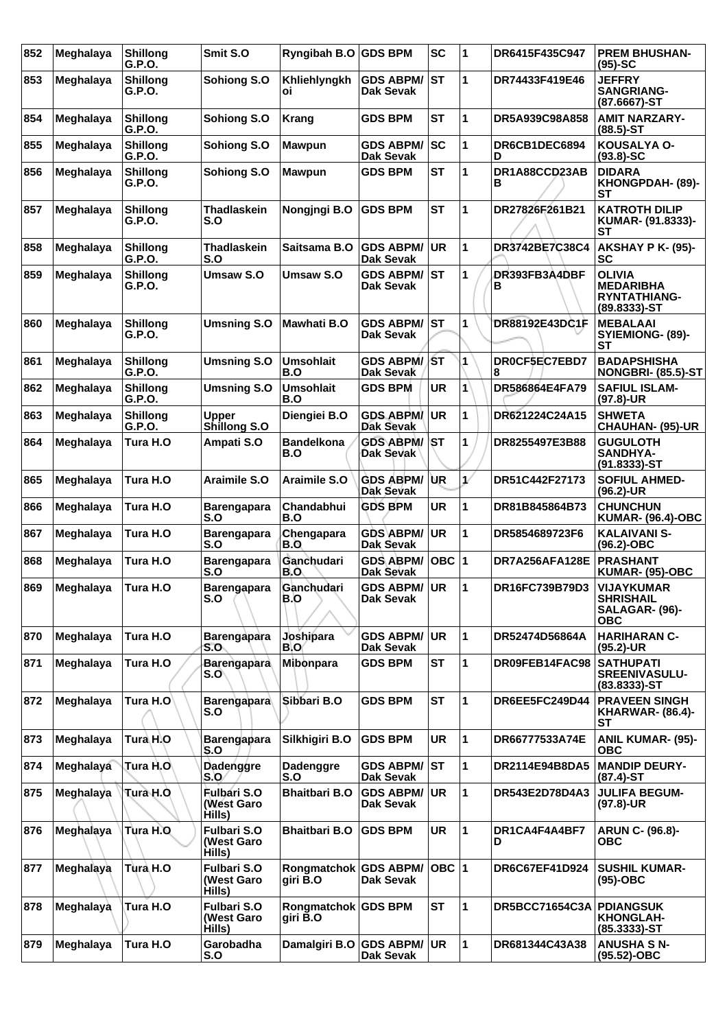| 852 | Meghalaya        | <b>Shillong</b><br>G.P.O. | Smit S.O                                   | Ryngibah B.O                    | <b>GDS BPM</b>                       | <b>SC</b> | 1 | DR6415F435C947        | <b>PREM BHUSHAN-</b><br>$(95)-SC$                                     |
|-----|------------------|---------------------------|--------------------------------------------|---------------------------------|--------------------------------------|-----------|---|-----------------------|-----------------------------------------------------------------------|
| 853 | Meghalaya        | <b>Shillong</b><br>G.P.O. | Sohiong S.O                                | Khliehlyngkh<br>οi              | <b>GDS ABPM/</b><br>Dak Sevak        | IST       | 1 | DR74433F419E46        | <b>JEFFRY</b><br><b>SANGRIANG-</b><br>(87.6667)-ST                    |
| 854 | Meghalaya        | <b>Shillong</b><br>G.P.O. | Sohiong S.O                                | <b>Krang</b>                    | <b>GDS BPM</b>                       | <b>ST</b> | 1 | DR5A939C98A858        | <b>AMIT NARZARY-</b><br>$(88.5)$ -ST                                  |
| 855 | Meghalaya        | <b>Shillong</b><br>G.P.O. | Sohiong S.O                                | <b>Mawpun</b>                   | <b>GDS ABPM/</b><br><b>Dak Sevak</b> | <b>SC</b> | 1 | DR6CB1DEC6894<br>D    | KOUSALYA O-<br>$(93.8) - SC$                                          |
| 856 | Meghalaya        | <b>Shillong</b><br>G.P.O. | Sohiong S.O                                | <b>Mawpun</b>                   | <b>GDS BPM</b>                       | <b>ST</b> | 1 | DR1A88CCD23AB<br>в    | <b>DIDARA</b><br>KHONGPDAH- (89)-<br><b>ST</b>                        |
| 857 | Meghalaya        | <b>Shillong</b><br>G.P.O. | Thadlaskein<br>S.O                         | Nongjngi B.O                    | <b>GDS BPM</b>                       | <b>ST</b> | 1 | DR27826F261B21        | <b>KATROTH DILIP</b><br>KUMAR- (91.8333)-<br>SТ                       |
| 858 | Meghalaya        | <b>Shillong</b><br>G.P.O. | <b>Thadlaskein</b><br>S.O                  | Saitsama B.O                    | <b>GDS ABPM/</b><br>Dak Sevak        | <b>UR</b> | 1 | DR3742BE7C38C4        | <b>AKSHAY P K- (95)-</b><br>SC                                        |
| 859 | Meghalaya        | <b>Shillong</b><br>G.P.O. | <b>Umsaw S.O</b>                           | <b>Umsaw S.O</b>                | <b>GDS ABPM/</b><br>Dak Sevak        | lst       | 1 | DR393FB3A4DBF<br>в    | <b>OLIVIA</b><br><b>MEDARIBHA</b><br>RYNTATHIANG-<br>$(89.8333) - ST$ |
| 860 | Meghalaya        | <b>Shillong</b><br>G.P.O. | <b>Umsning S.O</b>                         | Mawhati B.O                     | <b>GDS ABPM/</b><br>Dak Sevak        | IST       | 1 | DR88192E43DC1F        | <b>MEBALAAI</b><br>SYIEMIONG- (89)-<br>SТ                             |
| 861 | Meghalaya        | <b>Shillong</b><br>G.P.O. | <b>Umsning S.O</b>                         | <b>Umsohlait</b><br>B.O         | <b>GDS ABPM/</b><br>Dak Sevak        | ∣∕SΤ      | 1 | DR0CF5EC7EBD7<br>8    | <b>BADAPSHISHA</b><br><b>NONGBRI- (85.5)-ST</b>                       |
| 862 | Meghalaya        | <b>Shillong</b><br>G.P.O. | <b>Umsning S.O</b>                         | <b>Umsohlait</b><br>B.O         | <b>GDS BPM</b>                       | UR        | 1 | DR586864E4FA79        | <b>SAFIUL ISLAM-</b><br>$(97.8)$ -UR                                  |
| 863 | Meghalaya        | <b>Shillong</b><br>G.P.O. | <b>Upper</b><br>Shillong S.O               | Diengiei B.O                    | <b>GDS ABPM/</b><br><b>Dak Sevak</b> | <b>UR</b> | 1 | DR621224C24A15        | <b>SHWETA</b><br><b>CHAUHAN- (95)-UR</b>                              |
| 864 | Meghalaya        | Tura H.O                  | Ampati S.O                                 | <b>Bandelkona</b><br>B.O        | <b>GDS ABPM/</b><br>Dak Sevak        | \ST       | 1 | DR8255497E3B88        | <b>GUGULOTH</b><br><b>SANDHYA-</b><br>$(91.8333) - ST$                |
| 865 | Meghalaya        | Tura H.O                  | Araimile S.O                               | <b>Araimile S.O</b>             | <b>GDS ABPM/</b><br>Dak Sevak        | IUR.      | V | DR51C442F27173        | <b>SOFIUL AHMED-</b><br>$(96.2)$ -UR                                  |
| 866 | Meghalaya        | Tura H.O                  | <b>Barengapara</b><br>S.O                  | Chandabhui<br>B.O               | <b>GDS BPM</b>                       | <b>UR</b> | 1 | DR81B845864B73        | <b>CHUNCHUN</b><br><b>KUMAR- (96.4)-OBC</b>                           |
| 867 | Meghalaya        | Tura H.O                  | <b>Barengapara</b><br>S.O                  | Chengapara<br>B.O               | <b>GDS ABPM/</b><br>Dak Sevak        | <b>UR</b> | 1 | DR5854689723F6        | <b>KALAIVANI S-</b><br>$(96.2) - OBC$                                 |
| 868 | <b>Meghalaya</b> | Tura H.O                  | <b>Barengapara</b><br>S.O                  | Ganchudari<br>B.O               | <b>GDS ABPM/</b><br>Dak Sevak        | OBC  1    |   | DR7A256AFA128E        | <b>PRASHANT</b><br><b>KUMAR- (95)-OBC</b>                             |
| 869 | Meghalaya        | Tura H.O                  | Barengapara<br>S.O                         | Ganchudari<br>B.O               | <b>GDS ABPM/ UR</b><br>Dak Sevak     |           | 1 | DR16FC739B79D3        | <b>VIJAYKUMAR</b><br><b>SHRISHAIL</b><br>SALAGAR- (96)-<br><b>OBC</b> |
| 870 | Meghalaya        | Tura H.O                  | <b>Barengapara</b><br>S.O                  | Joshipara<br>B.O                | <b>GDS ABPM/</b><br>Dak Sevak        | UR.       | 1 | DR52474D56864A        | <b>HARIHARAN C-</b><br>$(95.2)$ -UR                                   |
| 871 | Meghalaya        | Tura H.O                  | <b>Barengapara</b><br>S.O                  | Mibonpara                       | <b>GDS BPM</b>                       | <b>ST</b> | 1 | DR09FEB14FAC98        | <b>SATHUPATI</b><br><b>SREENIVASULU-</b><br>$(83.8333) - ST$          |
| 872 | Meghalaya        | Tura H.O                  | <b>Barengapara</b><br>S.O                  | Sibbari B.O                     | <b>GDS BPM</b>                       | <b>ST</b> | 1 | DR6EE5FC249D44        | <b>PRAVEEN SINGH</b><br><b>KHARWAR- (86.4)-</b><br>SТ                 |
| 873 | Meghalaya        | Tura H.O                  | Barengapara<br>S.O                         | Silkhigiri B.O                  | <b>GDS BPM</b>                       | <b>UR</b> | 1 | DR66777533A74E        | <b>ANIL KUMAR- (95)-</b><br><b>OBC</b>                                |
| 874 | Meghalaya        | Tura H.O∖                 | Dadenggre<br>S.O                           | Dadenggre<br>S.O                | <b>GDS ABPM/ ST</b><br>Dak Sevak     |           | 1 | DR2114E94B8DA5        | <b>MANDIP DEURY-</b><br>$(87.4)$ -ST                                  |
| 875 | Meghalaya        | Tura H.O                  | <b>Fulbari S.O</b><br>(West Garo<br>Hills) | <b>Bhaitbari B.O</b>            | <b>GDS ABPM/</b><br>Dak Sevak        | <b>UR</b> | 1 | DR543E2D78D4A3        | <b>JULIFA BEGUM-</b><br>$(97.8)$ -UR                                  |
| 876 | Meghalaya        | Tura H.O                  | <b>Fulbari S.O</b><br>(West Garo<br>Hills) | <b>Bhaitbari B.O</b>            | <b>GDS BPM</b>                       | <b>UR</b> | 1 | DR1CA4F4A4BF7<br>D    | <b>ARUN C- (96.8)-</b><br>ОВС                                         |
| 877 | Meghalaya        | Tura H.O                  | <b>Fulbari S.O</b><br>(West Garo<br>Hills) | <b>Rongmatchok</b><br>giri B.O  | <b>GDS ABPM/</b><br>Dak Sevak        | OBC  1    |   | <b>DR6C67EF41D924</b> | <b>SUSHIL KUMAR-</b><br>$(95)-OBC$                                    |
| 878 | Meghalaya        | Tura H.O                  | <b>Fulbari S.O</b><br>(West Garo<br>Hills) | Rongmatchok GDS BPM<br>giri B.O |                                      | <b>ST</b> | 1 | <b>DR5BCC71654C3A</b> | <b>PDIANGSUK</b><br><b>KHONGLAH-</b><br>(85.3333)-ST                  |
| 879 | Meghalaya        | Tura H.O                  | Garobadha<br>S.O                           | Damalgiri B.O                   | <b>GDS ABPM/</b><br><b>Dak Sevak</b> | UR.       | 1 | DR681344C43A38        | <b>ANUSHA S N-</b><br>(95.52)-OBC                                     |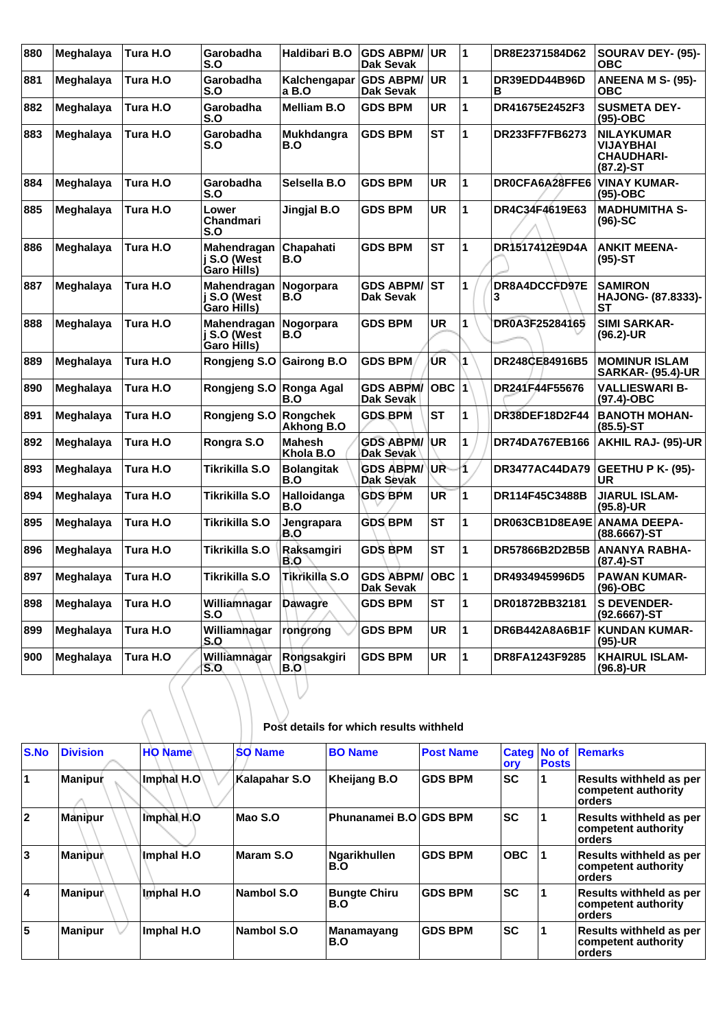| 880 | Meghalaya        | Tura H.O | Garobadha<br>S.O                          | Haldibari B.O              | <b>GDS ABPM/</b><br><b>Dak Sevak</b> | <b>UR</b> | 1 | DR8E2371584D62            | SOURAV DEY- (95)-<br>ОВС                                             |
|-----|------------------|----------|-------------------------------------------|----------------------------|--------------------------------------|-----------|---|---------------------------|----------------------------------------------------------------------|
| 881 | Meghalaya        | Tura H.O | Garobadha<br>S.O                          | Kalchengapar<br>a B.O      | <b>GDS ABPM/</b><br>Dak Sevak        | <b>UR</b> | 1 | DR39EDD44B96D<br>в        | <b>ANEENA M S- (95)-</b><br>ОВС                                      |
| 882 | Meghalaya        | Tura H.O | Garobadha<br>S.O                          | <b>Melliam B.O</b>         | <b>GDS BPM</b>                       | UR        | 1 | DR41675E2452F3            | <b>SUSMETA DEY-</b><br>$(95)-OBC$                                    |
| 883 | Meghalaya        | Tura H.O | Garobadha<br>S.O                          | Mukhdangra<br>B.O          | <b>GDS BPM</b>                       | <b>ST</b> | 1 | DR233FF7FB6273            | <b>NILAYKUMAR</b><br>VIJAYBHAI<br><b>CHAUDHARI-</b><br>$(87.2) - ST$ |
| 884 | <b>Meghalaya</b> | Tura H.O | Garobadha<br>S.O                          | Selsella B.O               | <b>GDS BPM</b>                       | UR        | 1 | DR0CFA6A28FFE6            | <b>VINAY KUMAR-</b><br>(95)-OBC                                      |
| 885 | Meghalaya        | Tura H.O | Lower<br>Chandmari<br>S.O                 | Jingjal B.O                | <b>GDS BPM</b>                       | UR        | 1 | DR4C34F4619E63            | <b>MADHUMITHA S-</b><br>(96)-SC                                      |
| 886 | Meghalaya        | Tura H.O | Mahendragan<br>j S.O (West<br>Garo Hills) | Chapahati<br>B.O           | <b>GDS BPM</b>                       | <b>ST</b> | 1 | DR1517412E9D4A            | <b>ANKIT MEENA-</b><br>$(95)-ST$                                     |
| 887 | Meghalaya        | Tura H.O | Mahendragan<br>j S.O (West<br>Garo Hills) | Nogorpara<br>B.O           | <b>GDS ABPM/</b><br><b>Dak Sevak</b> | <b>ST</b> | 1 | <b>DR8A4DCCFD97E</b><br>3 | <b>SAMIRON</b><br>HAJONG- (87.8333)-<br>SТ                           |
| 888 | Meghalaya        | Tura H.O | Mahendragan<br>i S.O (West<br>Garo Hills) | <b>Nogorpara</b><br>B.O    | <b>GDS BPM</b>                       | UR        | 1 | DR0A3F25284165            | <b>SIMI SARKAR-</b><br>$(96.2)$ -UR                                  |
| 889 | <b>Meghalaya</b> | Tura H.O | Rongjeng S.O                              | <b>Gairong B.O</b>         | <b>GDS BPM</b>                       | ŪR        | 1 | DR248CE84916B5            | <b>MOMINUR ISLAM</b><br><b>SARKAR- (95.4)-UR</b>                     |
| 890 | Meghalaya        | Tura H.O | Rongjeng S.O                              | Ronga Agal<br>B.O          | <b>GDS ABPM/</b><br>Dak Sevak        | OBC $ 1 $ |   | DR241F44F55676            | <b>VALLIESWARI B-</b><br>(97.4)-OBC                                  |
| 891 | Meghalaya        | Tura H.O | Rongjeng S.O                              | Rongchek<br>Akhong B.O     | <b>GDS BPM</b>                       | <b>ST</b> | 1 | <b>DR38DEF18D2F44</b>     | <b>BANOTH MOHAN-</b><br>(85.5)-ST                                    |
| 892 | Meghalaya        | Tura H.O | Rongra S.O                                | <b>Mahesh</b><br>Khola B.O | <b>GDS ABPM/</b><br>Dak Sevak        | <b>UR</b> | 1 | <b>DR74DA767EB166</b>     | <b>AKHIL RAJ- (95)-UR</b>                                            |
| 893 | Meghalaya        | Tura H.O | Tikrikilla S.O                            | <b>Bolangitak</b><br>B.O   | <b>GDS ABPM/</b><br>Dak Sevak        | UŘ        | 1 | DR3477AC44DA79            | <b>GEETHU P K- (95)-</b><br>UR                                       |
| 894 | Meghalaya        | Tura H.O | Tikrikilla S.O                            | Halloidanga<br>B.O         | <b>GDS BPM</b>                       | UR        | 1 | DR114F45C3488B            | <b>JIARUL ISLAM-</b><br>(95.8)-UR                                    |
| 895 | Meghalaya        | Tura H.O | Tikrikilla S.O                            | Jengrapara<br>B.O          | <b>GDS BPM</b>                       | ST        | 1 | DR063CB1D8EA9E            | <b>ANAMA DEEPA-</b><br>(88.6667)-ST                                  |
| 896 | Meghalaya        | Tura H.O | Tikrikilla S.O                            | Raksamgiri<br>B.O          | <b>GDS BPM</b>                       | <b>ST</b> | 1 | DR57866B2D2B5B            | <b>ANANYA RABHA-</b><br>(87.4)-ST                                    |
| 897 | Meghalaya        | Tura H.O | Tikrikilla S.O                            | Tikrikilla S.O             | <b>GDS ABPM/</b><br><b>Dak Sevak</b> | OBC $ 1$  |   | DR4934945996D5            | <b>PAWAN KUMAR-</b><br>$(96)-OBC$                                    |
| 898 | Meghalaya        | Tura H.O | Williamnagar<br>S.O                       | Dawagre                    | <b>GDS BPM</b>                       | ST        | 1 | DR01872BB32181            | <b>S DEVENDER-</b><br>$(92.6667)$ -ST                                |
| 899 | Meghalaya        | Tura H.O | Williamhagar<br>S.O                       | rongrong                   | <b>GDS BPM</b>                       | UR        | 1 | DR6B442A8A6B1F            | <b>KUNDAN KUMAR-</b><br>(95)-UR                                      |
| 900 | Meghalaya        | Tura H.O | Williamnagar<br>S.O                       | Rongsakgiri<br>B.O         | <b>GDS BPM</b>                       | UR        | 1 | DR8FA1243F9285            | <b>KHAIRUL ISLAM-</b><br>(96.8)-UR                                   |

| Post details for which results withheld |  |  |  |
|-----------------------------------------|--|--|--|
|-----------------------------------------|--|--|--|

| <b>S.No</b> | <b>Division</b> | <b>HO Name</b>                 | <b>SO Name</b> | <b>BO Name</b>             | <b>Post Name</b> | <b>Categ</b><br>ory | No of<br><b>Posts</b> | Remarks                                                         |
|-------------|-----------------|--------------------------------|----------------|----------------------------|------------------|---------------------|-----------------------|-----------------------------------------------------------------|
| 11          | <b>Manipur</b>  | $\lfloor$ Imphal H.O $\rfloor$ | Kalapahar S.O  | Kheijang B.O               | <b>GDS BPM</b>   | <b>SC</b>           |                       | <b>Results withheld as per</b><br>competent authority<br>orders |
| 12          | Manipur         | Imphal H.O                     | Mao S.O        | Phunanamei B.O GDS BPM     |                  | <b>SC</b>           |                       | <b>Results withheld as per</b><br>competent authority<br>orders |
| 3           | ∣Maniṗur∖       | ∣lmphal H.O                    | Maram S.O      | Ngarikhullen<br>B.O        | <b>GDS BPM</b>   | <b>OBC</b>          |                       | <b>Results withheld as per</b><br>competent authority<br>orders |
| 4           | Manipur         | Imphal H.O                     | Nambol S.O     | <b>Bungte Chiru</b><br>B.O | <b>GDS BPM</b>   | <b>SC</b>           |                       | <b>Results withheld as per</b><br>competent authority<br>orders |
| 5           | Manipur         | Imphal H.O                     | Nambol S.O.    | Manamayang<br>B.O          | <b>GDS BPM</b>   | <b>SC</b>           |                       | <b>Results withheld as per</b><br>competent authority<br>orders |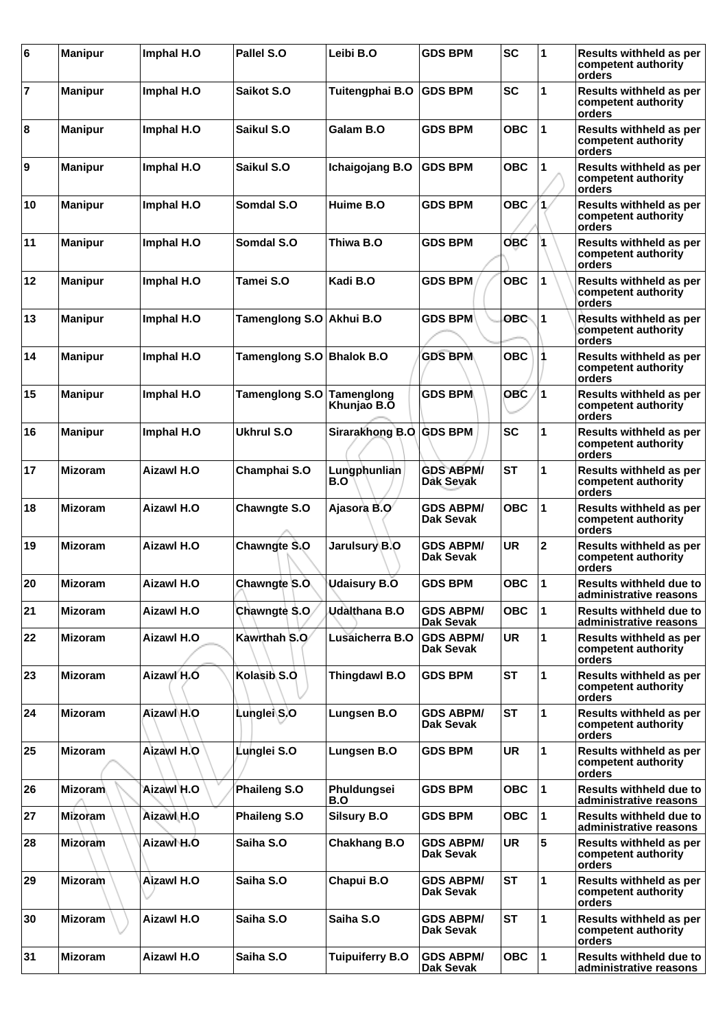| 6              | <b>Manipur</b> | Imphal H.O        | Pallel S.O               | Leibi B.O                 | <b>GDS BPM</b>                       | <b>SC</b>  | 1           | Results withheld as per<br>competent authority<br>orders        |
|----------------|----------------|-------------------|--------------------------|---------------------------|--------------------------------------|------------|-------------|-----------------------------------------------------------------|
| $\overline{7}$ | <b>Manipur</b> | Imphal H.O        | Saikot S.O               | Tuitengphai B.O           | <b>GDS BPM</b>                       | <b>SC</b>  | 1           | <b>Results withheld as per</b><br>competent authority<br>orders |
| 8              | <b>Manipur</b> | Imphal H.O        | Saikul S.O               | Galam B.O                 | <b>GDS BPM</b>                       | <b>OBC</b> | 1           | <b>Results withheld as per</b><br>competent authority<br>orders |
| Ι9             | <b>Manipur</b> | Imphal H.O        | Saikul S.O               | Ichaigojang B.O           | <b>GDS BPM</b>                       | <b>OBC</b> | 1           | Results withheld as per<br>competent authority<br>orders        |
| 10             | <b>Manipur</b> | Imphal H.O        | Somdal S.O               | Huime B.O                 | <b>GDS BPM</b>                       | <b>OBC</b> | 1           | Results withheld as per<br>competent authority<br>orders        |
| 11             | <b>Manipur</b> | Imphal H.O        | Somdal S.O               | Thiwa B.O                 | <b>GDS BPM</b>                       | <b>OBC</b> | ١           | Results withheld as per<br>competent authority<br>orders        |
| 12             | <b>Manipur</b> | Imphal H.O        | Tamei S.O                | Kadi B.O                  | <b>GDS BPM</b>                       | <b>OBC</b> | 1           | Results withheld as per<br>competent authority<br>orders        |
| 13             | <b>Manipur</b> | Imphal H.O        | Tamenglong S.O Akhui B.O |                           | <b>GDS BPM</b>                       | <b>OBC</b> | 1           | <b>Results withheld as per</b><br>competent authority<br>orders |
| 14             | <b>Manipur</b> | Imphal H.O        | Tamenglong S.O           | <b>Bhalok B.O</b>         | <b>GDS BPM</b>                       | <b>OBC</b> |             | Results withheld as per<br>competent authority<br>orders        |
| 15             | <b>Manipur</b> | Imphal H.O        | <b>Tamenglong S.O</b>    | Tamenglong<br>Khunjao B.O | <b>GDS BPM</b>                       | <b>OBC</b> | 1           | Results withheld as per<br>competent authority<br>orders        |
| 16             | <b>Manipur</b> | Imphal H.O        | <b>Ukhrul S.O</b>        | Sirarakhong B.O GDS BPM   |                                      | <b>SC</b>  | 1           | Results withheld as per<br>competent authority<br>orders        |
| 17             | <b>Mizoram</b> | Aizawl H.O        | Champhai S.O             | Lungphunlian<br>B.O       | <b>GDS ABPM/</b><br>Dak Sevak        | <b>ST</b>  | 1           | Results withheld as per<br>competent authority<br>orders        |
| 18             | <b>Mizoram</b> | <b>Aizawl H.O</b> | <b>Chawngte S.O</b>      | Ajasora B.O               | <b>GDS ABPM/</b><br><b>Dak Sevak</b> | <b>OBC</b> | 1           | Results withheld as per<br>competent authority<br>orders        |
| 19             | <b>Mizoram</b> | Aizawl H.O        | Chawngte S.O             | Jarulsury∖B.O             | <b>GDS ABPM/</b><br><b>Dak Sevak</b> | <b>UR</b>  | $\mathbf 2$ | Results withheld as per<br>competent authority<br>orders        |
| 20             | <b>Mizoram</b> | <b>Aizawl H.O</b> | Chawngte S.O.            | <b>Udaisury B.O</b>       | <b>GDS BPM</b>                       | <b>OBC</b> | 1           | <b>Results withheld due to</b><br>administrative reasons        |
| 21             | <b>Mizoram</b> | Aizawl H.O        | Chawngte S.O.            | Udalthana B.O             | <b>GDS ABPM/</b><br>Dak Sevak        | <b>OBC</b> | 1           | <b>Results withheld due to</b><br>administrative reasons        |
| 22             | <b>Mizoram</b> | Aizawl H.O        | Kawrthah S.O             | Lusaicherra B.O           | <b>GDS ABPM/</b><br>Dak Sevak        | <b>UR</b>  | 1           | Results withheld as per<br>competent authority<br>orders        |
| 23             | <b>Mizoram</b> | Aizawl H.O        | Kolasib <sub>S.O</sub>   | Thingdawl B.O             | <b>GDS BPM</b>                       | <b>ST</b>  | 1           | Results withheld as per<br>competent authority<br>orders        |
| 24             | <b>Mizoram</b> | Aizawl H.O        | Lunglei S.O              | Lungsen B.O               | <b>GDS ABPM/</b><br>Dak Sevak        | <b>ST</b>  | 1           | Results withheld as per<br>competent authority<br>orders        |
| 25             | <b>Mizoram</b> | Aizawl H.O        | Lunglei S.O              | Lungsen B.O               | <b>GDS BPM</b>                       | <b>UR</b>  | 1           | Results withheld as per<br>competent authority<br>orders        |
| 26             | <b>Mizoram</b> | Aizawl H.O        | <b>Phaileng S.O</b>      | Phuldungsei<br>B.O        | <b>GDS BPM</b>                       | <b>OBC</b> | 1           | <b>Results withheld due to</b><br>administrative reasons        |
| 27             | Mizoram        | Aizawl H.O        | Phaileng S.O             | <b>Silsury B.O</b>        | <b>GDS BPM</b>                       | <b>OBC</b> | 1           | <b>Results withheld due to</b><br>administrative reasons        |
| 28             | <b>Mizoram</b> | Aizawl H.O        | Saiha S.O                | Chakhang B.O              | <b>GDS ABPM/</b><br>Dak Sevak        | <b>UR</b>  | 5           | Results withheld as per<br>competent authority<br>orders        |
| 29             | Mizoram        | Aizawl H.O        | Saiha S.O                | Chapui B.O                | GDS ABPM/<br><b>Dak Sevak</b>        | <b>ST</b>  | 1           | Results withheld as per<br>competent authority<br>orders        |
| 30             | <b>Mizoram</b> | <b>Aizawl H.O</b> | Saiha S.O                | Saiha S.O                 | <b>GDS ABPM/</b><br><b>Dak Sevak</b> | <b>ST</b>  | 1           | Results withheld as per<br>competent authority<br>orders        |
| 31             | <b>Mizoram</b> | Aizawl H.O        | Saiha S.O                | <b>Tuipuiferry B.O</b>    | <b>GDS ABPM/</b><br>Dak Sevak        | <b>OBC</b> | 1           | <b>Results withheld due to</b><br>administrative reasons        |